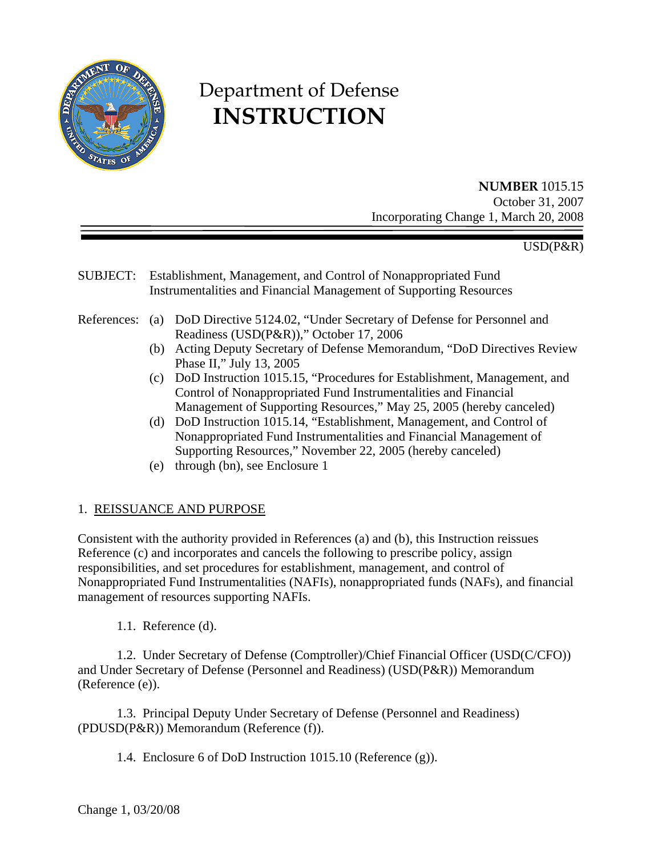

# Department of Defense **INSTRUCTION**

# **NUMBER** 1015.15

October 31, 2007 Incorporating Change 1, March 20, 2008

## USD(P&R)

- SUBJECT: Establishment, Management, and Control of Nonappropriated Fund Instrumentalities and Financial Management of Supporting Resources
- References: (a) DoD Directive 5124.02, "Under Secretary of Defense for Personnel and Readiness (USD(P&R))," October 17, 2006
	- (b) Acting Deputy Secretary of Defense Memorandum, "DoD Directives Review Phase II," July 13, 2005
	- (c) DoD Instruction 1015.15, "Procedures for Establishment, Management, and Control of Nonappropriated Fund Instrumentalities and Financial Management of Supporting Resources," May 25, 2005 (hereby canceled)
	- (d) DoD Instruction 1015.14, "Establishment, Management, and Control of Nonappropriated Fund Instrumentalities and Financial Management of Supporting Resources," November 22, 2005 (hereby canceled)
	- (e) through (bn), see [Enclosure 1](#page-20-0)

#### 1. REISSUANCE AND PURPOSE

Consistent with the authority provided in References (a) and (b), this Instruction reissues Reference (c) and incorporates and cancels the following to prescribe policy, assign responsibilities, and set procedures for establishment, management, and control of Nonappropriated Fund Instrumentalities (NAFIs), nonappropriated funds (NAFs), and financial management of resources supporting NAFIs.

1.1. Reference (d).

1.2. Under Secretary of Defense (Comptroller)/Chief Financial Officer (USD(C/CFO)) and Under Secretary of Defense (Personnel and Readiness) (USD(P&R)) Memorandum (Reference (e)).

 1.3. Principal Deputy Under Secretary of Defense (Personnel and Readiness) (PDUSD(P&R)) Memorandum (Reference (f)).

1.4. Enclosure 6 of DoD Instruction 1015.10 (Reference (g)).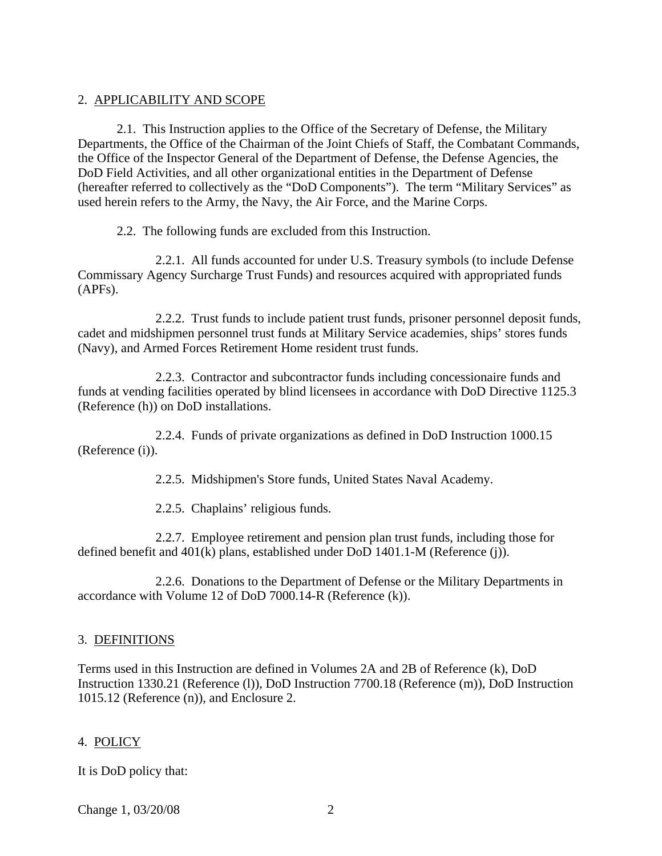#### 2. APPLICABILITY AND SCOPE

 2.1. This Instruction applies to the Office of the Secretary of Defense, the Military Departments, the Office of the Chairman of the Joint Chiefs of Staff, the Combatant Commands, the Office of the Inspector General of the Department of Defense, the Defense Agencies, the DoD Field Activities, and all other organizational entities in the Department of Defense (hereafter referred to collectively as the "DoD Components"). The term "Military Services" as used herein refers to the Army, the Navy, the Air Force, and the Marine Corps.

2.2. The following funds are excluded from this Instruction.

 2.2.1. All funds accounted for under U.S. Treasury symbols (to include Defense Commissary Agency Surcharge Trust Funds) and resources acquired with appropriated funds (APFs).

 2.2.2. Trust funds to include patient trust funds, prisoner personnel deposit funds, cadet and midshipmen personnel trust funds at Military Service academies, ships' stores funds (Navy), and Armed Forces Retirement Home resident trust funds.

 2.2.3. Contractor and subcontractor funds including concessionaire funds and funds at vending facilities operated by blind licensees in accordance with DoD Directive 1125.3 (Reference (h)) on DoD installations.

 2.2.4. Funds of private organizations as defined in DoD Instruction 1000.15 (Reference (i)).

2.2.5. Midshipmen's Store funds, United States Naval Academy.

2.2.5. Chaplains' religious funds.

 2.2.7. Employee retirement and pension plan trust funds, including those for defined benefit and 401(k) plans, established under DoD 1401.1-M (Reference (j)).

 2.2.6. Donations to the Department of Defense or the Military Departments in accordance with Volume 12 of DoD 7000.14-R [\(Reference \(k\)\).](#page-21-0)

#### 3. DEFINITIONS

Terms used in this Instruction are defined in Volumes 2A and 2B of Reference (k), DoD Instruction 1330.21 (Reference (l)), DoD Instruction 7700.18 (Reference (m)), DoD Instruction 1015.12 (Reference (n)), and [Enclosure 2.](#page-23-0)

#### 4. POLICY

It is DoD policy that:

Change 1, 03/20/08 2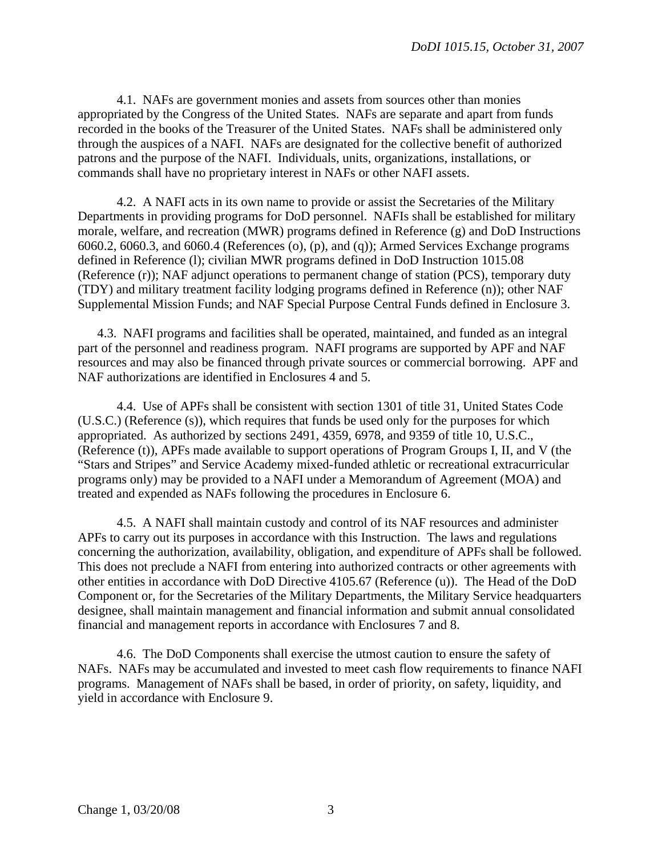4.1. NAFs are government monies and assets from sources other than monies appropriated by the Congress of the United States. NAFs are separate and apart from funds recorded in the books of the Treasurer of the United States. NAFs shall be administered only through the auspices of a NAFI. NAFs are designated for the collective benefit of authorized patrons and the purpose of the NAFI. Individuals, units, organizations, installations, or commands shall have no proprietary interest in NAFs or other NAFI assets.

4.2. A NAFI acts in its own name to provide or assist the Secretaries of the Military Departments in providing programs for DoD personnel. NAFIs shall be established for military morale, welfare, and recreation (MWR) programs defined in Reference (g) and DoD Instructions 6060.2, 6060.3, and 6060.4 (References (o), (p), and (q)); Armed Services Exchange programs defined in Reference (l); civilian MWR programs defined in DoD Instruction 1015.08 (Reference (r)); NAF adjunct operations to permanent change of station (PCS), temporary duty (TDY) and military treatment facility lodging programs defined in Reference (n)); other NAF Supplemental Mission Funds; and NAF Special Purpose Central Funds defined in Enclosure 3.

4.3. NAFI programs and facilities shall be operated, maintained, and funded as an integral part of the personnel and readiness program. NAFI programs are supported by APF and NAF resources and may also be financed through private sources or commercial borrowing. APF and NAF authorizations are identified in Enclosures 4 and 5.

 4.4. Use of APFs shall be consistent with section 1301 of title 31, United States Code (U.S.C.) (Reference (s)), which requires that funds be used only for the purposes for which appropriated. As authorized by sections 2491, 4359, 6978, and 9359 of title 10, U.S.C., (Reference (t)), APFs made available to support operations of Program Groups I, II, and V (the "Stars and Stripes" and Service Academy mixed-funded athletic or recreational extracurricular programs only) may be provided to a NAFI under a Memorandum of Agreement (MOA) and treated and expended as NAFs following the procedures in Enclosure 6.

 4.5. A NAFI shall maintain custody and control of its NAF resources and administer APFs to carry out its purposes in accordance with this Instruction. The laws and regulations concerning the authorization, availability, obligation, and expenditure of APFs shall be followed. This does not preclude a NAFI from entering into authorized contracts or other agreements with other entities in accordance with DoD Directive 4105.67 (Reference (u)). The Head of the DoD Component or, for the Secretaries of the Military Departments, the Military Service headquarters designee, shall maintain management and financial information and submit annual consolidated financial and management reports in accordance with Enclosures 7 and 8.

 4.6. The DoD Components shall exercise the utmost caution to ensure the safety of NAFs. NAFs may be accumulated and invested to meet cash flow requirements to finance NAFI programs. Management of NAFs shall be based, in order of priority, on safety, liquidity, and yield in accordance with Enclosure 9.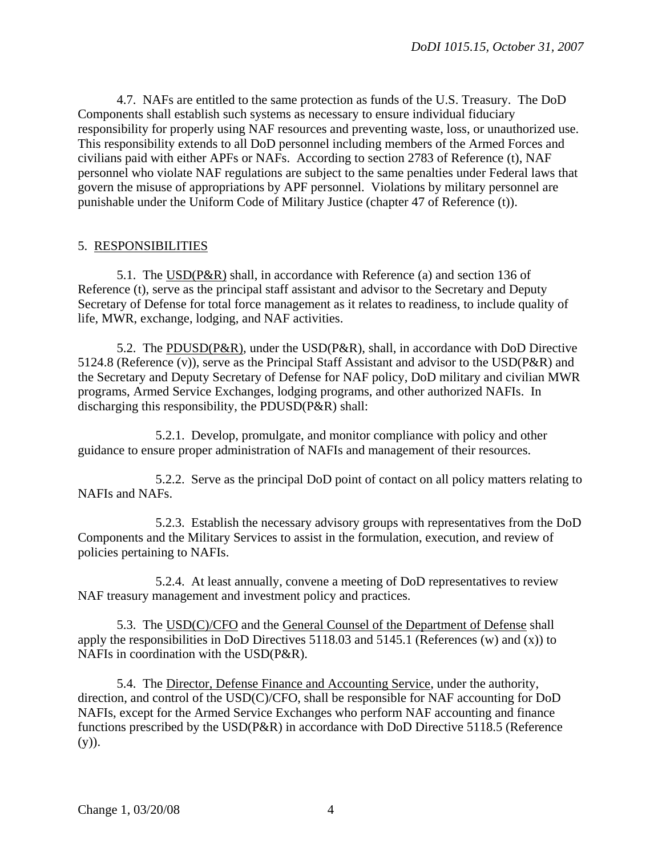4.7. NAFs are entitled to the same protection as funds of the U.S. Treasury. The DoD Components shall establish such systems as necessary to ensure individual fiduciary responsibility for properly using NAF resources and preventing waste, loss, or unauthorized use. This responsibility extends to all DoD personnel including members of the Armed Forces and civilians paid with either APFs or NAFs. According to section 2783 of Reference (t), NAF personnel who violate NAF regulations are subject to the same penalties under Federal laws that govern the misuse of appropriations by APF personnel. Violations by military personnel are punishable under the Uniform Code of Military Justice (chapter 47 of Reference (t)).

#### 5. RESPONSIBILITIES

 5.1. The USD(P&R) shall, in accordance with Reference (a) and section 136 of Reference (t), serve as the principal staff assistant and advisor to the Secretary and Deputy Secretary of Defense for total force management as it relates to readiness, to include quality of life, MWR, exchange, lodging, and NAF activities.

 5.2. The PDUSD(P&R), under the USD(P&R), shall, in accordance with DoD Directive 5124.8 (Reference (v)), serve as the Principal Staff Assistant and advisor to the USD(P&R) and the Secretary and Deputy Secretary of Defense for NAF policy, DoD military and civilian MWR programs, Armed Service Exchanges, lodging programs, and other authorized NAFIs. In discharging this responsibility, the PDUSD(P&R) shall:

 5.2.1. Develop, promulgate, and monitor compliance with policy and other guidance to ensure proper administration of NAFIs and management of their resources.

 5.2.2. Serve as the principal DoD point of contact on all policy matters relating to NAFIs and NAFs.

 5.2.3. Establish the necessary advisory groups with representatives from the DoD Components and the Military Services to assist in the formulation, execution, and review of policies pertaining to NAFIs.

 5.2.4. At least annually, convene a meeting of DoD representatives to review NAF treasury management and investment policy and practices.

 5.3. The USD(C)/CFO and the General Counsel of the Department of Defense shall apply the responsibilities in DoD Directives 5118.03 and 5145.1 (References (w) and (x)) to NAFIs in coordination with the USD(P&R).

 5.4. The Director, Defense Finance and Accounting Service, under the authority, direction, and control of the USD(C)/CFO, shall be responsible for NAF accounting for DoD NAFIs, except for the Armed Service Exchanges who perform NAF accounting and finance functions prescribed by the USD(P&R) in accordance with DoD Directive 5118.5 (Reference  $(y)$ ).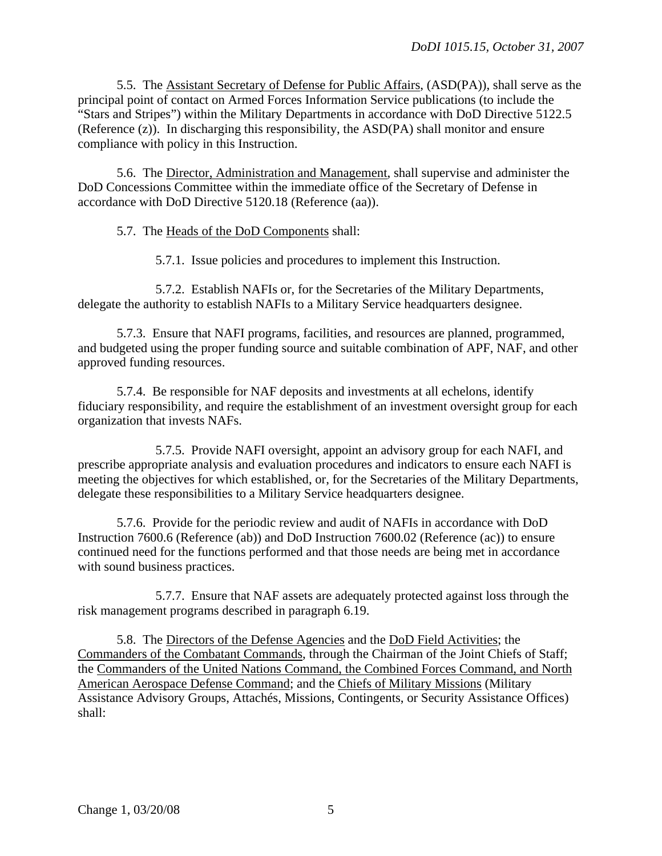5.5. The Assistant Secretary of Defense for Public Affairs, (ASD(PA)), shall serve as the principal point of contact on Armed Forces Information Service publications (to include the "Stars and Stripes") within the Military Departments in accordance with DoD Directive 5122.5 (Reference (z)). In discharging this responsibility, the ASD(PA) shall monitor and ensure compliance with policy in this Instruction.

 5.6. The Director, Administration and Management, shall supervise and administer the DoD Concessions Committee within the immediate office of the Secretary of Defense in accordance with DoD Directive 5120.18 (Reference (aa)).

5.7. The Heads of the DoD Components shall:

5.7.1. Issue policies and procedures to implement this Instruction.

 5.7.2. Establish NAFIs or, for the Secretaries of the Military Departments, delegate the authority to establish NAFIs to a Military Service headquarters designee.

5.7.3. Ensure that NAFI programs, facilities, and resources are planned, programmed, and budgeted using the proper funding source and suitable combination of APF, NAF, and other approved funding resources.

5.7.4. Be responsible for NAF deposits and investments at all echelons, identify fiduciary responsibility, and require the establishment of an investment oversight group for each organization that invests NAFs.

 5.7.5. Provide NAFI oversight, appoint an advisory group for each NAFI, and prescribe appropriate analysis and evaluation procedures and indicators to ensure each NAFI is meeting the objectives for which established, or, for the Secretaries of the Military Departments, delegate these responsibilities to a Military Service headquarters designee.

5.7.6. Provide for the periodic review and audit of NAFIs in accordance with DoD Instruction 7600.6 (Reference (ab)) and DoD Instruction 7600.02 (Reference (ac)) to ensure continued need for the functions performed and that those needs are being met in accordance with sound business practices.

 5.7.7. Ensure that NAF assets are adequately protected against loss through the risk management programs described in paragraph 6.19.

 5.8. The Directors of the Defense Agencies and the DoD Field Activities; the Commanders of the Combatant Commands, through the Chairman of the Joint Chiefs of Staff; the Commanders of the United Nations Command, the Combined Forces Command, and North American Aerospace Defense Command; and the Chiefs of Military Missions (Military Assistance Advisory Groups, Attachés, Missions, Contingents, or Security Assistance Offices) shall: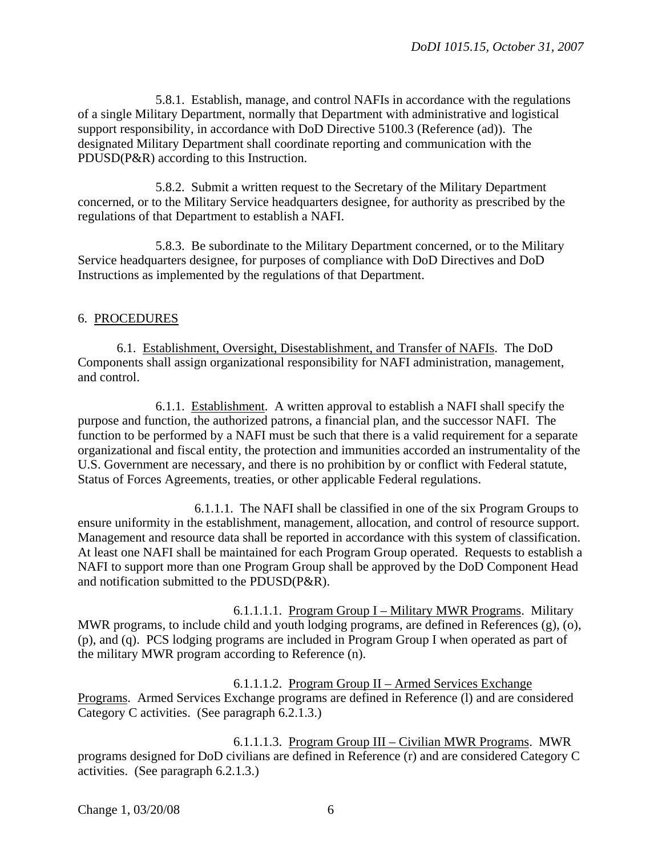5.8.1. Establish, manage, and control NAFIs in accordance with the regulations of a single Military Department, normally that Department with administrative and logistical support responsibility, in accordance with DoD Directive 5100.3 (Reference (ad)). The designated Military Department shall coordinate reporting and communication with the PDUSD(P&R) according to this Instruction.

 5.8.2. Submit a written request to the Secretary of the Military Department concerned, or to the Military Service headquarters designee, for authority as prescribed by the regulations of that Department to establish a NAFI.

 5.8.3. Be subordinate to the Military Department concerned, or to the Military Service headquarters designee, for purposes of compliance with DoD Directives and DoD Instructions as implemented by the regulations of that Department.

#### 6. PROCEDURES

 6.1. Establishment, Oversight, Disestablishment, and Transfer of NAFIs. The DoD Components shall assign organizational responsibility for NAFI administration, management, and control.

 6.1.1. Establishment. A written approval to establish a NAFI shall specify the purpose and function, the authorized patrons, a financial plan, and the successor NAFI. The function to be performed by a NAFI must be such that there is a valid requirement for a separate organizational and fiscal entity, the protection and immunities accorded an instrumentality of the U.S. Government are necessary, and there is no prohibition by or conflict with Federal statute, Status of Forces Agreements, treaties, or other applicable Federal regulations.

 6.1.1.1. The NAFI shall be classified in one of the six Program Groups to ensure uniformity in the establishment, management, allocation, and control of resource support. Management and resource data shall be reported in accordance with this system of classification. At least one NAFI shall be maintained for each Program Group operated. Requests to establish a NAFI to support more than one Program Group shall be approved by the DoD Component Head and notification submitted to the PDUSD(P&R).

 6.1.1.1.1. Program Group I – Military MWR Programs. Military MWR programs, to include child and youth lodging programs, are defined in References (g), (o), (p), and (q). PCS lodging programs are included in Program Group I when operated as part of the military MWR program according to Reference (n).

 6.1.1.1.2. Program Group II – Armed Services Exchange Programs. Armed Services Exchange programs are defined in Reference (l) and are considered Category C activities. (See paragraph 6.2.1.3.)

 6.1.1.1.3. Program Group III – Civilian MWR Programs. MWR programs designed for DoD civilians are defined in Reference (r) and are considered Category C activities. (See paragraph 6.2.1.3.)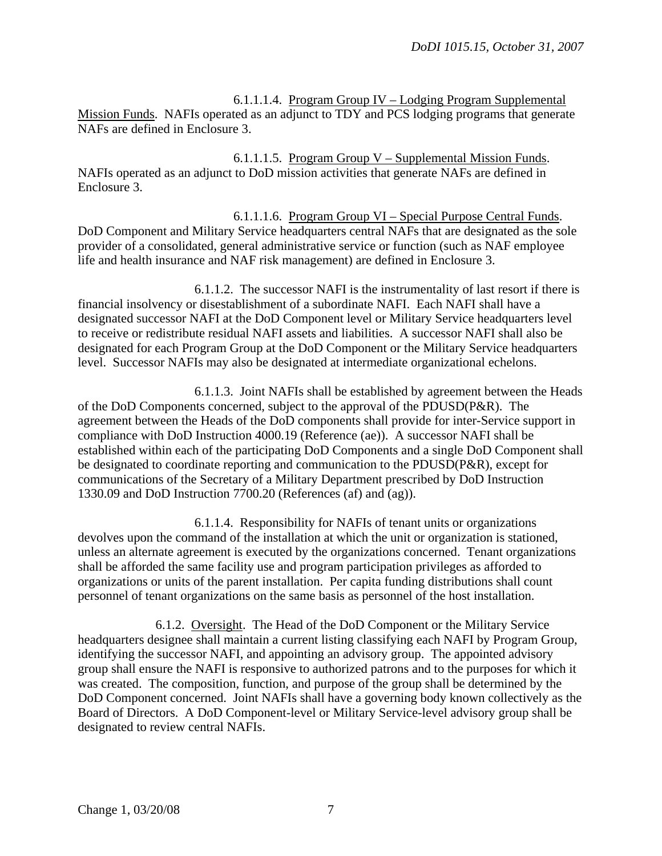6.1.1.1.4. Program Group IV – Lodging Program Supplemental Mission Funds. NAFIs operated as an adjunct to TDY and PCS lodging programs that generate NAFs are defined in Enclosure 3.

 6.1.1.1.5. Program Group V – Supplemental Mission Funds. NAFIs operated as an adjunct to DoD mission activities that generate NAFs are defined in Enclosure 3.

 6.1.1.1.6. Program Group VI – Special Purpose Central Funds. DoD Component and Military Service headquarters central NAFs that are designated as the sole provider of a consolidated, general administrative service or function (such as NAF employee life and health insurance and NAF risk management) are defined in Enclosure 3.

 6.1.1.2. The successor NAFI is the instrumentality of last resort if there is financial insolvency or disestablishment of a subordinate NAFI. Each NAFI shall have a designated successor NAFI at the DoD Component level or Military Service headquarters level to receive or redistribute residual NAFI assets and liabilities. A successor NAFI shall also be designated for each Program Group at the DoD Component or the Military Service headquarters level. Successor NAFIs may also be designated at intermediate organizational echelons.

 6.1.1.3. Joint NAFIs shall be established by agreement between the Heads of the DoD Components concerned, subject to the approval of the PDUSD(P&R). The agreement between the Heads of the DoD components shall provide for inter-Service support in compliance with DoD Instruction 4000.19 (Reference (ae)). A successor NAFI shall be established within each of the participating DoD Components and a single DoD Component shall be designated to coordinate reporting and communication to the PDUSD(P&R), except for communications of the Secretary of a Military Department prescribed by DoD Instruction 1330.09 and DoD Instruction 7700.20 (References (af) and (ag)).

 6.1.1.4. Responsibility for NAFIs of tenant units or organizations devolves upon the command of the installation at which the unit or organization is stationed, unless an alternate agreement is executed by the organizations concerned. Tenant organizations shall be afforded the same facility use and program participation privileges as afforded to organizations or units of the parent installation. Per capita funding distributions shall count personnel of tenant organizations on the same basis as personnel of the host installation.

 6.1.2. Oversight. The Head of the DoD Component or the Military Service headquarters designee shall maintain a current listing classifying each NAFI by Program Group, identifying the successor NAFI, and appointing an advisory group. The appointed advisory group shall ensure the NAFI is responsive to authorized patrons and to the purposes for which it was created. The composition, function, and purpose of the group shall be determined by the DoD Component concerned. Joint NAFIs shall have a governing body known collectively as the Board of Directors. A DoD Component-level or Military Service-level advisory group shall be designated to review central NAFIs.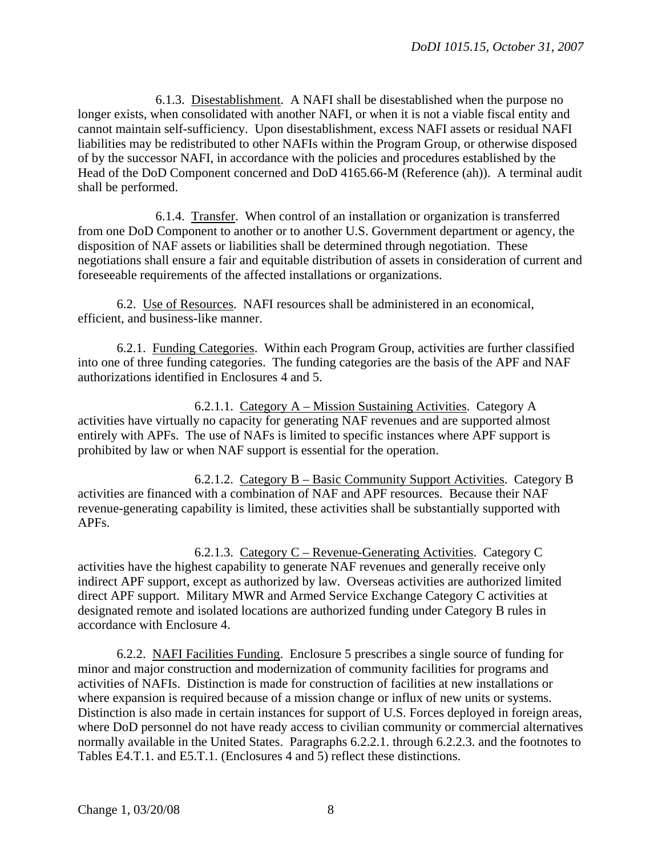6.1.3. Disestablishment. A NAFI shall be disestablished when the purpose no longer exists, when consolidated with another NAFI, or when it is not a viable fiscal entity and cannot maintain self-sufficiency. Upon disestablishment, excess NAFI assets or residual NAFI liabilities may be redistributed to other NAFIs within the Program Group, or otherwise disposed of by the successor NAFI, in accordance with the policies and procedures established by the Head of the DoD Component concerned and DoD 4165.66-M (Reference (ah)). A terminal audit shall be performed.

 6.1.4. Transfer. When control of an installation or organization is transferred from one DoD Component to another or to another U.S. Government department or agency, the disposition of NAF assets or liabilities shall be determined through negotiation. These negotiations shall ensure a fair and equitable distribution of assets in consideration of current and foreseeable requirements of the affected installations or organizations.

 6.2. Use of Resources. NAFI resources shall be administered in an economical, efficient, and business-like manner.

6.2.1. Funding Categories. Within each Program Group, activities are further classified into one of three funding categories. The funding categories are the basis of the APF and NAF authorizations identified in Enclosures 4 and 5.

 6.2.1.1. Category A – Mission Sustaining Activities. Category A activities have virtually no capacity for generating NAF revenues and are supported almost entirely with APFs. The use of NAFs is limited to specific instances where APF support is prohibited by law or when NAF support is essential for the operation.

 6.2.1.2. Category B – Basic Community Support Activities. Category B activities are financed with a combination of NAF and APF resources. Because their NAF revenue-generating capability is limited, these activities shall be substantially supported with APFs.

 6.2.1.3. Category C – Revenue-Generating Activities. Category C activities have the highest capability to generate NAF revenues and generally receive only indirect APF support, except as authorized by law. Overseas activities are authorized limited direct APF support. Military MWR and Armed Service Exchange Category C activities at designated remote and isolated locations are authorized funding under Category B rules in accordance with Enclosure 4.

6.2.2. NAFI Facilities Funding. Enclosure 5 prescribes a single source of funding for minor and major construction and modernization of community facilities for programs and activities of NAFIs. Distinction is made for construction of facilities at new installations or where expansion is required because of a mission change or influx of new units or systems. Distinction is also made in certain instances for support of U.S. Forces deployed in foreign areas, where DoD personnel do not have ready access to civilian community or commercial alternatives normally available in the United States. Paragraphs 6.2.2.1. through 6.2.2.3. and the footnotes to Tables E4.T.1. and E5.T.1. (Enclosures 4 and 5) reflect these distinctions.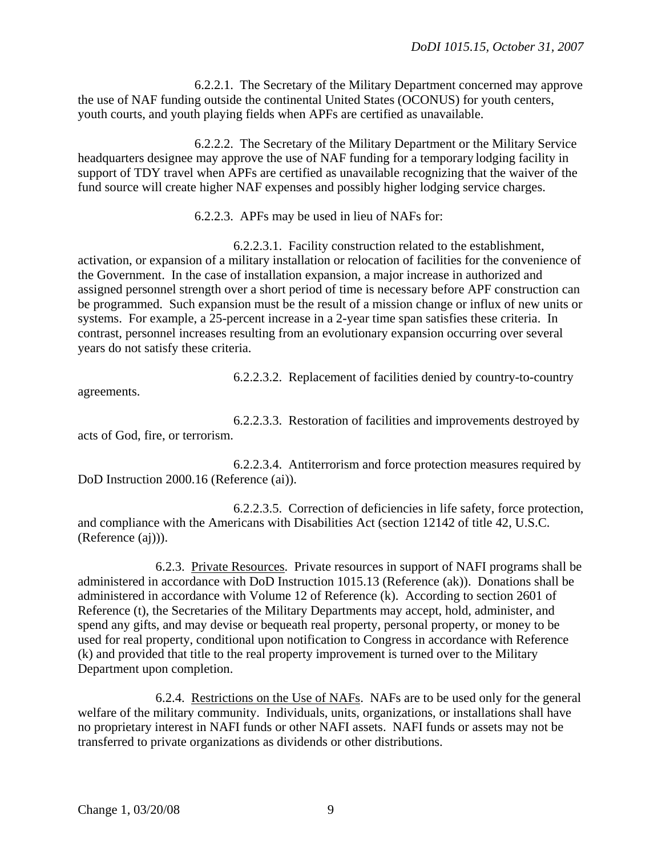6.2.2.1. The Secretary of the Military Department concerned may approve the use of NAF funding outside the continental United States (OCONUS) for youth centers, youth courts, and youth playing fields when APFs are certified as unavailable.

 6.2.2.2. The Secretary of the Military Department or the Military Service headquarters designee may approve the use of NAF funding for a temporary lodging facility in support of TDY travel when APFs are certified as unavailable recognizing that the waiver of the fund source will create higher NAF expenses and possibly higher lodging service charges.

6.2.2.3. APFs may be used in lieu of NAFs for:

 6.2.2.3.1. Facility construction related to the establishment, activation, or expansion of a military installation or relocation of facilities for the convenience of the Government. In the case of installation expansion, a major increase in authorized and assigned personnel strength over a short period of time is necessary before APF construction can be programmed. Such expansion must be the result of a mission change or influx of new units or systems. For example, a 25-percent increase in a 2-year time span satisfies these criteria. In contrast, personnel increases resulting from an evolutionary expansion occurring over several years do not satisfy these criteria.

6.2.2.3.2. Replacement of facilities denied by country-to-country

agreements.

 6.2.2.3.3. Restoration of facilities and improvements destroyed by acts of God, fire, or terrorism.

 6.2.2.3.4. Antiterrorism and force protection measures required by DoD Instruction 2000.16 (Reference (ai)).

 6.2.2.3.5. Correction of deficiencies in life safety, force protection, and compliance with the Americans with Disabilities Act (section 12142 of title 42, U.S.C. (Reference (aj))).

 6.2.3. Private Resources. Private resources in support of NAFI programs shall be administered in accordance with DoD Instruction 1015.13 (Reference (ak)). Donations shall be administered in accordance with Volume 12 of Reference (k). According to section 2601 of Reference (t), the Secretaries of the Military Departments may accept, hold, administer, and spend any gifts, and may devise or bequeath real property, personal property, or money to be used for real property, conditional upon notification to Congress in accordance with Reference (k) and provided that title to the real property improvement is turned over to the Military Department upon completion.

 6.2.4. Restrictions on the Use of NAFs. NAFs are to be used only for the general welfare of the military community. Individuals, units, organizations, or installations shall have no proprietary interest in NAFI funds or other NAFI assets. NAFI funds or assets may not be transferred to private organizations as dividends or other distributions.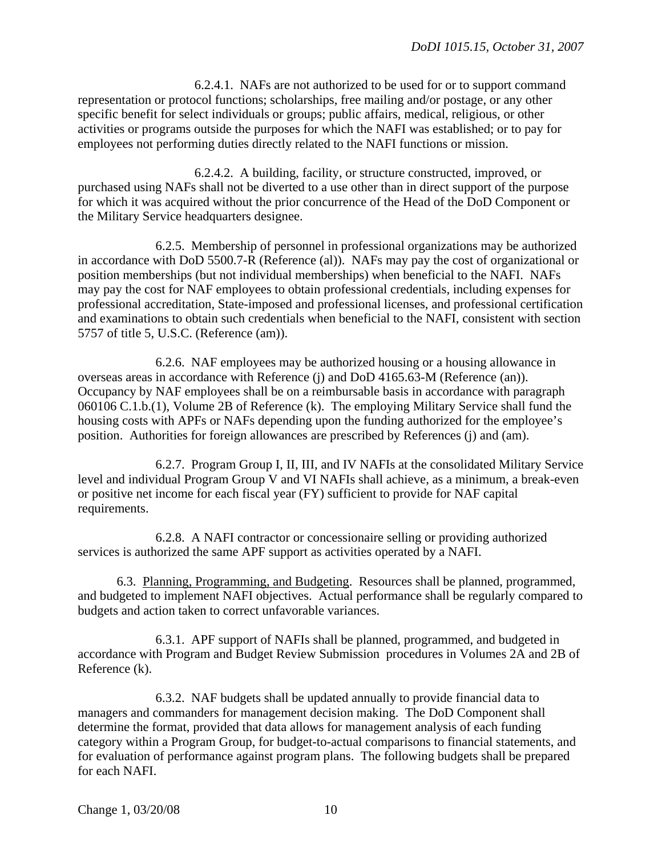6.2.4.1. NAFs are not authorized to be used for or to support command representation or protocol functions; scholarships, free mailing and/or postage, or any other specific benefit for select individuals or groups; public affairs, medical, religious, or other activities or programs outside the purposes for which the NAFI was established; or to pay for employees not performing duties directly related to the NAFI functions or mission.

 6.2.4.2. A building, facility, or structure constructed, improved, or purchased using NAFs shall not be diverted to a use other than in direct support of the purpose for which it was acquired without the prior concurrence of the Head of the DoD Component or the Military Service headquarters designee.

 6.2.5. Membership of personnel in professional organizations may be authorized in accordance with DoD 5500.7-R (Reference (al)). NAFs may pay the cost of organizational or position memberships (but not individual memberships) when beneficial to the NAFI. NAFs may pay the cost for NAF employees to obtain professional credentials, including expenses for professional accreditation, State-imposed and professional licenses, and professional certification and examinations to obtain such credentials when beneficial to the NAFI, consistent with section 5757 of title 5, U.S.C. (Reference (am)).

 6.2.6. NAF employees may be authorized housing or a housing allowance in overseas areas in accordance with Reference (j) and DoD 4165.63-M (Reference (an)). Occupancy by NAF employees shall be on a reimbursable basis in accordance with paragraph 060106 C.1.b.(1), Volume 2B of Reference (k). The employing Military Service shall fund the housing costs with APFs or NAFs depending upon the funding authorized for the employee's position. Authorities for foreign allowances are prescribed by References (j) and (am).

 6.2.7. Program Group I, II, III, and IV NAFIs at the consolidated Military Service level and individual Program Group V and VI NAFIs shall achieve, as a minimum, a break-even or positive net income for each fiscal year (FY) sufficient to provide for NAF capital requirements.

 6.2.8. A NAFI contractor or concessionaire selling or providing authorized services is authorized the same APF support as activities operated by a NAFI.

 6.3. Planning, Programming, and Budgeting. Resources shall be planned, programmed, and budgeted to implement NAFI objectives. Actual performance shall be regularly compared to budgets and action taken to correct unfavorable variances.

 6.3.1. APF support of NAFIs shall be planned, programmed, and budgeted in accordance with Program and Budget Review Submission procedures in Volumes 2A and 2B of Reference (k).

 6.3.2. NAF budgets shall be updated annually to provide financial data to managers and commanders for management decision making. The DoD Component shall determine the format, provided that data allows for management analysis of each funding category within a Program Group, for budget-to-actual comparisons to financial statements, and for evaluation of performance against program plans. The following budgets shall be prepared for each NAFI.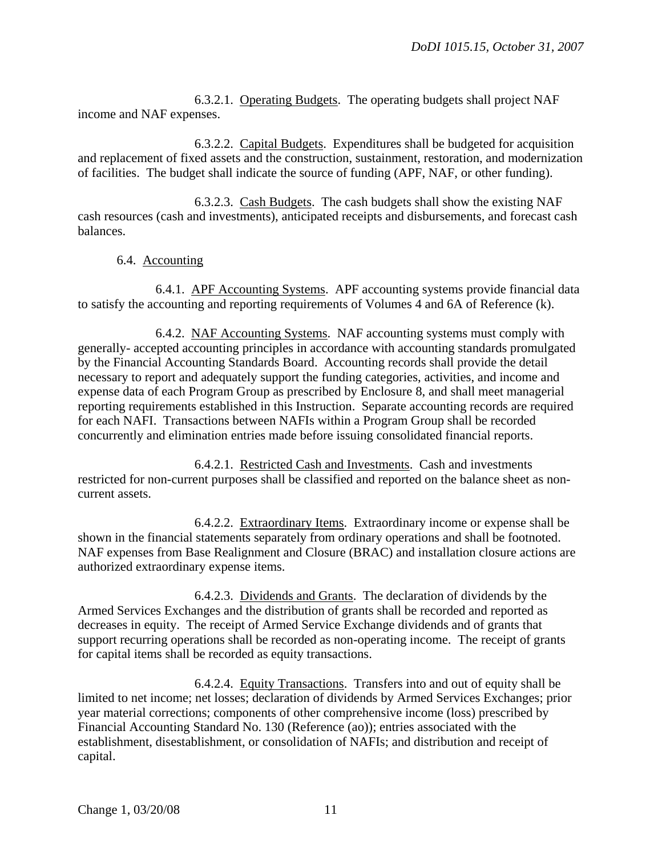6.3.2.1. Operating Budgets. The operating budgets shall project NAF income and NAF expenses.

 6.3.2.2. Capital Budgets. Expenditures shall be budgeted for acquisition and replacement of fixed assets and the construction, sustainment, restoration, and modernization of facilities. The budget shall indicate the source of funding (APF, NAF, or other funding).

 6.3.2.3. Cash Budgets. The cash budgets shall show the existing NAF cash resources (cash and investments), anticipated receipts and disbursements, and forecast cash balances.

#### 6.4. Accounting

 6.4.1. APF Accounting Systems. APF accounting systems provide financial data to satisfy the accounting and reporting requirements of Volumes 4 and 6A of Reference (k).

 6.4.2. NAF Accounting Systems. NAF accounting systems must comply with generally- accepted accounting principles in accordance with accounting standards promulgated by the Financial Accounting Standards Board. Accounting records shall provide the detail necessary to report and adequately support the funding categories, activities, and income and expense data of each Program Group as prescribed by [Enclosure 8, and shall meet managerial](#page-42-0)  [reporting requirements established in this Instruction. Separate accounting records are required](#page-42-0)  [for each NAFI.](#page-42-0) Transactions between NAFIs within a Program Group shall be recorded concurrently and elimination entries made before issuing consolidated financial reports.

 6.4.2.1. Restricted Cash and Investments. Cash and investments restricted for non-current purposes shall be classified and reported on the balance sheet as noncurrent assets.

 6.4.2.2. Extraordinary Items. Extraordinary income or expense shall be shown in the financial statements separately from ordinary operations and shall be footnoted. NAF expenses from Base Realignment and Closure (BRAC) and installation closure actions are authorized extraordinary expense items.

 6.4.2.3. Dividends and Grants. The declaration of dividends by the Armed Services Exchanges and the distribution of grants shall be recorded and reported as decreases in equity. The receipt of Armed Service Exchange dividends and of grants that support recurring operations shall be recorded as non-operating income. The receipt of grants for capital items shall be recorded as equity transactions.

 6.4.2.4. Equity Transactions. Transfers into and out of equity shall be limited to net income; net losses; declaration of dividends by Armed Services Exchanges; prior year material corrections; components of other comprehensive income (loss) prescribed by Financial Accounting Standard No. 130 (Reference (ao)); entries associated with the establishment, disestablishment, or consolidation of NAFIs; and distribution and receipt of capital.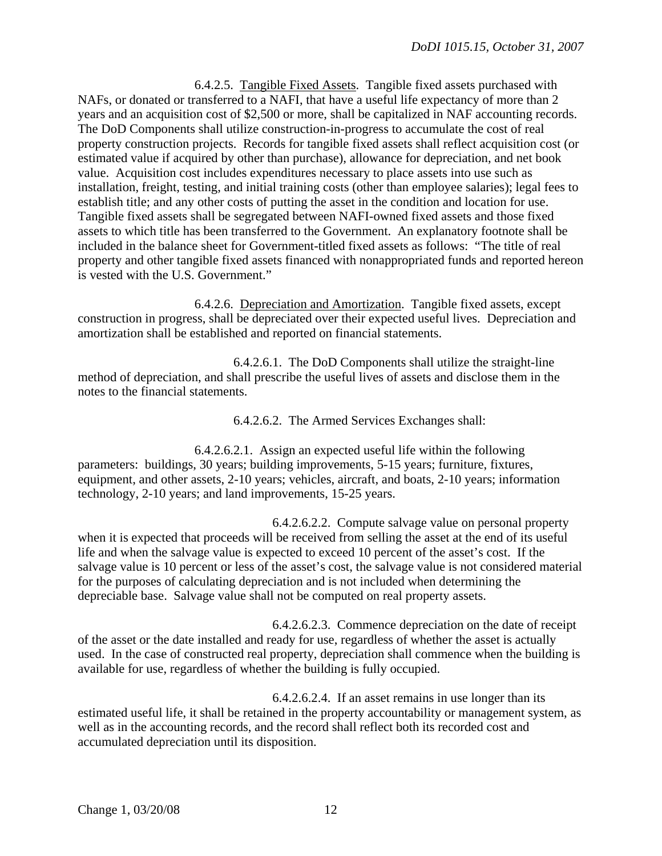6.4.2.5. Tangible Fixed Assets. Tangible fixed assets purchased with NAFs, or donated or transferred to a NAFI, that have a useful life expectancy of more than 2 years and an acquisition cost of \$2,500 or more, shall be capitalized in NAF accounting records. The DoD Components shall utilize construction-in-progress to accumulate the cost of real property construction projects. Records for tangible fixed assets shall reflect acquisition cost (or estimated value if acquired by other than purchase), allowance for depreciation, and net book value. Acquisition cost includes expenditures necessary to place assets into use such as installation, freight, testing, and initial training costs (other than employee salaries); legal fees to establish title; and any other costs of putting the asset in the condition and location for use. Tangible fixed assets shall be segregated between NAFI-owned fixed assets and those fixed assets to which title has been transferred to the Government. An explanatory footnote shall be included in the balance sheet for Government-titled fixed assets as follows: "The title of real property and other tangible fixed assets financed with nonappropriated funds and reported hereon is vested with the U.S. Government."

 6.4.2.6. Depreciation and Amortization. Tangible fixed assets, except construction in progress, shall be depreciated over their expected useful lives. Depreciation and amortization shall be established and reported on financial statements.

 6.4.2.6.1. The DoD Components shall utilize the straight-line method of depreciation, and shall prescribe the useful lives of assets and disclose them in the notes to the financial statements.

6.4.2.6.2. The Armed Services Exchanges shall:

 6.4.2.6.2.1. Assign an expected useful life within the following parameters: buildings, 30 years; building improvements, 5-15 years; furniture, fixtures, equipment, and other assets, 2-10 years; vehicles, aircraft, and boats, 2-10 years; information technology, 2-10 years; and land improvements, 15-25 years.

 6.4.2.6.2.2. Compute salvage value on personal property when it is expected that proceeds will be received from selling the asset at the end of its useful life and when the salvage value is expected to exceed 10 percent of the asset's cost. If the salvage value is 10 percent or less of the asset's cost, the salvage value is not considered material for the purposes of calculating depreciation and is not included when determining the depreciable base. Salvage value shall not be computed on real property assets.

 6.4.2.6.2.3. Commence depreciation on the date of receipt of the asset or the date installed and ready for use, regardless of whether the asset is actually used. In the case of constructed real property, depreciation shall commence when the building is available for use, regardless of whether the building is fully occupied.

 6.4.2.6.2.4. If an asset remains in use longer than its estimated useful life, it shall be retained in the property accountability or management system, as well as in the accounting records, and the record shall reflect both its recorded cost and accumulated depreciation until its disposition.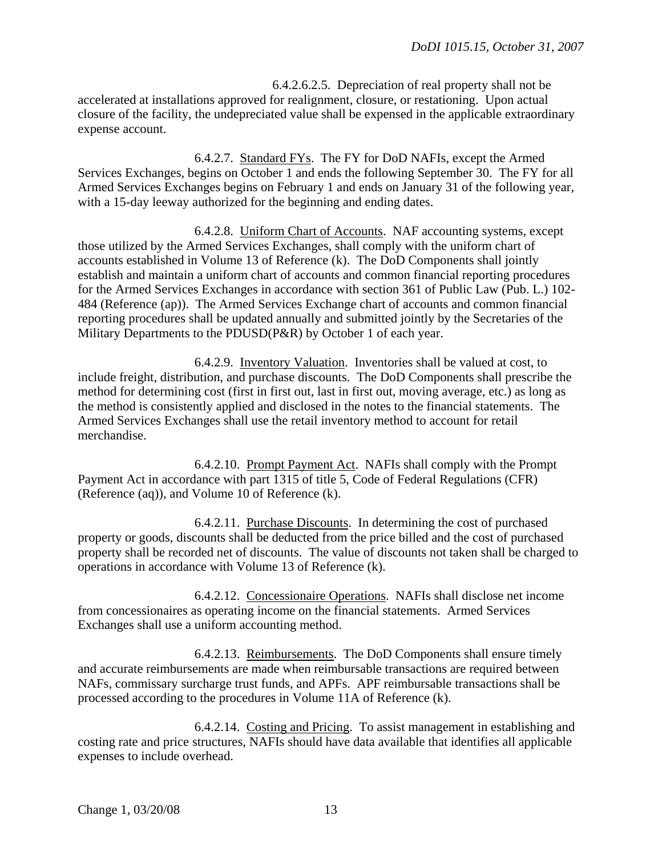6.4.2.6.2.5. Depreciation of real property shall not be accelerated at installations approved for realignment, closure, or restationing. Upon actual closure of the facility, the undepreciated value shall be expensed in the applicable extraordinary expense account.

 6.4.2.7. Standard FYs. The FY for DoD NAFIs, except the Armed Services Exchanges, begins on October 1 and ends the following September 30. The FY for all Armed Services Exchanges begins on February 1 and ends on January 31 of the following year, with a 15-day leeway authorized for the beginning and ending dates.

 6.4.2.8. Uniform Chart of Accounts. NAF accounting systems, except those utilized by the Armed Services Exchanges, shall comply with the uniform chart of accounts established in Volume 13 of Reference (k). The DoD Components shall jointly establish and maintain a uniform chart of accounts and common financial reporting procedures for the Armed Services Exchanges in accordance with section 361 of Public Law (Pub. L.) 102- 484 (Reference (ap)). The Armed Services Exchange chart of accounts and common financial reporting procedures shall be updated annually and submitted jointly by the Secretaries of the Military Departments to the PDUSD(P&R) by October 1 of each year.

 6.4.2.9. Inventory Valuation. Inventories shall be valued at cost, to include freight, distribution, and purchase discounts. The DoD Components shall prescribe the method for determining cost (first in first out, last in first out, moving average, etc.) as long as the method is consistently applied and disclosed in the notes to the financial statements. The Armed Services Exchanges shall use the retail inventory method to account for retail merchandise.

 6.4.2.10. Prompt Payment Act. NAFIs shall comply with the Prompt Payment Act in accordance with part 1315 of title 5, Code of Federal Regulations (CFR) (Reference (aq)), and Volume 10 of Reference (k).

 6.4.2.11. Purchase Discounts. In determining the cost of purchased property or goods, discounts shall be deducted from the price billed and the cost of purchased property shall be recorded net of discounts. The value of discounts not taken shall be charged to operations in accordance with Volume 13 of Reference (k).

 6.4.2.12. Concessionaire Operations. NAFIs shall disclose net income from concessionaires as operating income on the financial statements. Armed Services Exchanges shall use a uniform accounting method.

 6.4.2.13. Reimbursements. The DoD Components shall ensure timely and accurate reimbursements are made when reimbursable transactions are required between NAFs, commissary surcharge trust funds, and APFs. APF reimbursable transactions shall be processed according to the procedures in Volume 11A of Reference (k).

 6.4.2.14. Costing and Pricing. To assist management in establishing and costing rate and price structures, NAFIs should have data available that identifies all applicable expenses to include overhead.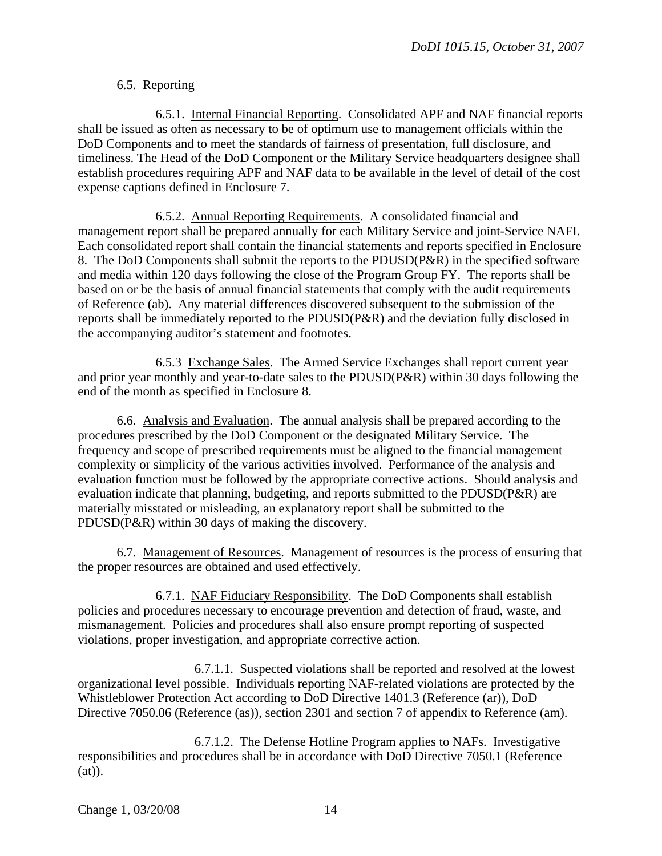#### 6.5. Reporting

 6.5.1. Internal Financial Reporting. Consolidated APF and NAF financial reports shall be issued as often as necessary to be of optimum use to management officials within the DoD Components and to meet the standards of fairness of presentation, full disclosure, and timeliness. The Head of the DoD Component or the Military Service headquarters designee shall establish procedures requiring APF and NAF data to be available in the level of detail of the cost expense captions defined in Enclosure 7.

<span id="page-13-0"></span> 6.5.2. Annual Reporting Requirements. A consolidated financial and management report shall be prepared annually for each Military Service and joint-Service NAFI. Each consolidated report shall contain the financial statements and reports specified in [Enclosure](#page-42-0)  [8.](#page-42-0) The DoD Components shall submit the reports to the PDUSD(P&R) in the specified software and media within 120 days following the close of the Program Group FY. The reports shall be based on or be the basis of annual financial statements that comply with the audit requirements of Reference (ab). Any material differences discovered subsequent to the submission of the reports shall be immediately reported to the PDUSD(P&R) and the deviation fully disclosed in the accompanying auditor's statement and footnotes.

 6.5.3 Exchange Sales. The Armed Service Exchanges shall report current year and prior year monthly and year-to-date sales to the PDUSD(P&R) within 30 days following the end of the month as specified in Enclosure 8.

 6.6. Analysis and Evaluation. The annual analysis shall be prepared according to the procedures prescribed by the DoD Component or the designated Military Service. The frequency and scope of prescribed requirements must be aligned to the financial management complexity or simplicity of the various activities involved. Performance of the analysis and evaluation function must be followed by the appropriate corrective actions. Should analysis and evaluation indicate that planning, budgeting, and reports submitted to the PDUSD(P&R) are materially misstated or misleading, an explanatory report shall be submitted to the PDUSD(P&R) within 30 days of making the discovery.

 6.7. Management of Resources. Management of resources is the process of ensuring that the proper resources are obtained and used effectively.

 6.7.1. NAF Fiduciary Responsibility. The DoD Components shall establish policies and procedures necessary to encourage prevention and detection of fraud, waste, and mismanagement. Policies and procedures shall also ensure prompt reporting of suspected violations, proper investigation, and appropriate corrective action.

 6.7.1.1. Suspected violations shall be reported and resolved at the lowest organizational level possible. Individuals reporting NAF-related violations are protected by the Whistleblower Protection Act according to DoD Directive 1401.3 (Reference (ar)), DoD Directive 7050.06 (Reference (as)), section 2301 and section 7 of appendix to Reference (am).

 6.7.1.2. The Defense Hotline Program applies to NAFs. Investigative responsibilities and procedures shall be in accordance with DoD Directive 7050.1 (Reference  $(at)$ ).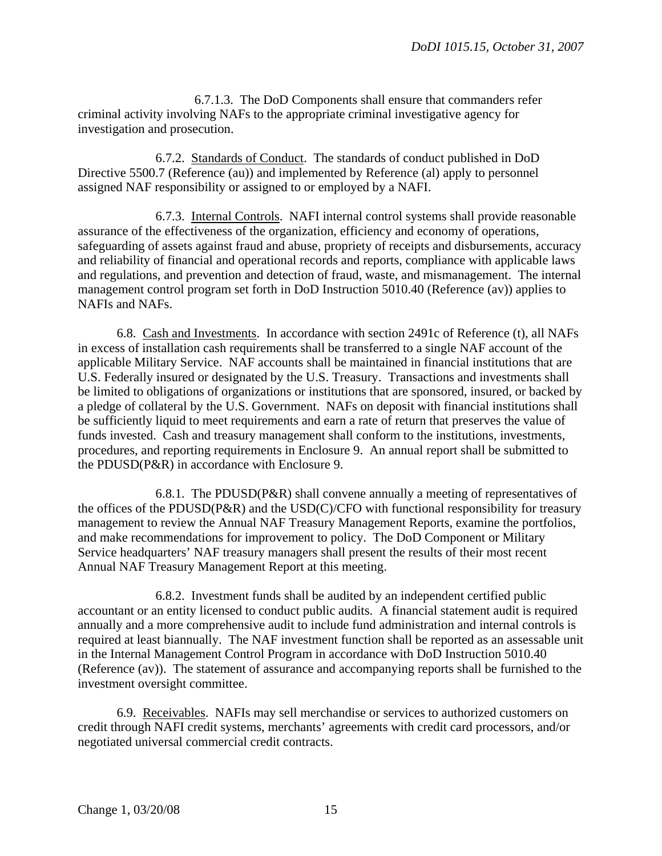6.7.1.3. The DoD Components shall ensure that commanders refer criminal activity involving NAFs to the appropriate criminal investigative agency for investigation and prosecution.

 6.7.2. Standards of Conduct. The standards of conduct published in DoD Directive 5500.7 (Reference (au)) and implemented by Reference (al) apply to personnel assigned NAF responsibility or assigned to or employed by a NAFI.

 6.7.3. Internal Controls. NAFI internal control systems shall provide reasonable assurance of the effectiveness of the organization, efficiency and economy of operations, safeguarding of assets against fraud and abuse, propriety of receipts and disbursements, accuracy and reliability of financial and operational records and reports, compliance with applicable laws and regulations, and prevention and detection of fraud, waste, and mismanagement. The internal management control program set forth in DoD Instruction 5010.40 (Reference (av)) applies to NAFIs and NAFs.

 6.8. Cash and Investments. In accordance with section 2491c of Reference (t), all NAFs in excess of installation cash requirements shall be transferred to a single NAF account of the applicable Military Service. NAF accounts shall be maintained in financial institutions that are U.S. Federally insured or designated by the U.S. Treasury. Transactions and investments shall be limited to obligations of organizations or institutions that are sponsored, insured, or backed by a pledge of collateral by the U.S. Government. NAFs on deposit with financial institutions shall be sufficiently liquid to meet requirements and earn a rate of return that preserves the value of funds invested. Cash and treasury management shall conform to the institutions, investments, procedures, and reporting requirements in Enclosure 9. An annual report shall be submitted to the PDUSD(P&R) in accordance with Enclosure 9.

 6.8.1. The PDUSD(P&R) shall convene annually a meeting of representatives of the offices of the PDUSD(P&R) and the USD(C)/CFO with functional responsibility for treasury management to review the Annual NAF Treasury Management Reports, examine the portfolios, and make recommendations for improvement to policy. The DoD Component or Military Service headquarters' NAF treasury managers shall present the results of their most recent Annual NAF Treasury Management Report at this meeting.

 6.8.2. Investment funds shall be audited by an independent certified public accountant or an entity licensed to conduct public audits. A financial statement audit is required annually and a more comprehensive audit to include fund administration and internal controls is required at least biannually. The NAF investment function shall be reported as an assessable unit in the Internal Management Control Program in accordance with DoD Instruction 5010.40 (Reference (av)). The statement of assurance and accompanying reports shall be furnished to the investment oversight committee.

<span id="page-14-0"></span> 6.9. Receivables. NAFIs may sell merchandise or services to authorized customers on credit through NAFI credit systems, merchants' agreements with credit card processors, and/or negotiated universal commercial credit contracts.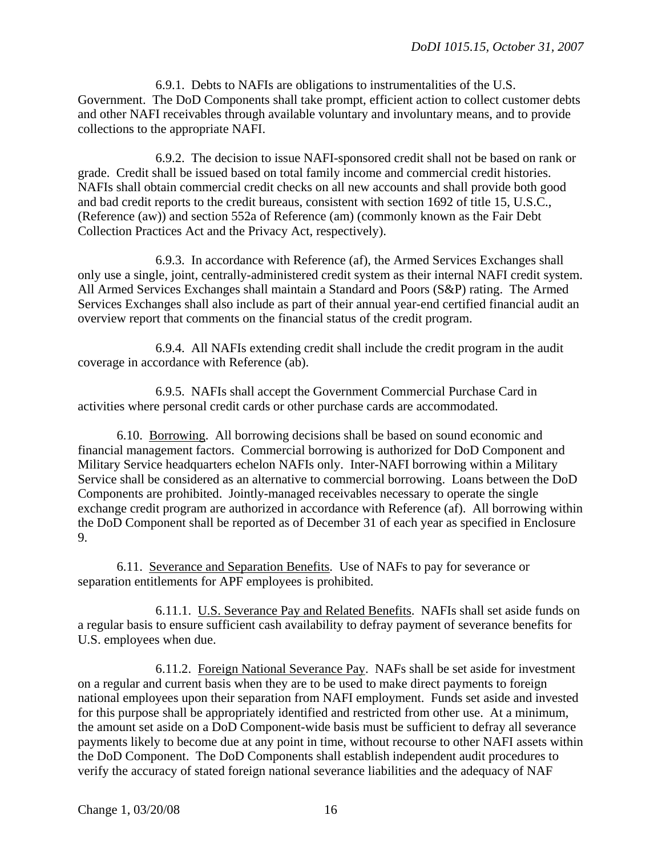6.9.1. Debts to NAFIs are obligations to instrumentalities of the U.S. Government. The DoD Components shall take prompt, efficient action to collect customer debts and other NAFI receivables through available voluntary and involuntary means, and to provide collections to the appropriate NAFI.

 6.9.2. The decision to issue NAFI-sponsored credit shall not be based on rank or grade. Credit shall be issued based on total family income and commercial credit histories. NAFIs shall obtain commercial credit checks on all new accounts and shall provide both good and bad credit reports to the credit bureaus, consistent with section 1692 of title 15, U.S.C., (Reference (aw)) and section 552a of Reference (am) (commonly known as the Fair Debt Collection Practices Act and the Privacy Act, respectively).

 6.9.3. In accordance with Reference (af), the Armed Services Exchanges shall only use a single, joint, centrally-administered credit system as their internal NAFI credit system. All Armed Services Exchanges shall maintain a Standard and Poors (S&P) rating. The Armed Services Exchanges shall also include as part of their annual year-end certified financial audit an overview report that comments on the financial status of the credit program.

 6.9.4. All NAFIs extending credit shall include the credit program in the audit coverage in accordance with Reference (ab).

 6.9.5. NAFIs shall accept the Government Commercial Purchase Card in activities where personal credit cards or other purchase cards are accommodated.

 6.10. Borrowing. All borrowing decisions shall be based on sound economic and financial management factors. Commercial borrowing is authorized for DoD Component and Military Service headquarters echelon NAFIs only. Inter-NAFI borrowing within a Military Service shall be considered as an alternative to commercial borrowing. Loans between the DoD Components are prohibited. Jointly-managed receivables necessary to operate the single exchange credit program are authorized in accordance with Reference (af). All borrowing within the DoD Component shall be reported as of December 31 of each year as specified in Enclosure 9.

 6.11. Severance and Separation Benefits. Use of NAFs to pay for severance or separation entitlements for APF employees is prohibited.

 6.11.1. U.S. Severance Pay and Related Benefits. NAFIs shall set aside funds on a regular basis to ensure sufficient cash availability to defray payment of severance benefits for U.S. employees when due.

 6.11.2. Foreign National Severance Pay. NAFs shall be set aside for investment on a regular and current basis when they are to be used to make direct payments to foreign national employees upon their separation from NAFI employment. Funds set aside and invested for this purpose shall be appropriately identified and restricted from other use. At a minimum, the amount set aside on a DoD Component-wide basis must be sufficient to defray all severance payments likely to become due at any point in time, without recourse to other NAFI assets within the DoD Component. The DoD Components shall establish independent audit procedures to verify the accuracy of stated foreign national severance liabilities and the adequacy of NAF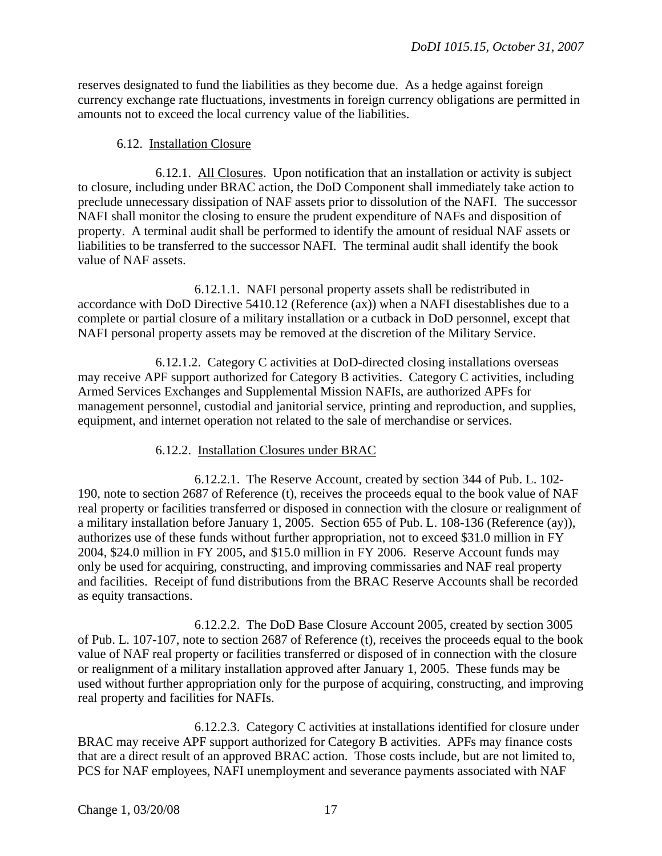reserves designated to fund the liabilities as they become due. As a hedge against foreign currency exchange rate fluctuations, investments in foreign currency obligations are permitted in amounts not to exceed the local currency value of the liabilities.

#### 6.12. Installation Closure

 6.12.1. All Closures. Upon notification that an installation or activity is subject to closure, including under BRAC action, the DoD Component shall immediately take action to preclude unnecessary dissipation of NAF assets prior to dissolution of the NAFI. The successor NAFI shall monitor the closing to ensure the prudent expenditure of NAFs and disposition of property. A terminal audit shall be performed to identify the amount of residual NAF assets or liabilities to be transferred to the successor NAFI. The terminal audit shall identify the book value of NAF assets.

 6.12.1.1. NAFI personal property assets shall be redistributed in accordance with DoD Directive 5410.12 (Reference (ax)) when a NAFI disestablishes due to a complete or partial closure of a military installation or a cutback in DoD personnel, except that NAFI personal property assets may be removed at the discretion of the Military Service.

 6.12.1.2. Category C activities at DoD-directed closing installations overseas may receive APF support authorized for Category B activities. Category C activities, including Armed Services Exchanges and Supplemental Mission NAFIs, are authorized APFs for management personnel, custodial and janitorial service, printing and reproduction, and supplies, equipment, and internet operation not related to the sale of merchandise or services.

#### 6.12.2. Installation Closures under BRAC

 6.12.2.1. The Reserve Account, created by section 344 of Pub. L. 102- 190, note to section 2687 of Reference (t), receives the proceeds equal to the book value of NAF real property or facilities transferred or disposed in connection with the closure or realignment of a military installation before January 1, 2005. Section 655 of Pub. L. 108-136 (Reference (ay)), authorizes use of these funds without further appropriation, not to exceed \$31.0 million in FY 2004, \$24.0 million in FY 2005, and \$15.0 million in FY 2006. Reserve Account funds may only be used for acquiring, constructing, and improving commissaries and NAF real property and facilities. Receipt of fund distributions from the BRAC Reserve Accounts shall be recorded as equity transactions.

 6.12.2.2. The DoD Base Closure Account 2005, created by section 3005 of Pub. L. 107-107, note to section 2687 of Reference (t), receives the proceeds equal to the book value of NAF real property or facilities transferred or disposed of in connection with the closure or realignment of a military installation approved after January 1, 2005. These funds may be used without further appropriation only for the purpose of acquiring, constructing, and improving real property and facilities for NAFIs.

 6.12.2.3. Category C activities at installations identified for closure under BRAC may receive APF support authorized for Category B activities. APFs may finance costs that are a direct result of an approved BRAC action. Those costs include, but are not limited to, PCS for NAF employees, NAFI unemployment and severance payments associated with NAF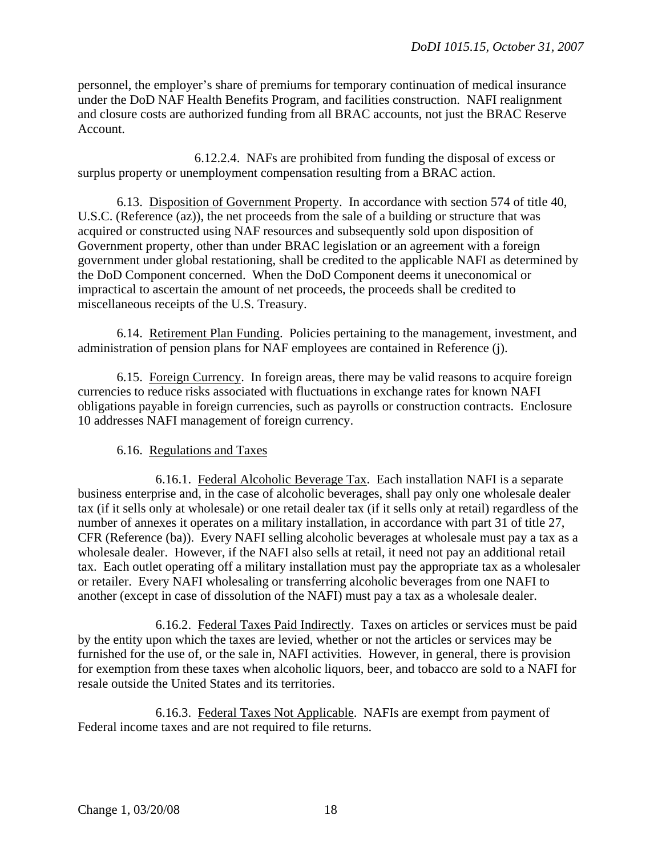personnel, the employer's share of premiums for temporary continuation of medical insurance under the DoD NAF Health Benefits Program, and facilities construction. NAFI realignment and closure costs are authorized funding from all BRAC accounts, not just the BRAC Reserve Account.

 6.12.2.4. NAFs are prohibited from funding the disposal of excess or surplus property or unemployment compensation resulting from a BRAC action.

 6.13. Disposition of Government Property. In accordance with section 574 of title 40, U.S.C. (Reference (az)), the net proceeds from the sale of a building or structure that was acquired or constructed using NAF resources and subsequently sold upon disposition of Government property, other than under BRAC legislation or an agreement with a foreign government under global restationing, shall be credited to the applicable NAFI as determined by the DoD Component concerned. When the DoD Component deems it uneconomical or impractical to ascertain the amount of net proceeds, the proceeds shall be credited to miscellaneous receipts of the U.S. Treasury.

 6.14. Retirement Plan Funding. Policies pertaining to the management, investment, and administration of pension plans for NAF employees are contained in Reference (j).

 6.15. Foreign Currency. In foreign areas, there may be valid reasons to acquire foreign currencies to reduce risks associated with fluctuations in exchange rates for known NAFI obligations payable in foreign currencies, such as payrolls or construction contracts. [Enclosure](#page-84-0)  [10](#page-84-0) addresses NAFI management of foreign currency.

#### 6.16. Regulations and Taxes

 6.16.1. Federal Alcoholic Beverage Tax. Each installation NAFI is a separate business enterprise and, in the case of alcoholic beverages, shall pay only one wholesale dealer tax (if it sells only at wholesale) or one retail dealer tax (if it sells only at retail) regardless of the number of annexes it operates on a military installation, in accordance with part 31 of title 27, CFR (Reference (ba)). Every NAFI selling alcoholic beverages at wholesale must pay a tax as a wholesale dealer. However, if the NAFI also sells at retail, it need not pay an additional retail tax. Each outlet operating off a military installation must pay the appropriate tax as a wholesaler or retailer. Every NAFI wholesaling or transferring alcoholic beverages from one NAFI to another (except in case of dissolution of the NAFI) must pay a tax as a wholesale dealer.

 6.16.2. Federal Taxes Paid Indirectly. Taxes on articles or services must be paid by the entity upon which the taxes are levied, whether or not the articles or services may be furnished for the use of, or the sale in, NAFI activities. However, in general, there is provision for exemption from these taxes when alcoholic liquors, beer, and tobacco are sold to a NAFI for resale outside the United States and its territories.

 6.16.3. Federal Taxes Not Applicable. NAFIs are exempt from payment of Federal income taxes and are not required to file returns.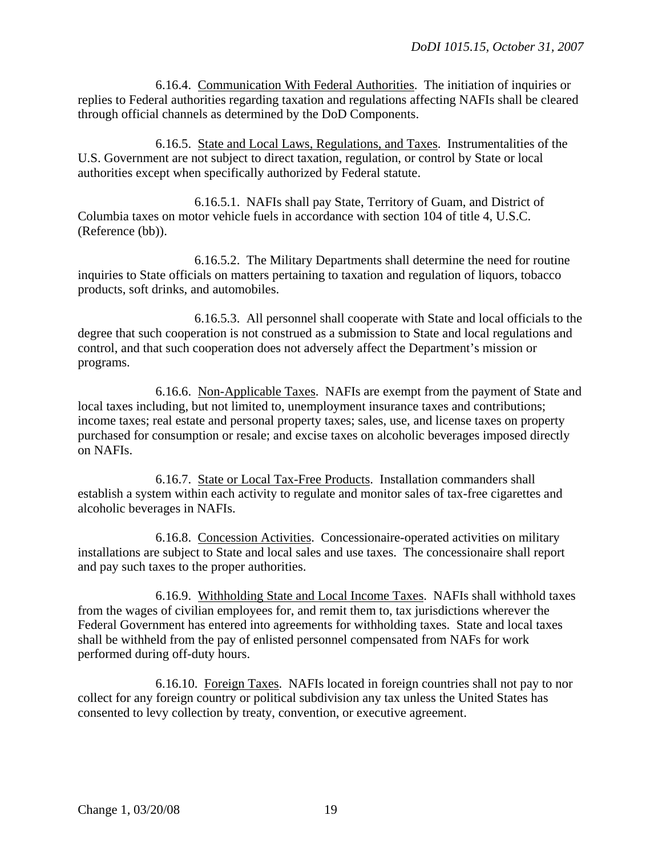6.16.4. Communication With Federal Authorities. The initiation of inquiries or replies to Federal authorities regarding taxation and regulations affecting NAFIs shall be cleared through official channels as determined by the DoD Components.

 6.16.5. State and Local Laws, Regulations, and Taxes. Instrumentalities of the U.S. Government are not subject to direct taxation, regulation, or control by State or local authorities except when specifically authorized by Federal statute.

 6.16.5.1. NAFIs shall pay State, Territory of Guam, and District of Columbia taxes on motor vehicle fuels in accordance with section 104 of title 4, U.S.C. (Reference (bb)).

 6.16.5.2. The Military Departments shall determine the need for routine inquiries to State officials on matters pertaining to taxation and regulation of liquors, tobacco products, soft drinks, and automobiles.

 6.16.5.3. All personnel shall cooperate with State and local officials to the degree that such cooperation is not construed as a submission to State and local regulations and control, and that such cooperation does not adversely affect the Department's mission or programs.

 6.16.6. Non-Applicable Taxes. NAFIs are exempt from the payment of State and local taxes including, but not limited to, unemployment insurance taxes and contributions; income taxes; real estate and personal property taxes; sales, use, and license taxes on property purchased for consumption or resale; and excise taxes on alcoholic beverages imposed directly on NAFIs.

 6.16.7. State or Local Tax-Free Products. Installation commanders shall establish a system within each activity to regulate and monitor sales of tax-free cigarettes and alcoholic beverages in NAFIs.

 6.16.8. Concession Activities. Concessionaire-operated activities on military installations are subject to State and local sales and use taxes. The concessionaire shall report and pay such taxes to the proper authorities.

 6.16.9. Withholding State and Local Income Taxes. NAFIs shall withhold taxes from the wages of civilian employees for, and remit them to, tax jurisdictions wherever the Federal Government has entered into agreements for withholding taxes. State and local taxes shall be withheld from the pay of enlisted personnel compensated from NAFs for work performed during off-duty hours.

 6.16.10. Foreign Taxes. NAFIs located in foreign countries shall not pay to nor collect for any foreign country or political subdivision any tax unless the United States has consented to levy collection by treaty, convention, or executive agreement.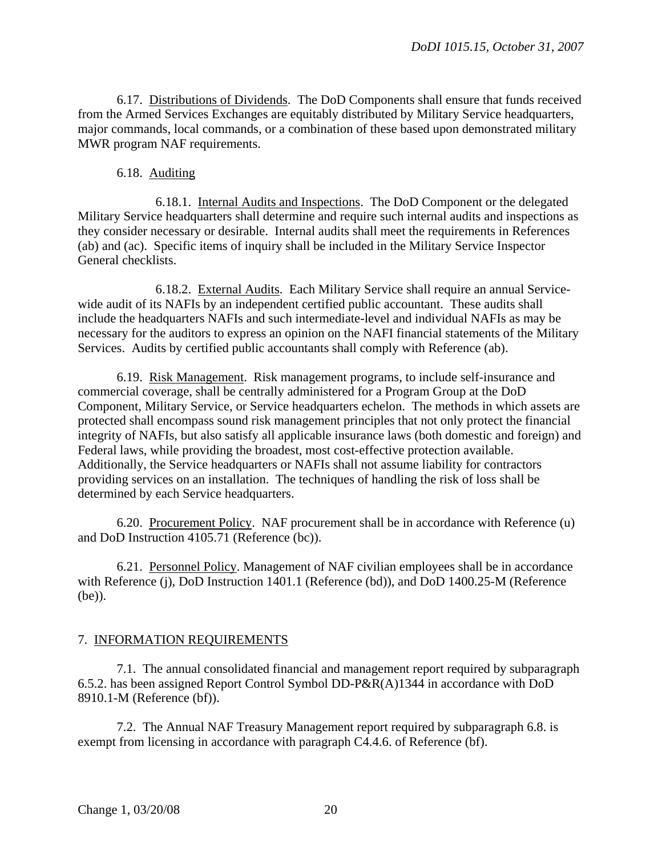6.17. Distributions of Dividends. The DoD Components shall ensure that funds received from the Armed Services Exchanges are equitably distributed by Military Service headquarters, major commands, local commands, or a combination of these based upon demonstrated military MWR program NAF requirements.

#### 6.18. Auditing

 6.18.1. Internal Audits and Inspections. The DoD Component or the delegated Military Service headquarters shall determine and require such internal audits and inspections as they consider necessary or desirable. Internal audits shall meet the requirements in References (ab) and (ac). Specific items of inquiry shall be included in the Military Service Inspector General checklists.

 6.18.2. External Audits. Each Military Service shall require an annual Servicewide audit of its NAFIs by an independent certified public accountant. These audits shall include the headquarters NAFIs and such intermediate-level and individual NAFIs as may be necessary for the auditors to express an opinion on the NAFI financial statements of the Military Services. Audits by certified public accountants shall comply with Reference (ab).

 6.19. Risk Management. Risk management programs, to include self-insurance and commercial coverage, shall be centrally administered for a Program Group at the DoD Component, Military Service, or Service headquarters echelon. The methods in which assets are protected shall encompass sound risk management principles that not only protect the financial integrity of NAFIs, but also satisfy all applicable insurance laws (both domestic and foreign) and Federal laws, while providing the broadest, most cost-effective protection available. Additionally, the Service headquarters or NAFIs shall not assume liability for contractors providing services on an installation. The techniques of handling the risk of loss shall be determined by each Service headquarters.

 6.20. Procurement Policy. NAF procurement shall be in accordance with Reference (u) and DoD Instruction 4105.71 (Reference (bc)).

 6.21. Personnel Policy. Management of NAF civilian employees shall be in accordance with Reference (j), DoD Instruction 1401.1 (Reference (bd)), and DoD 1400.25-M (Reference (be)).

#### 7. INFORMATION REQUIREMENTS

 7.1. The annual consolidated financial and management report required by [subparagraph](#page-13-0)  [6.5.2.](#page-13-0) has been assigned Report Control Symbol DD-P&R(A)1344 in accordance with DoD 8910.1-M (Reference (bf)).

 7.2. The Annual NAF Treasury Management report required by [subparagraph 6.8.](#page-14-0) is exempt from licensing in accordance with paragraph C4.4.6. of Reference (bf).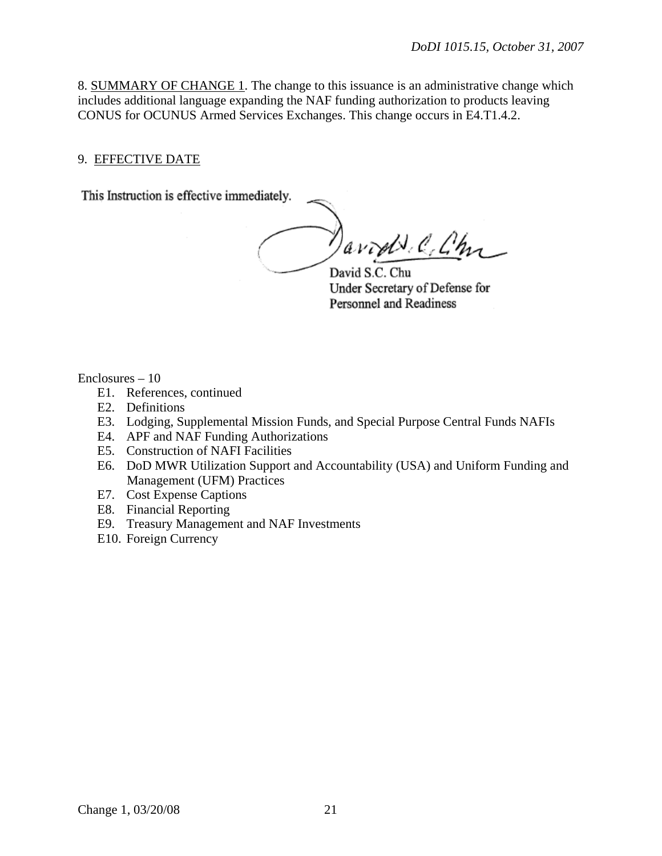8. SUMMARY OF CHANGE 1. The change to this issuance is an administrative change which includes additional language expanding the NAF funding authorization to products leaving CONUS for OCUNUS Armed Services Exchanges. This change occurs in E4.T1.4.2.

#### 9. EFFECTIVE DATE

This Instruction is effective immediately.

avod C. Ch

David S.C. Chu Under Secretary of Defense for Personnel and Readiness

Enclosures – 10

- E1. [References, continued](#page-20-0)
- E2. [Definitions](#page-23-0)
- E3. Lodging, Supplemental Mission Funds, and Special Purpose Central Funds NAFIs
- E4. [APF and NAF Funding Authorizations](#page-26-0)
- E5. Construction of NAFI Facilities
- E6. DoD MWR Utilization Support and Accountability (USA) and Uniform Funding and Management (UFM) Practices
- E7. Cost Expense Captions
- E8. [Financial Reporting](#page-42-0)
- E9. Treasury Management and NAF Investments
- <span id="page-20-0"></span>E10. [Foreign Currency](#page-84-0)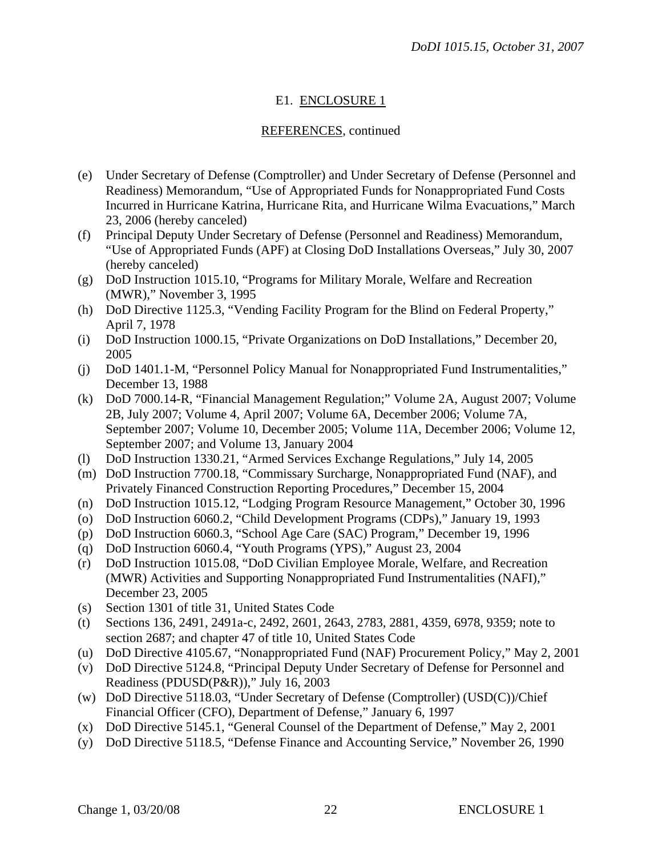## E1. ENCLOSURE 1

#### REFERENCES, continued

- (e) Under Secretary of Defense (Comptroller) and Under Secretary of Defense (Personnel and Readiness) Memorandum, "Use of Appropriated Funds for Nonappropriated Fund Costs Incurred in Hurricane Katrina, Hurricane Rita, and Hurricane Wilma Evacuations," March 23, 2006 (hereby canceled)
- (f) Principal Deputy Under Secretary of Defense (Personnel and Readiness) Memorandum, "Use of Appropriated Funds (APF) at Closing DoD Installations Overseas," July 30, 2007 (hereby canceled)
- (g) DoD Instruction 1015.10, "Programs for Military Morale, Welfare and Recreation (MWR)," November 3, 1995
- (h) DoD Directive 1125.3, "Vending Facility Program for the Blind on Federal Property," April 7, 1978
- (i) DoD Instruction 1000.15, "Private Organizations on DoD Installations," December 20, 2005
- (j) DoD 1401.1-M, "Personnel Policy Manual for Nonappropriated Fund Instrumentalities," December 13, 1988
- <span id="page-21-0"></span>(k) DoD 7000.14-R, "Financial Management Regulation;" Volume 2A, August 2007; Volume 2B, July 2007; Volume 4, April 2007; Volume 6A, December 2006; Volume 7A, September 2007; Volume 10, December 2005; Volume 11A, December 2006; Volume 12, September 2007; and Volume 13, January 2004
- (l) DoD Instruction 1330.21, "Armed Services Exchange Regulations," July 14, 2005
- (m) DoD Instruction 7700.18, "Commissary Surcharge, Nonappropriated Fund (NAF), and Privately Financed Construction Reporting Procedures," December 15, 2004
- (n) DoD Instruction 1015.12, "Lodging Program Resource Management," October 30, 1996
- (o) DoD Instruction 6060.2, "Child Development Programs (CDPs)," January 19, 1993
- (p) DoD Instruction 6060.3, "School Age Care (SAC) Program," December 19, 1996
- (q) DoD Instruction 6060.4, "Youth Programs (YPS)," August 23, 2004
- (r) DoD Instruction 1015.08, "DoD Civilian Employee Morale, Welfare, and Recreation (MWR) Activities and Supporting Nonappropriated Fund Instrumentalities (NAFI)," December 23, 2005
- (s) Section 1301 of title 31, United States Code
- (t) Sections 136, 2491, 2491a-c, 2492, 2601, 2643, 2783, 2881, 4359, 6978, 9359; note to section 2687; and chapter 47 of title 10, United States Code
- (u) DoD Directive 4105.67, "Nonappropriated Fund (NAF) Procurement Policy," May 2, 2001
- (v) DoD Directive 5124.8, "Principal Deputy Under Secretary of Defense for Personnel and Readiness (PDUSD(P&R))," July 16, 2003
- (w) DoD Directive 5118.03, "Under Secretary of Defense (Comptroller) (USD(C))/Chief Financial Officer (CFO), Department of Defense," January 6, 1997
- (x) DoD Directive 5145.1, "General Counsel of the Department of Defense," May 2, 2001
- (y) DoD Directive 5118.5, "Defense Finance and Accounting Service," November 26, 1990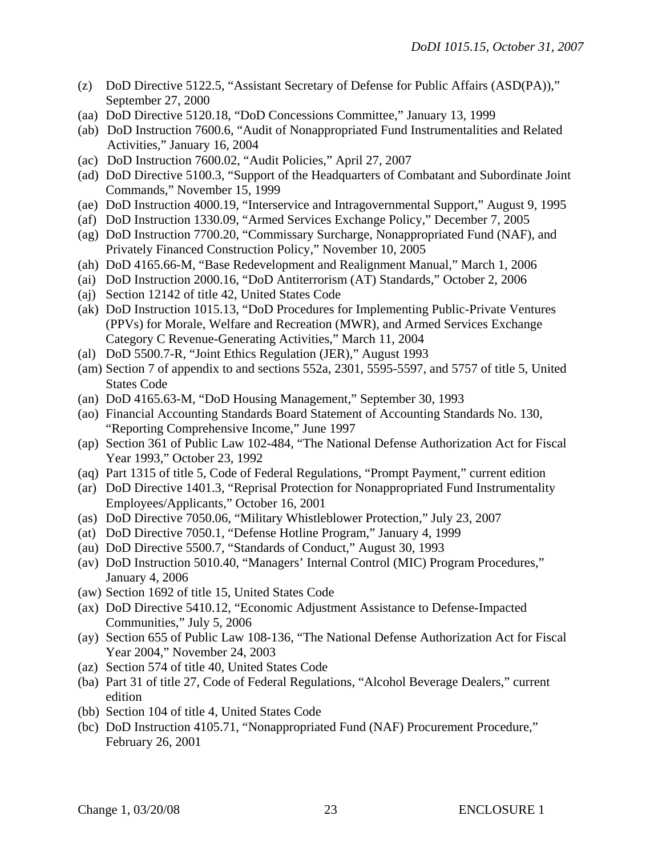- (z) DoD Directive 5122.5, "Assistant Secretary of Defense for Public Affairs (ASD(PA))," September 27, 2000
- (aa) DoD Directive 5120.18, "DoD Concessions Committee," January 13, 1999
- (ab) DoD Instruction 7600.6, "Audit of Nonappropriated Fund Instrumentalities and Related Activities," January 16, 2004
- (ac) DoD Instruction 7600.02, "Audit Policies," April 27, 2007
- (ad) DoD Directive 5100.3, "Support of the Headquarters of Combatant and Subordinate Joint Commands," November 15, 1999
- (ae) DoD Instruction 4000.19, "Interservice and Intragovernmental Support," August 9, 1995
- (af) DoD Instruction 1330.09, "Armed Services Exchange Policy," December 7, 2005
- (ag) DoD Instruction 7700.20, "Commissary Surcharge, Nonappropriated Fund (NAF), and Privately Financed Construction Policy," November 10, 2005
- (ah) DoD 4165.66-M, "Base Redevelopment and Realignment Manual," March 1, 2006
- (ai) DoD Instruction 2000.16, "DoD Antiterrorism (AT) Standards," October 2, 2006
- (aj) Section 12142 of title 42, United States Code
- (ak) DoD Instruction 1015.13, "DoD Procedures for Implementing Public-Private Ventures (PPVs) for Morale, Welfare and Recreation (MWR), and Armed Services Exchange Category C Revenue-Generating Activities," March 11, 2004
- (al) DoD 5500.7-R, "Joint Ethics Regulation (JER)," August 1993
- (am) Section 7 of appendix to and sections 552a, 2301, 5595-5597, and 5757 of title 5, United States Code
- (an) DoD 4165.63-M, "DoD Housing Management," September 30, 1993
- (ao) Financial Accounting Standards Board Statement of Accounting Standards No. 130, "Reporting Comprehensive Income," June 1997
- (ap) Section 361 of Public Law 102-484, "The National Defense Authorization Act for Fiscal Year 1993," October 23, 1992
- (aq) Part 1315 of title 5, Code of Federal Regulations, "Prompt Payment," current edition
- (ar) DoD Directive 1401.3, "Reprisal Protection for Nonappropriated Fund Instrumentality Employees/Applicants," October 16, 2001
- (as) DoD Directive 7050.06, "Military Whistleblower Protection," July 23, 2007
- (at) DoD Directive 7050.1, "Defense Hotline Program," January 4, 1999
- (au) DoD Directive 5500.7, "Standards of Conduct," August 30, 1993
- (av) DoD Instruction 5010.40, "Managers' Internal Control (MIC) Program Procedures," January 4, 2006
- (aw) Section 1692 of title 15, United States Code
- (ax) DoD Directive 5410.12, "Economic Adjustment Assistance to Defense-Impacted Communities," July 5, 2006
- (ay) Section 655 of Public Law 108-136, "The National Defense Authorization Act for Fiscal Year 2004," November 24, 2003
- (az) Section 574 of title 40, United States Code
- (ba) Part 31 of title 27, Code of Federal Regulations, "Alcohol Beverage Dealers," current edition
- (bb) Section 104 of title 4, United States Code
- (bc) DoD Instruction 4105.71, "Nonappropriated Fund (NAF) Procurement Procedure," February 26, 2001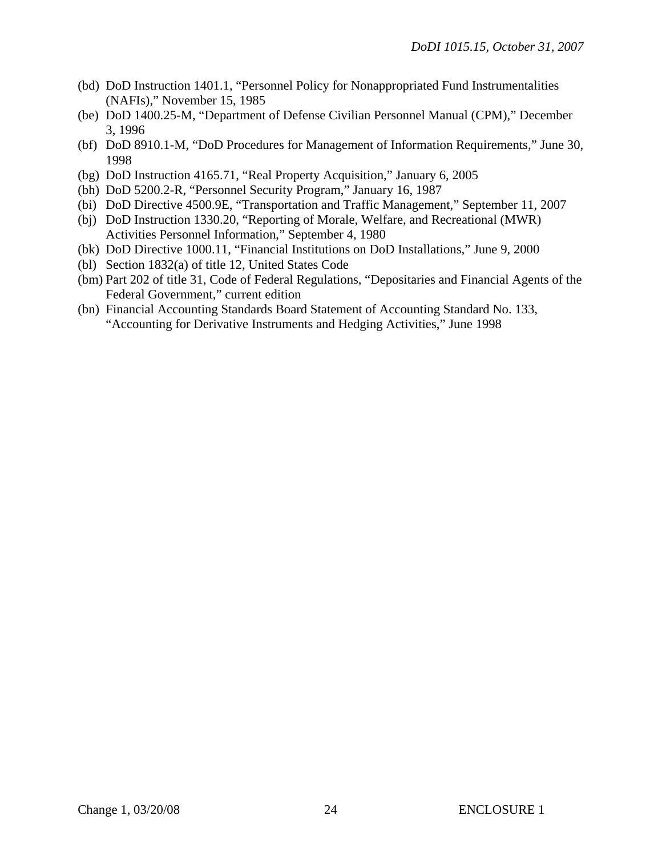- (bd) DoD Instruction 1401.1, "Personnel Policy for Nonappropriated Fund Instrumentalities (NAFIs)," November 15, 1985
- (be) DoD 1400.25-M, "Department of Defense Civilian Personnel Manual (CPM)," December 3, 1996
- (bf) DoD 8910.1-M, "DoD Procedures for Management of Information Requirements," June 30, 1998
- (bg) DoD Instruction 4165.71, "Real Property Acquisition," January 6, 2005
- (bh) DoD 5200.2-R, "Personnel Security Program," January 16, 1987
- (bi) DoD Directive 4500.9E, "Transportation and Traffic Management," September 11, 2007
- (bj) DoD Instruction 1330.20, "Reporting of Morale, Welfare, and Recreational (MWR) Activities Personnel Information," September 4, 1980
- (bk) DoD Directive 1000.11, "Financial Institutions on DoD Installations," June 9, 2000
- (bl) Section 1832(a) of title 12, United States Code
- (bm) Part 202 of title 31, Code of Federal Regulations, "Depositaries and Financial Agents of the Federal Government," current edition
- <span id="page-23-0"></span>(bn) Financial Accounting Standards Board Statement of Accounting Standard No. 133, "Accounting for Derivative Instruments and Hedging Activities," June 1998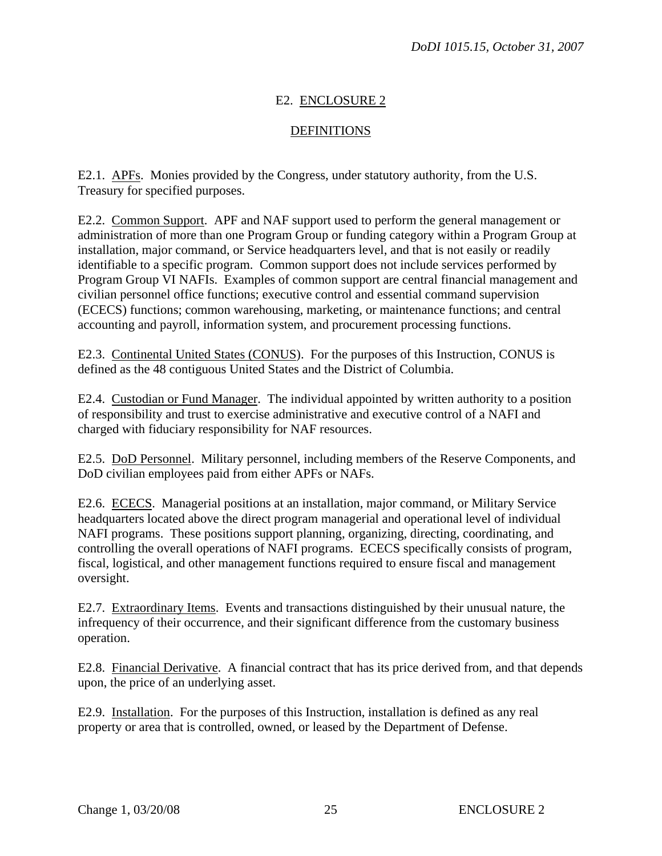## E2. ENCLOSURE 2

#### **DEFINITIONS**

E2.1. APFs. Monies provided by the Congress, under statutory authority, from the U.S. Treasury for specified purposes.

E2.2. Common Support. APF and NAF support used to perform the general management or administration of more than one Program Group or funding category within a Program Group at installation, major command, or Service headquarters level, and that is not easily or readily identifiable to a specific program. Common support does not include services performed by Program Group VI NAFIs. Examples of common support are central financial management and civilian personnel office functions; executive control and essential command supervision (ECECS) functions; common warehousing, marketing, or maintenance functions; and central accounting and payroll, information system, and procurement processing functions.

E2.3. Continental United States (CONUS). For the purposes of this Instruction, CONUS is defined as the 48 contiguous United States and the District of Columbia.

E2.4. Custodian or Fund Manager. The individual appointed by written authority to a position of responsibility and trust to exercise administrative and executive control of a NAFI and charged with fiduciary responsibility for NAF resources.

E2.5. DoD Personnel. Military personnel, including members of the Reserve Components, and DoD civilian employees paid from either APFs or NAFs.

E2.6. ECECS. Managerial positions at an installation, major command, or Military Service headquarters located above the direct program managerial and operational level of individual NAFI programs. These positions support planning, organizing, directing, coordinating, and controlling the overall operations of NAFI programs. ECECS specifically consists of program, fiscal, logistical, and other management functions required to ensure fiscal and management oversight.

E2.7. Extraordinary Items. Events and transactions distinguished by their unusual nature, the infrequency of their occurrence, and their significant difference from the customary business operation.

E2.8. Financial Derivative. A financial contract that has its price derived from, and that depends upon, the price of an underlying asset.

E2.9. Installation. For the purposes of this Instruction, installation is defined as any real property or area that is controlled, owned, or leased by the Department of Defense.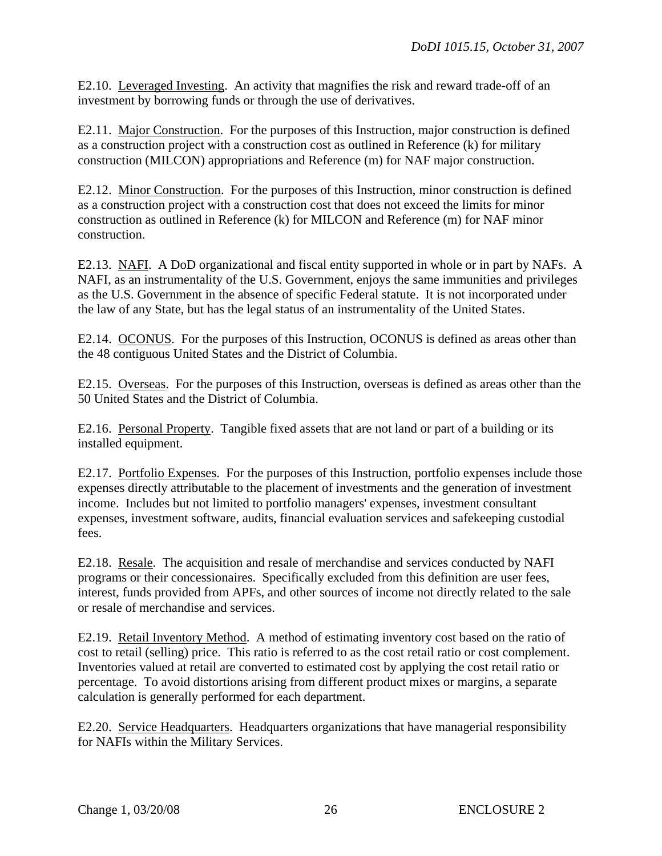E2.10. Leveraged Investing. An activity that magnifies the risk and reward trade-off of an investment by borrowing funds or through the use of derivatives.

E2.11. Major Construction. For the purposes of this Instruction, major construction is defined as a construction project with a construction cost as outlined in Reference (k) for military construction (MILCON) appropriations and Reference (m) for NAF major construction.

E2.12. Minor Construction. For the purposes of this Instruction, minor construction is defined as a construction project with a construction cost that does not exceed the limits for minor construction as outlined in Reference (k) for MILCON and Reference (m) for NAF minor construction.

E2.13. NAFI. A DoD organizational and fiscal entity supported in whole or in part by NAFs. A NAFI, as an instrumentality of the U.S. Government, enjoys the same immunities and privileges as the U.S. Government in the absence of specific Federal statute. It is not incorporated under the law of any State, but has the legal status of an instrumentality of the United States.

E2.14. OCONUS. For the purposes of this Instruction, OCONUS is defined as areas other than the 48 contiguous United States and the District of Columbia.

E2.15. Overseas. For the purposes of this Instruction, overseas is defined as areas other than the 50 United States and the District of Columbia.

E2.16. Personal Property. Tangible fixed assets that are not land or part of a building or its installed equipment.

E2.17. Portfolio Expenses. For the purposes of this Instruction, portfolio expenses include those expenses directly attributable to the placement of investments and the generation of investment income. Includes but not limited to portfolio managers' expenses, investment consultant expenses, investment software, audits, financial evaluation services and safekeeping custodial fees.

E2.18. Resale. The acquisition and resale of merchandise and services conducted by NAFI programs or their concessionaires. Specifically excluded from this definition are user fees, interest, funds provided from APFs, and other sources of income not directly related to the sale or resale of merchandise and services.

E2.19. Retail Inventory Method. A method of estimating inventory cost based on the ratio of cost to retail (selling) price. This ratio is referred to as the cost retail ratio or cost complement. Inventories valued at retail are converted to estimated cost by applying the cost retail ratio or percentage. To avoid distortions arising from different product mixes or margins, a separate calculation is generally performed for each department.

E2.20. Service Headquarters. Headquarters organizations that have managerial responsibility for NAFIs within the Military Services.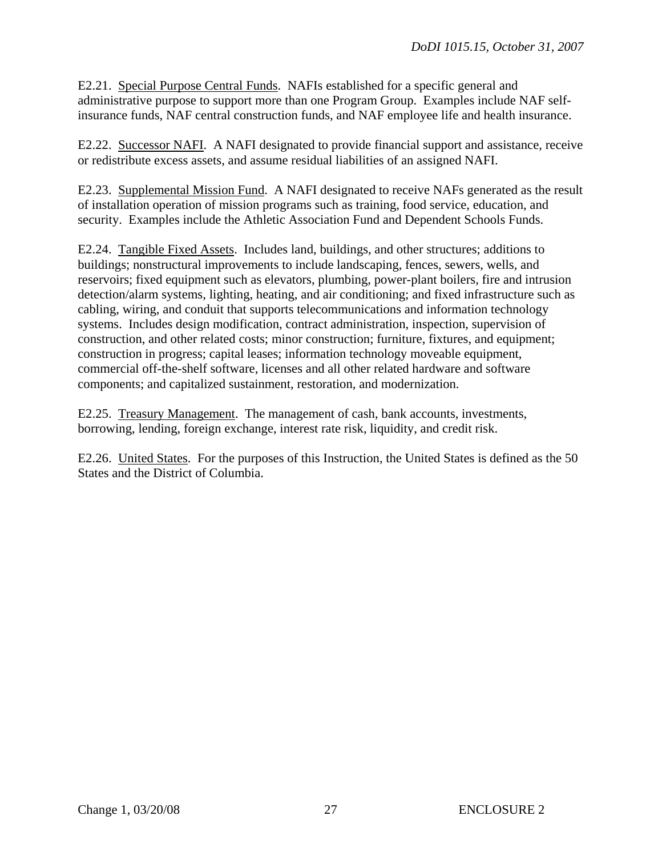E2.21. Special Purpose Central Funds. NAFIs established for a specific general and administrative purpose to support more than one Program Group. Examples include NAF selfinsurance funds, NAF central construction funds, and NAF employee life and health insurance.

E2.22. Successor NAFI. A NAFI designated to provide financial support and assistance, receive or redistribute excess assets, and assume residual liabilities of an assigned NAFI.

E2.23. Supplemental Mission Fund. A NAFI designated to receive NAFs generated as the result of installation operation of mission programs such as training, food service, education, and security. Examples include the Athletic Association Fund and Dependent Schools Funds.

E2.24. Tangible Fixed Assets. Includes land, buildings, and other structures; additions to buildings; nonstructural improvements to include landscaping, fences, sewers, wells, and reservoirs; fixed equipment such as elevators, plumbing, power-plant boilers, fire and intrusion detection/alarm systems, lighting, heating, and air conditioning; and fixed infrastructure such as cabling, wiring, and conduit that supports telecommunications and information technology systems. Includes design modification, contract administration, inspection, supervision of construction, and other related costs; minor construction; furniture, fixtures, and equipment; construction in progress; capital leases; information technology moveable equipment, commercial off-the-shelf software, licenses and all other related hardware and software components; and capitalized sustainment, restoration, and modernization.

E2.25. Treasury Management. The management of cash, bank accounts, investments, borrowing, lending, foreign exchange, interest rate risk, liquidity, and credit risk.

<span id="page-26-0"></span>E2.26. United States. For the purposes of this Instruction, the United States is defined as the 50 States and the District of Columbia.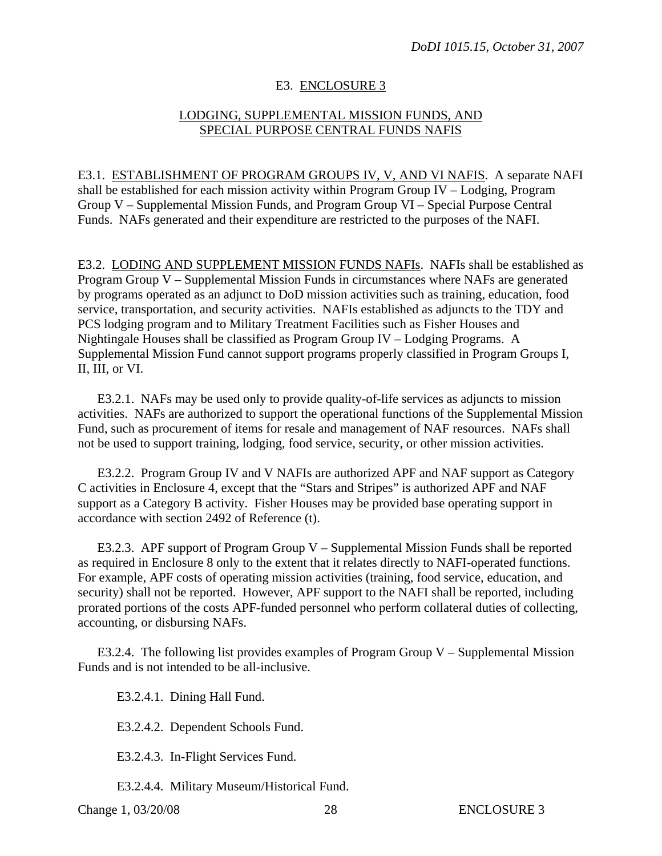#### E3. ENCLOSURE 3

#### LODGING, SUPPLEMENTAL MISSION FUNDS, AND SPECIAL PURPOSE CENTRAL FUNDS NAFIS

E3.1. ESTABLISHMENT OF PROGRAM GROUPS IV, V, AND VI NAFIS. A separate NAFI shall be established for each mission activity within Program Group IV – Lodging, Program Group V – Supplemental Mission Funds, and Program Group VI – Special Purpose Central Funds. NAFs generated and their expenditure are restricted to the purposes of the NAFI.

E3.2. LODING AND SUPPLEMENT MISSION FUNDS NAFIs. NAFIs shall be established as Program Group V – Supplemental Mission Funds in circumstances where NAFs are generated by programs operated as an adjunct to DoD mission activities such as training, education, food service, transportation, and security activities. NAFIs established as adjuncts to the TDY and PCS lodging program and to Military Treatment Facilities such as Fisher Houses and Nightingale Houses shall be classified as Program Group IV – Lodging Programs. A Supplemental Mission Fund cannot support programs properly classified in Program Groups I, II, III, or VI.

E3.2.1. NAFs may be used only to provide quality-of-life services as adjuncts to mission activities. NAFs are authorized to support the operational functions of the Supplemental Mission Fund, such as procurement of items for resale and management of NAF resources. NAFs shall not be used to support training, lodging, food service, security, or other mission activities.

E3.2.2. Program Group IV and V NAFIs are authorized APF and NAF support as Category C activities in [Enclosure 4,](#page-26-0) except that the "Stars and Stripes" is authorized APF and NAF support as a Category B activity. Fisher Houses may be provided base operating support in accordance with section 2492 of Reference (t).

E3.2.3. APF support of Program Group V – Supplemental Mission Funds shall be reported as required in [Enclosure 8](#page-42-0) only to the extent that it relates directly to NAFI-operated functions. For example, APF costs of operating mission activities (training, food service, education, and security) shall not be reported. However, APF support to the NAFI shall be reported, including prorated portions of the costs APF-funded personnel who perform collateral duties of collecting, accounting, or disbursing NAFs.

E3.2.4. The following list provides examples of Program Group  $V -$  Supplemental Mission Funds and is not intended to be all-inclusive.

E3.2.4.1. Dining Hall Fund.

E3.2.4.2. Dependent Schools Fund.

E3.2.4.3. In-Flight Services Fund.

E3.2.4.4. Military Museum/Historical Fund.

Change 1, 03/20/08 28 ENCLOSURE 3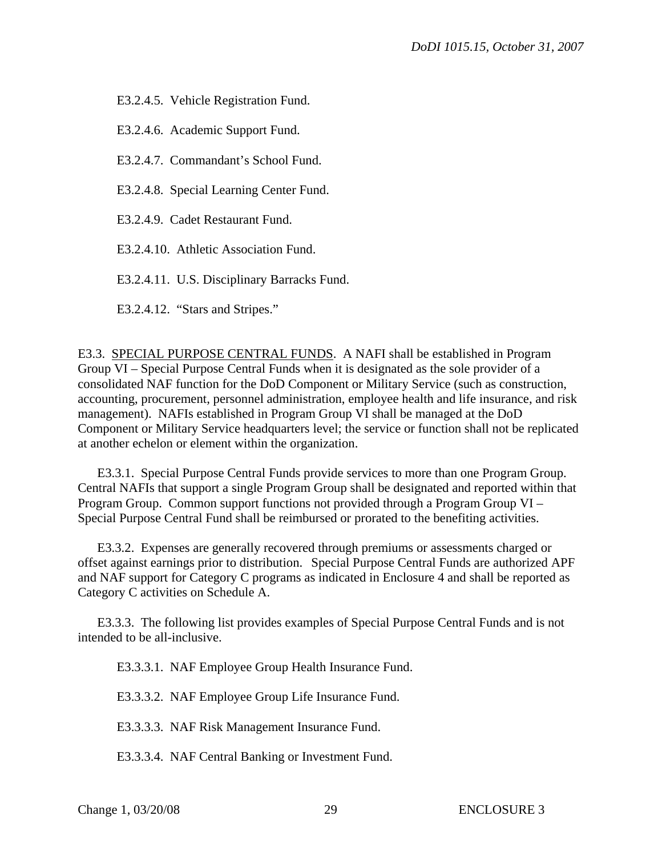E3.2.4.5. Vehicle Registration Fund.

E3.2.4.6. Academic Support Fund.

E3.2.4.7. Commandant's School Fund.

E3.2.4.8. Special Learning Center Fund.

E3.2.4.9. Cadet Restaurant Fund.

E3.2.4.10. Athletic Association Fund.

E3.2.4.11. U.S. Disciplinary Barracks Fund.

E3.2.4.12. "Stars and Stripes."

E3.3. SPECIAL PURPOSE CENTRAL FUNDS. A NAFI shall be established in Program Group VI – Special Purpose Central Funds when it is designated as the sole provider of a consolidated NAF function for the DoD Component or Military Service (such as construction, accounting, procurement, personnel administration, employee health and life insurance, and risk management). NAFIs established in Program Group VI shall be managed at the DoD Component or Military Service headquarters level; the service or function shall not be replicated at another echelon or element within the organization.

 E3.3.1. Special Purpose Central Funds provide services to more than one Program Group. Central NAFIs that support a single Program Group shall be designated and reported within that Program Group. Common support functions not provided through a Program Group VI – Special Purpose Central Fund shall be reimbursed or prorated to the benefiting activities.

 E3.3.2. Expenses are generally recovered through premiums or assessments charged or offset against earnings prior to distribution. Special Purpose Central Funds are authorized APF and NAF support for Category C programs as indicated in [Enclosure 4](#page-26-0) and shall be reported as Category C activities on Schedule A.

 E3.3.3. The following list provides examples of Special Purpose Central Funds and is not intended to be all-inclusive.

E3.3.3.1. NAF Employee Group Health Insurance Fund.

E3.3.3.2. NAF Employee Group Life Insurance Fund.

E3.3.3.3. NAF Risk Management Insurance Fund.

E3.3.3.4. NAF Central Banking or Investment Fund.

Change 1, 03/20/08 29 ENCLOSURE 3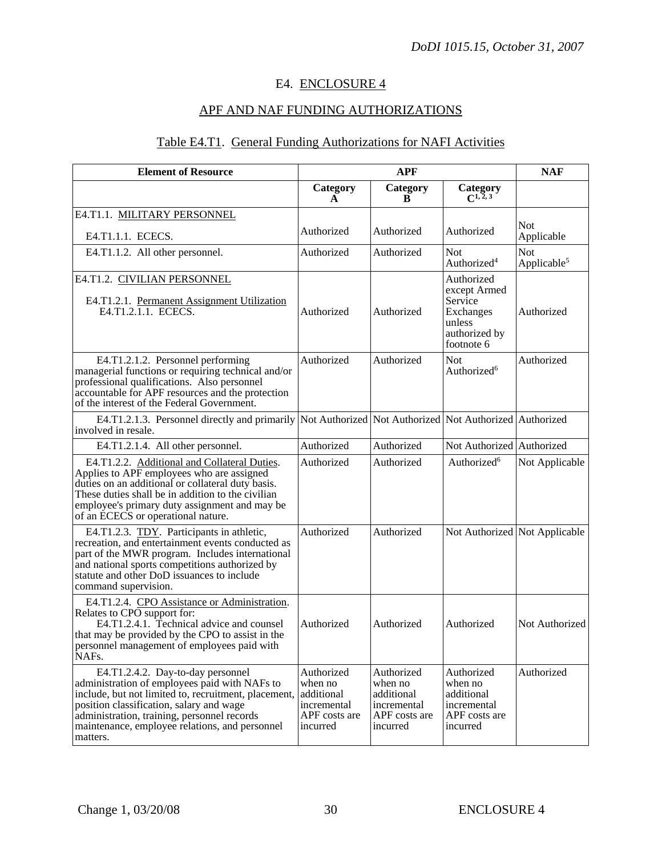## E4. ENCLOSURE 4

## APF AND NAF FUNDING AUTHORIZATIONS

## Table E4.T1. General Funding Authorizations for NAFI Activities

| <b>Element of Resource</b>                                                                                                                                                                                                                                                                          | <b>APF</b>                                                                      |                                                                                 |                                                                                             | <b>NAF</b>                            |
|-----------------------------------------------------------------------------------------------------------------------------------------------------------------------------------------------------------------------------------------------------------------------------------------------------|---------------------------------------------------------------------------------|---------------------------------------------------------------------------------|---------------------------------------------------------------------------------------------|---------------------------------------|
|                                                                                                                                                                                                                                                                                                     | Category<br>A                                                                   | Category<br>В                                                                   | Category<br>$C^{1,2,3}$                                                                     |                                       |
| E4.T1.1. MILITARY PERSONNEL<br>E4.T1.1.1. ECECS.                                                                                                                                                                                                                                                    | Authorized                                                                      | Authorized                                                                      | Authorized                                                                                  | <b>Not</b><br>Applicable              |
| E4.T1.1.2. All other personnel.                                                                                                                                                                                                                                                                     | Authorized                                                                      | Authorized                                                                      | <b>Not</b><br>Authorized <sup>4</sup>                                                       | <b>Not</b><br>Applicable <sup>5</sup> |
| E4.T1.2. CIVILIAN PERSONNEL<br>E4.T1.2.1. Permanent Assignment Utilization<br>E4.T1.2.1.1. ECECS.                                                                                                                                                                                                   | Authorized                                                                      | Authorized                                                                      | Authorized<br>except Armed<br>Service<br>Exchanges<br>unless<br>authorized by<br>footnote 6 | Authorized                            |
| E4.T1.2.1.2. Personnel performing<br>managerial functions or requiring technical and/or<br>professional qualifications. Also personnel<br>accountable for APF resources and the protection<br>of the interest of the Federal Government.                                                            | Authorized                                                                      | Authorized                                                                      | <b>Not</b><br>Authorized <sup>6</sup>                                                       | Authorized                            |
| E4.T1.2.1.3. Personnel directly and primarily Not Authorized Not Authorized Not Authorized Authorized<br>involved in resale.                                                                                                                                                                        |                                                                                 |                                                                                 |                                                                                             |                                       |
| E4.T1.2.1.4. All other personnel.                                                                                                                                                                                                                                                                   | Authorized                                                                      | Authorized                                                                      | Not Authorized                                                                              | Authorized                            |
| E4.T1.2.2. Additional and Collateral Duties.<br>Applies to APF employees who are assigned<br>duties on an additional or collateral duty basis.<br>These duties shall be in addition to the civilian<br>employee's primary duty assignment and may be<br>of an ECECS or operational nature.          | Authorized                                                                      | Authorized                                                                      | Authorized <sup>6</sup>                                                                     | Not Applicable                        |
| E4.T1.2.3. TDY. Participants in athletic,<br>recreation, and entertainment events conducted as<br>part of the MWR program. Includes international<br>and national sports competitions authorized by<br>statute and other DoD issuances to include<br>command supervision.                           | Authorized                                                                      | Authorized                                                                      | Not Authorized Not Applicable                                                               |                                       |
| E4.T1.2.4. CPO Assistance or Administration.<br>Relates to CPO support for:<br>E4.T1.2.4.1. Technical advice and counsel<br>that may be provided by the CPO to assist in the<br>personnel management of employees paid with<br>NAFs.                                                                | Authorized                                                                      | Authorized                                                                      | Authorized                                                                                  | Not Authorized                        |
| E4.T1.2.4.2. Day-to-day personnel<br>administration of employees paid with NAFs to<br>include, but not limited to, recruitment, placement,<br>position classification, salary and wage<br>administration, training, personnel records<br>maintenance, employee relations, and personnel<br>matters. | Authorized<br>when no<br>additional<br>incremental<br>APF costs are<br>incurred | Authorized<br>when no<br>additional<br>incremental<br>APF costs are<br>incurred | Authorized<br>when no<br>additional<br>incremental<br>APF costs are<br>incurred             | Authorized                            |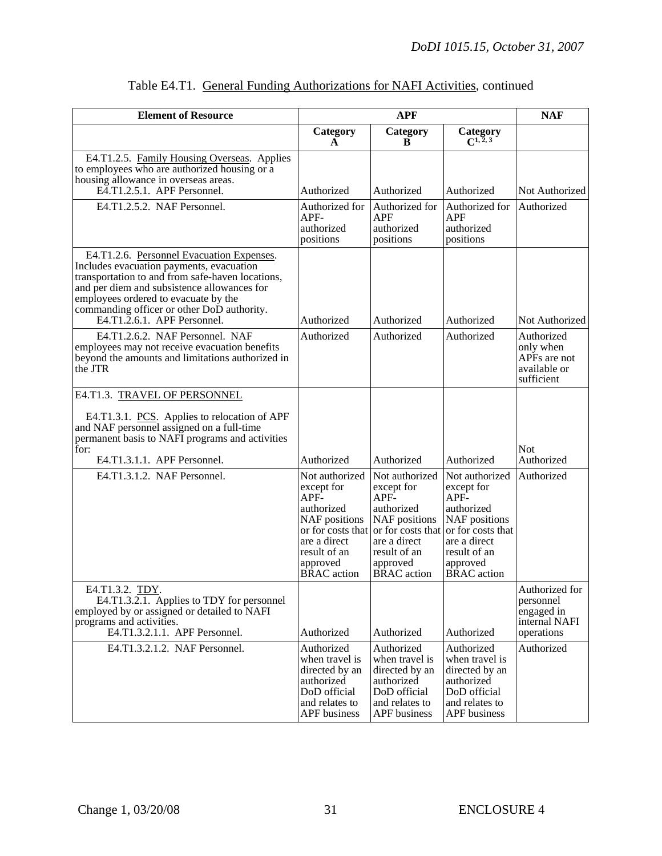| <b>Element of Resource</b>                                                                                                                                                                                                                                                                                                                       | <b>APF</b>                                                                                                                                                 |                                                                                                                                                                   |                                                                                                                                                              | <b>NAF</b>                                                               |
|--------------------------------------------------------------------------------------------------------------------------------------------------------------------------------------------------------------------------------------------------------------------------------------------------------------------------------------------------|------------------------------------------------------------------------------------------------------------------------------------------------------------|-------------------------------------------------------------------------------------------------------------------------------------------------------------------|--------------------------------------------------------------------------------------------------------------------------------------------------------------|--------------------------------------------------------------------------|
|                                                                                                                                                                                                                                                                                                                                                  | Category<br>A                                                                                                                                              | Category<br>в                                                                                                                                                     | Category<br>$C^{1, 2, 3}$                                                                                                                                    |                                                                          |
| E4.T1.2.5. Family Housing Overseas. Applies<br>to employees who are authorized housing or a<br>housing allowance in overseas areas.<br>E4.T1.2.5.1. APF Personnel.                                                                                                                                                                               | Authorized                                                                                                                                                 | Authorized                                                                                                                                                        | Authorized                                                                                                                                                   | Not Authorized                                                           |
| E4.T1.2.5.2. NAF Personnel.                                                                                                                                                                                                                                                                                                                      | Authorized for<br>$APF-$<br>authorized<br>positions                                                                                                        | Authorized for<br><b>APF</b><br>authorized<br>positions                                                                                                           | Authorized for<br>APF<br>authorized<br>positions                                                                                                             | Authorized                                                               |
| E4.T1.2.6. Personnel Evacuation Expenses.<br>Includes evacuation payments, evacuation<br>transportation to and from safe-haven locations,<br>and per diem and subsistence allowances for<br>employees ordered to evacuate by the<br>commanding officer or other DoD authority.<br>E4.T1.2.6.1. APF Personnel.<br>E4.T1.2.6.2. NAF Personnel. NAF | Authorized<br>Authorized                                                                                                                                   | Authorized<br>Authorized                                                                                                                                          | Authorized<br>Authorized                                                                                                                                     | Not Authorized<br>Authorized                                             |
| employees may not receive evacuation benefits<br>beyond the amounts and limitations authorized in<br>the JTR                                                                                                                                                                                                                                     |                                                                                                                                                            |                                                                                                                                                                   |                                                                                                                                                              | only when<br>APF <sub>s</sub> are not<br>available or<br>sufficient      |
| E4.T1.3. TRAVEL OF PERSONNEL<br>E4.T1.3.1. PCS. Applies to relocation of APF<br>and NAF personnel assigned on a full-time<br>permanent basis to NAFI programs and activities<br>for:                                                                                                                                                             |                                                                                                                                                            |                                                                                                                                                                   |                                                                                                                                                              | <b>Not</b>                                                               |
| E4.T1.3.1.1. APF Personnel.                                                                                                                                                                                                                                                                                                                      | Authorized                                                                                                                                                 | Authorized                                                                                                                                                        | Authorized                                                                                                                                                   | Authorized                                                               |
| E4.T1.3.1.2. NAF Personnel.                                                                                                                                                                                                                                                                                                                      | Not authorized<br>except for<br>APF-<br>authorized<br>NAF positions<br>or for costs that<br>are a direct<br>result of an<br>approved<br><b>BRAC</b> action | Not authorized<br>except for<br>APF-<br>authorized<br><b>NAF</b> positions<br>or for costs that<br>are a direct<br>result of an<br>approved<br><b>BRAC</b> action | Not authorized<br>except for<br>$APF-$<br>authorized<br>NAF positions<br>or for costs that<br>are a direct<br>result of an<br>approved<br><b>BRAC</b> action | Authorized                                                               |
| E4.T1.3.2. TDY.<br>E4.T1.3.2.1. Applies to TDY for personnel<br>employed by or assigned or detailed to NAFI<br>programs and activities.<br>E4.T1.3.2.1.1. APF Personnel.                                                                                                                                                                         | Authorized                                                                                                                                                 | Authorized                                                                                                                                                        | Authorized                                                                                                                                                   | Authorized for<br>personnel<br>engaged in<br>internal NAFI<br>operations |
| E4.T1.3.2.1.2. NAF Personnel.                                                                                                                                                                                                                                                                                                                    | Authorized<br>when travel is<br>directed by an<br>authorized<br>DoD official<br>and relates to<br><b>APF</b> business                                      | Authorized<br>when travel is<br>directed by an<br>authorized<br>DoD official<br>and relates to<br><b>APF</b> business                                             | Authorized<br>when travel is<br>directed by an<br>authorized<br>DoD official<br>and relates to<br><b>APF</b> business                                        | Authorized                                                               |

|--|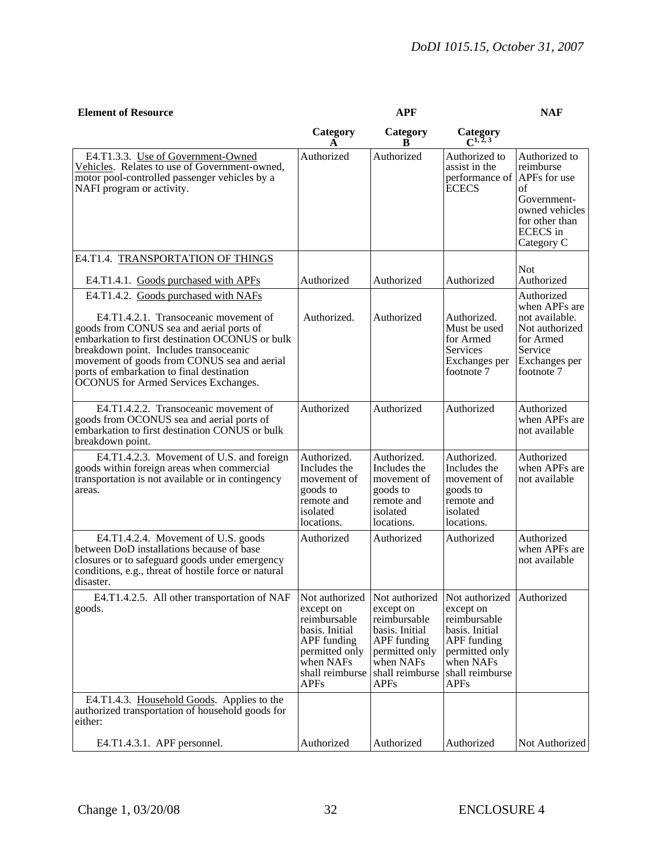| <b>Element of Resource</b>                                                                                                                                                                                                                                                                                                                                        |                                                                                                                                                      | <b>APF</b>                                                                                                                                    |                                                                                                                                               | <b>NAF</b>                                                                                                                           |
|-------------------------------------------------------------------------------------------------------------------------------------------------------------------------------------------------------------------------------------------------------------------------------------------------------------------------------------------------------------------|------------------------------------------------------------------------------------------------------------------------------------------------------|-----------------------------------------------------------------------------------------------------------------------------------------------|-----------------------------------------------------------------------------------------------------------------------------------------------|--------------------------------------------------------------------------------------------------------------------------------------|
|                                                                                                                                                                                                                                                                                                                                                                   | Category                                                                                                                                             | Category<br>R                                                                                                                                 | Category                                                                                                                                      |                                                                                                                                      |
| E4.T1.3.3. Use of Government-Owned<br>Vehicles. Relates to use of Government-owned,<br>motor pool-controlled passenger vehicles by a<br>NAFI program or activity.                                                                                                                                                                                                 | Authorized                                                                                                                                           | Authorized                                                                                                                                    | Authorized to<br>assist in the<br>performance of<br><b>ECECS</b>                                                                              | Authorized to<br>reimburse<br>APFs for use<br>of<br>Government-<br>owned vehicles<br>for other than<br><b>ECECS</b> in<br>Category C |
| E4.T1.4. TRANSPORTATION OF THINGS<br>E4.T1.4.1. Goods purchased with APFs                                                                                                                                                                                                                                                                                         | Authorized                                                                                                                                           | Authorized                                                                                                                                    | Authorized                                                                                                                                    | <b>Not</b><br>Authorized                                                                                                             |
| E4.T1.4.2. Goods purchased with NAFs<br>E4.T1.4.2.1. Transoceanic movement of<br>goods from CONUS sea and aerial ports of<br>embarkation to first destination OCONUS or bulk<br>breakdown point. Includes transoceanic<br>movement of goods from CONUS sea and aerial<br>ports of embarkation to final destination<br><b>OCONUS</b> for Armed Services Exchanges. | Authorized.                                                                                                                                          | Authorized                                                                                                                                    | Authorized.<br>Must be used<br>for Armed<br><b>Services</b><br>Exchanges per<br>footnote 7                                                    | Authorized<br>when APFs are<br>not available.<br>Not authorized<br>for Armed<br>Service<br>Exchanges per<br>footnote 7               |
| E4.T1.4.2.2. Transoceanic movement of<br>goods from OCONUS sea and aerial ports of<br>embarkation to first destination CONUS or bulk<br>breakdown point.                                                                                                                                                                                                          | Authorized                                                                                                                                           | Authorized                                                                                                                                    | Authorized                                                                                                                                    | Authorized<br>when APFs are<br>not available                                                                                         |
| E4.T1.4.2.3. Movement of U.S. and foreign<br>goods within foreign areas when commercial<br>transportation is not available or in contingency<br>areas.                                                                                                                                                                                                            | Authorized.<br>Includes the<br>movement of<br>goods to<br>remote and<br>isolated<br>locations.                                                       | Authorized.<br>Includes the<br>movement of<br>goods to<br>remote and<br>isolated<br>locations.                                                | Authorized.<br>Includes the<br>movement of<br>goods to<br>remote and<br>isolated<br>locations.                                                | Authorized<br>when APFs are<br>not available                                                                                         |
| E4.T1.4.2.4. Movement of U.S. goods<br>between DoD installations because of base<br>closures or to safeguard goods under emergency<br>conditions, e.g., threat of hostile force or natural<br>disaster.                                                                                                                                                           | Authorized                                                                                                                                           | Authorized                                                                                                                                    | Authorized                                                                                                                                    | Authorized<br>when APFs are<br>not available                                                                                         |
| E4.T1.4.2.5. All other transportation of NAF<br>goods.                                                                                                                                                                                                                                                                                                            | Not authorized<br>except on<br>reimbursable<br>basis. Initial<br><b>APF</b> funding<br>permitted only<br>when NAFs<br>shall reimburse<br><b>APFs</b> | Not authorized<br>except on<br>reimbursable<br>basis. Initial<br>APF funding<br>permitted only<br>when NAFs<br>shall reimburse<br><b>APFs</b> | Not authorized<br>except on<br>reimbursable<br>basis. Initial<br>APF funding<br>permitted only<br>when NAFs<br>shall reimburse<br><b>APFs</b> | Authorized                                                                                                                           |
| E4.T1.4.3. Household Goods. Applies to the<br>authorized transportation of household goods for<br>either:                                                                                                                                                                                                                                                         |                                                                                                                                                      |                                                                                                                                               |                                                                                                                                               |                                                                                                                                      |
| E4.T1.4.3.1. APF personnel.                                                                                                                                                                                                                                                                                                                                       | Authorized                                                                                                                                           | Authorized                                                                                                                                    | Authorized                                                                                                                                    | Not Authorized                                                                                                                       |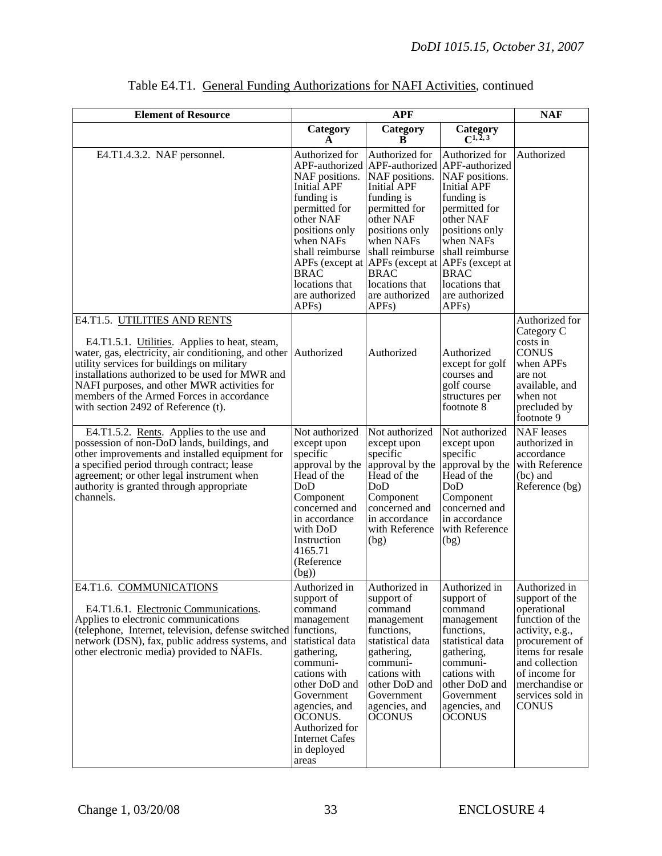| <b>Element of Resource</b>                                                                                                                                                                                                                                                                                                                                                | <b>APF</b>                                                                                                                                                                                                                                       |                                                                                                                                                                                                                                                                                   |                                                                                                                                                                                                                                                             | <b>NAF</b>                                                                                                                                                                                                          |
|---------------------------------------------------------------------------------------------------------------------------------------------------------------------------------------------------------------------------------------------------------------------------------------------------------------------------------------------------------------------------|--------------------------------------------------------------------------------------------------------------------------------------------------------------------------------------------------------------------------------------------------|-----------------------------------------------------------------------------------------------------------------------------------------------------------------------------------------------------------------------------------------------------------------------------------|-------------------------------------------------------------------------------------------------------------------------------------------------------------------------------------------------------------------------------------------------------------|---------------------------------------------------------------------------------------------------------------------------------------------------------------------------------------------------------------------|
|                                                                                                                                                                                                                                                                                                                                                                           | Category<br>A                                                                                                                                                                                                                                    | Category<br>B                                                                                                                                                                                                                                                                     | Category<br>$C^{1, 2, 3}$                                                                                                                                                                                                                                   |                                                                                                                                                                                                                     |
| E4.T1.4.3.2. NAF personnel.                                                                                                                                                                                                                                                                                                                                               | Authorized for<br>NAF positions.<br><b>Initial APF</b><br>funding is<br>permitted for<br>other NAF<br>positions only<br>when NAFs<br>shall reimburse<br>APFs (except at<br><b>BRAC</b><br>locations that<br>are authorized<br>APF <sub>s</sub> ) | Authorized for<br>APF-authorized APF-authorized<br>NAF positions.<br><b>Initial APF</b><br>funding is<br>permitted for<br>other NAF<br>positions only<br>when NAFs<br>shall reimburse<br>APFs (except at<br><b>BRAC</b><br>locations that<br>are authorized<br>APF <sub>s</sub> ) | Authorized for<br>APF-authorized<br>NAF positions.<br>Initial APF<br>funding is<br>permitted for<br>other NAF<br>positions only<br>when NAFs<br>shall reimburse<br>APFs (except at<br><b>BRAC</b><br>locations that<br>are authorized<br>APF <sub>s</sub> ) | Authorized                                                                                                                                                                                                          |
| E4.T1.5. UTILITIES AND RENTS<br>E4.T1.5.1. Utilities. Applies to heat, steam,<br>water, gas, electricity, air conditioning, and other<br>utility services for buildings on military<br>installations authorized to be used for MWR and<br>NAFI purposes, and other MWR activities for<br>members of the Armed Forces in accordance<br>with section 2492 of Reference (t). | Authorized                                                                                                                                                                                                                                       | Authorized                                                                                                                                                                                                                                                                        | Authorized<br>except for golf<br>courses and<br>golf course<br>structures per<br>footnote 8                                                                                                                                                                 | Authorized for<br>Category C<br>costs in<br><b>CONUS</b><br>when APFs<br>are not<br>available, and<br>when not<br>precluded by<br>footnote 9                                                                        |
| E4.T1.5.2. Rents. Applies to the use and<br>possession of non-DoD lands, buildings, and<br>other improvements and installed equipment for<br>a specified period through contract; lease<br>agreement; or other legal instrument when<br>authority is granted through appropriate<br>channels.                                                                             | Not authorized<br>except upon<br>specific<br>approval by the<br>Head of the<br>DoD<br>Component<br>concerned and<br>in accordance<br>with DoD<br>Instruction<br>4165.71<br>(Reference<br>(bg)                                                    | Not authorized<br>except upon<br>specific<br>approval by the<br>Head of the<br>DoD<br>Component<br>concerned and<br>in accordance<br>with Reference<br>(bg)                                                                                                                       | Not authorized<br>except upon<br>specific<br>approval by the<br>Head of the<br>DoD<br>Component<br>concerned and<br>in accordance<br>with Reference<br>(bg)                                                                                                 | <b>NAF</b> leases<br>authorized in<br>accordance<br>with Reference<br>(bc) and<br>Reference (bg)                                                                                                                    |
| E4.T1.6. COMMUNICATIONS<br>E4.T1.6.1. Electronic Communications.<br>Applies to electronic communications<br>(telephone, Internet, television, defense switched functions,<br>network (DSN), fax, public address systems, and<br>other electronic media) provided to NAFIs.                                                                                                | Authorized in<br>support of<br>command<br>management<br>statistical data<br>gathering,<br>communi-<br>cations with<br>other DoD and<br>Government<br>agencies, and<br>OCONUS.<br>Authorized for<br><b>Internet Cafes</b><br>in deployed<br>areas | Authorized in<br>support of<br>command<br>management<br>functions,<br>statistical data<br>gathering,<br>communi-<br>cations with<br>other DoD and<br>Government<br>agencies, and<br><b>OCONUS</b>                                                                                 | Authorized in<br>support of<br>command<br>management<br>functions,<br>statistical data<br>gathering,<br>communi-<br>cations with<br>other DoD and<br>Government<br>agencies, and<br><b>OCONUS</b>                                                           | Authorized in<br>support of the<br>operational<br>function of the<br>activity, e.g.,<br>procurement of<br>items for resale<br>and collection<br>of income for<br>merchandise or<br>services sold in<br><b>CONUS</b> |

## Table E4.T1. General Funding Authorizations for NAFI Activities, continued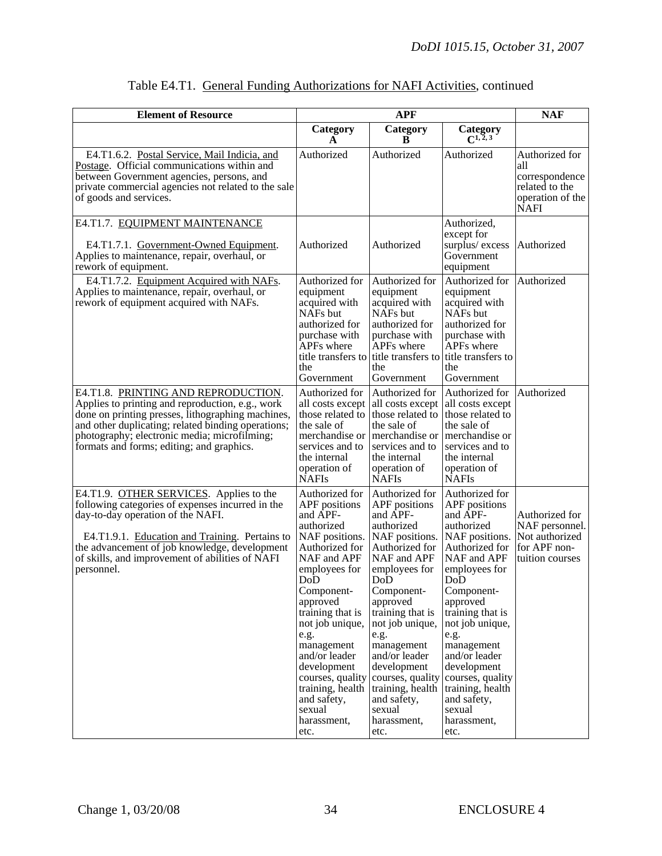| <b>Element of Resource</b>                                                                                                                                                                                                                                                                           | <b>APF</b>                                                                                                                                                                                                                                                                                                                                                             |                                                                                                                                                                                                                                                                                                                                        |                                                                                                                                                                                                                                                                                                                                                     | <b>NAF</b>                                                                                   |
|------------------------------------------------------------------------------------------------------------------------------------------------------------------------------------------------------------------------------------------------------------------------------------------------------|------------------------------------------------------------------------------------------------------------------------------------------------------------------------------------------------------------------------------------------------------------------------------------------------------------------------------------------------------------------------|----------------------------------------------------------------------------------------------------------------------------------------------------------------------------------------------------------------------------------------------------------------------------------------------------------------------------------------|-----------------------------------------------------------------------------------------------------------------------------------------------------------------------------------------------------------------------------------------------------------------------------------------------------------------------------------------------------|----------------------------------------------------------------------------------------------|
|                                                                                                                                                                                                                                                                                                      | Category<br>A                                                                                                                                                                                                                                                                                                                                                          | Category<br>B                                                                                                                                                                                                                                                                                                                          | Category<br>$C^{1,2,3}$                                                                                                                                                                                                                                                                                                                             |                                                                                              |
| E4.T1.6.2. Postal Service, Mail Indicia, and<br>Postage. Official communications within and<br>between Government agencies, persons, and<br>private commercial agencies not related to the sale<br>of goods and services.                                                                            | Authorized                                                                                                                                                                                                                                                                                                                                                             | Authorized                                                                                                                                                                                                                                                                                                                             | Authorized                                                                                                                                                                                                                                                                                                                                          | Authorized for<br>all<br>correspondence<br>related to the<br>operation of the<br><b>NAFI</b> |
| E4.T1.7. EQUIPMENT MAINTENANCE<br>E4.T1.7.1. Government-Owned Equipment.<br>Applies to maintenance, repair, overhaul, or<br>rework of equipment.                                                                                                                                                     | Authorized                                                                                                                                                                                                                                                                                                                                                             | Authorized                                                                                                                                                                                                                                                                                                                             | Authorized,<br>except for<br>surplus/excess<br>Government<br>equipment                                                                                                                                                                                                                                                                              | Authorized                                                                                   |
| E4.T1.7.2. Equipment Acquired with NAFs.<br>Applies to maintenance, repair, overhaul, or<br>rework of equipment acquired with NAFs.                                                                                                                                                                  | Authorized for<br>equipment<br>acquired with<br>NAF <sub>s</sub> but<br>authorized for<br>purchase with<br>APFs where<br>the<br>Government                                                                                                                                                                                                                             | Authorized for<br>equipment<br>acquired with<br>NAFs but<br>authorized for<br>purchase with<br>APFs where<br>title transfers to title transfers to title transfers to<br>the<br>Government                                                                                                                                             | Authorized for<br>equipment<br>acquired with<br>NAF <sub>s</sub> but<br>authorized for<br>purchase with<br>APFs where<br>the<br>Government                                                                                                                                                                                                          | Authorized                                                                                   |
| E4.T1.8. PRINTING AND REPRODUCTION.<br>Applies to printing and reproduction, e.g., work<br>done on printing presses, lithographing machines,<br>and other duplicating; related binding operations;<br>photography; electronic media; microfilming;<br>formats and forms; editing; and graphics.      | Authorized for<br>all costs except all costs except<br>the sale of<br>merchandise or merchandise or<br>services and to<br>the internal<br>operation of<br><b>NAFIs</b>                                                                                                                                                                                                 | Authorized for<br>those related to those related to those related to<br>the sale of<br>services and to<br>the internal<br>operation of<br><b>NAFIs</b>                                                                                                                                                                                 | Authorized for<br>all costs except<br>the sale of<br>merchandise or<br>services and to<br>the internal<br>operation of<br><b>NAFIs</b>                                                                                                                                                                                                              | Authorized                                                                                   |
| E4.T1.9. OTHER SERVICES. Applies to the<br>following categories of expenses incurred in the<br>day-to-day operation of the NAFI.<br>E4.T1.9.1. Education and Training. Pertains to<br>the advancement of job knowledge, development<br>of skills, and improvement of abilities of NAFI<br>personnel. | Authorized for<br><b>APF</b> positions<br>and APF-<br>authorized<br>NAF positions. NAF positions.<br>Authorized for<br>NAF and APF<br>employees for<br>DoD<br>Component-<br>approved<br>training that is<br>not job unique,<br>e.g.<br>management<br>and/or leader<br>development<br>training, health training, health<br>and safety,<br>sexual<br>harassment,<br>etc. | Authorized for<br>APF positions<br>and APF-<br>authorized<br>Authorized for<br>NAF and APF<br>employees for<br>$Do\bar{D}$<br>Component-<br>approved<br>training that is<br>not job unique,<br>e.g.<br>management<br>and/or leader<br>development<br>courses, quality courses, quality<br>and safety,<br>sexual<br>harassment,<br>etc. | Authorized for<br>APF positions<br>and APF-<br>authorized<br>NAF positions.<br>Authorized for<br>NAF and APF<br>employees for<br>DoD<br>Component-<br>approved<br>training that is<br>not job unique,<br>e.g.<br>management<br>and/or leader<br>development<br>courses, quality<br>training, health<br>and safety,<br>sexual<br>harassment,<br>etc. | Authorized for<br>NAF personnel.<br>Not authorized<br>for APF non-<br>tuition courses        |

## Table E4.T1. General Funding Authorizations for NAFI Activities, continued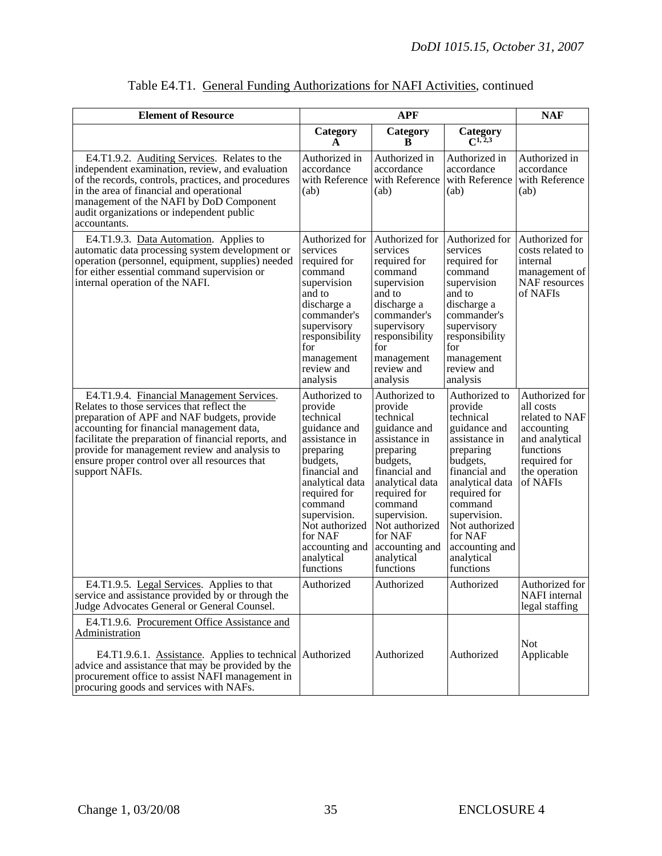| <b>Element of Resource</b>                                                                                                                                                                                                                                                                                                                                      | <b>APF</b>                                                                                                                                                                                                                                               |                                                                                                                                                                                                                                                          |                                                                                                                                                                                                                                                          | <b>NAF</b>                                                                                                                              |
|-----------------------------------------------------------------------------------------------------------------------------------------------------------------------------------------------------------------------------------------------------------------------------------------------------------------------------------------------------------------|----------------------------------------------------------------------------------------------------------------------------------------------------------------------------------------------------------------------------------------------------------|----------------------------------------------------------------------------------------------------------------------------------------------------------------------------------------------------------------------------------------------------------|----------------------------------------------------------------------------------------------------------------------------------------------------------------------------------------------------------------------------------------------------------|-----------------------------------------------------------------------------------------------------------------------------------------|
|                                                                                                                                                                                                                                                                                                                                                                 | Category<br>A                                                                                                                                                                                                                                            | Category<br>B                                                                                                                                                                                                                                            | Category<br>$C^{1,\overline{2,3}}$                                                                                                                                                                                                                       |                                                                                                                                         |
| E4.T1.9.2. Auditing Services. Relates to the<br>independent examination, review, and evaluation<br>of the records, controls, practices, and procedures<br>in the area of financial and operational<br>management of the NAFI by DoD Component<br>audit organizations or independent public<br>accountants.                                                      | Authorized in<br>accordance<br>with Reference<br>(ab)                                                                                                                                                                                                    | Authorized in<br>accordance<br>with Reference<br>(ab)                                                                                                                                                                                                    | Authorized in<br>accordance<br>with Reference<br>(ab)                                                                                                                                                                                                    | Authorized in<br>accordance<br>with Reference<br>(ab)                                                                                   |
| E4.T1.9.3. Data Automation. Applies to<br>automatic data processing system development or<br>operation (personnel, equipment, supplies) needed<br>for either essential command supervision or<br>internal operation of the NAFI.                                                                                                                                | Authorized for<br>services<br>required for<br>command<br>supervision<br>and to<br>discharge a<br>commander's<br>supervisory<br>responsibility<br>for<br>management<br>review and<br>analysis                                                             | Authorized for<br>services<br>required for<br>command<br>supervision<br>and to<br>discharge a<br>commander's<br>supervisory<br>responsibility<br>for<br>management<br>review and<br>analysis                                                             | Authorized for<br>services<br>required for<br>command<br>supervision<br>and to<br>discharge a<br>commander's<br>supervisory<br>responsibility<br>for<br>management<br>review and<br>analysis                                                             | Authorized for<br>costs related to<br>internal<br>management of<br>NAF resources<br>of NAFIs                                            |
| E4.T1.9.4. Financial Management Services.<br>Relates to those services that reflect the<br>preparation of APF and NAF budgets, provide<br>accounting for financial management data,<br>facilitate the preparation of financial reports, and<br>provide for management review and analysis to<br>ensure proper control over all resources that<br>support NAFIs. | Authorized to<br>provide<br>technical<br>guidance and<br>assistance in<br>preparing<br>budgets,<br>financial and<br>analytical data<br>required for<br>command<br>supervision.<br>Not authorized<br>for NAF<br>accounting and<br>analytical<br>functions | Authorized to<br>provide<br>technical<br>guidance and<br>assistance in<br>preparing<br>budgets,<br>financial and<br>analytical data<br>required for<br>command<br>supervision.<br>Not authorized<br>for NAF<br>accounting and<br>analytical<br>functions | Authorized to<br>provide<br>technical<br>guidance and<br>assistance in<br>preparing<br>budgets,<br>financial and<br>analytical data<br>required for<br>command<br>supervision.<br>Not authorized<br>for NAF<br>accounting and<br>analytical<br>functions | Authorized for<br>all costs<br>related to NAF<br>accounting<br>and analytical<br>functions<br>required for<br>the operation<br>of NAFIs |
| E4.T1.9.5. Legal Services. Applies to that<br>service and assistance provided by or through the<br>Judge Advocates General or General Counsel.                                                                                                                                                                                                                  | Authorized                                                                                                                                                                                                                                               | Authorized                                                                                                                                                                                                                                               | Authorized                                                                                                                                                                                                                                               | Authorized for<br>NAFI internal<br>legal staffing                                                                                       |
| E4.T1.9.6. Procurement Office Assistance and<br>Administration<br>E4.T1.9.6.1. Assistance. Applies to technical Authorized<br>advice and assistance that may be provided by the                                                                                                                                                                                 |                                                                                                                                                                                                                                                          | Authorized                                                                                                                                                                                                                                               | Authorized                                                                                                                                                                                                                                               | <b>Not</b><br>Applicable                                                                                                                |
| procurement office to assist NAFI management in<br>procuring goods and services with NAFs.                                                                                                                                                                                                                                                                      |                                                                                                                                                                                                                                                          |                                                                                                                                                                                                                                                          |                                                                                                                                                                                                                                                          |                                                                                                                                         |

|--|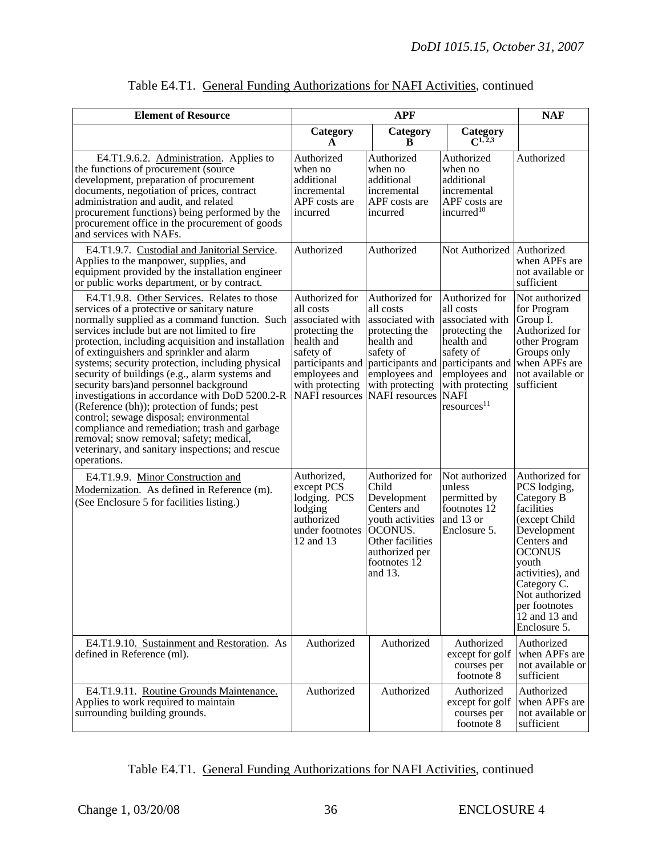| <b>Element of Resource</b>                                                                                                                                                                                                                                                                                                                                                                                                                                                                                                                                                                                                                                                                                                                                | <b>APF</b>                                                                                                                                                                   |                                                                                                                                                                       | <b>NAF</b>                                                                                                                                                                                    |                                                                                                                                                                                                                                              |
|-----------------------------------------------------------------------------------------------------------------------------------------------------------------------------------------------------------------------------------------------------------------------------------------------------------------------------------------------------------------------------------------------------------------------------------------------------------------------------------------------------------------------------------------------------------------------------------------------------------------------------------------------------------------------------------------------------------------------------------------------------------|------------------------------------------------------------------------------------------------------------------------------------------------------------------------------|-----------------------------------------------------------------------------------------------------------------------------------------------------------------------|-----------------------------------------------------------------------------------------------------------------------------------------------------------------------------------------------|----------------------------------------------------------------------------------------------------------------------------------------------------------------------------------------------------------------------------------------------|
|                                                                                                                                                                                                                                                                                                                                                                                                                                                                                                                                                                                                                                                                                                                                                           | Category<br>A                                                                                                                                                                | Category<br>R                                                                                                                                                         | Category<br>$C^{1,2,3}$                                                                                                                                                                       |                                                                                                                                                                                                                                              |
| E4.T1.9.6.2. Administration. Applies to<br>the functions of procurement (source<br>development, preparation of procurement<br>documents, negotiation of prices, contract<br>administration and audit, and related<br>procurement functions) being performed by the<br>procurement office in the procurement of goods<br>and services with NAFs.                                                                                                                                                                                                                                                                                                                                                                                                           | Authorized<br>when no<br>additional<br>incremental<br>APF costs are<br>incurred                                                                                              | Authorized<br>when no<br>additional<br>incremental<br>APF costs are<br>incurred                                                                                       | Authorized<br>when no<br>additional<br>incremental<br>APF costs are<br>incurred <sup>10</sup>                                                                                                 | Authorized                                                                                                                                                                                                                                   |
| E4.T1.9.7. Custodial and Janitorial Service.<br>Applies to the manpower, supplies, and<br>equipment provided by the installation engineer<br>or public works department, or by contract.                                                                                                                                                                                                                                                                                                                                                                                                                                                                                                                                                                  | Authorized                                                                                                                                                                   | Authorized                                                                                                                                                            | Not Authorized Authorized                                                                                                                                                                     | when APFs are<br>not available or<br>sufficient                                                                                                                                                                                              |
| E4.T1.9.8. Other Services. Relates to those<br>services of a protective or sanitary nature<br>normally supplied as a command function. Such<br>services include but are not limited to fire<br>protection, including acquisition and installation<br>of extinguishers and sprinkler and alarm<br>systems; security protection, including physical<br>security of buildings (e.g., alarm systems and<br>security bars) and personnel background<br>investigations in accordance with DoD 5200.2-R<br>(Reference (bh)); protection of funds; pest<br>control; sewage disposal; environmental<br>compliance and remediation; trash and garbage<br>removal; snow removal; safety; medical,<br>veterinary, and sanitary inspections; and rescue<br>operations. | Authorized for<br>all costs<br>associated with<br>protecting the<br>health and<br>safety of<br>participants and<br>employees and<br>with protecting<br><b>NAFI</b> resources | Authorized for<br>all costs<br>associated with<br>protecting the<br>health and<br>safety of<br>participants and<br>employees and<br>with protecting<br>NAFI resources | Authorized for<br>all costs<br>associated with<br>protecting the<br>health and<br>safety of<br>participants and<br>employees and<br>with protecting<br><b>NAFI</b><br>resources <sup>11</sup> | Not authorized<br>for Program<br>Group I.<br>Authorized for<br>other Program<br>Groups only<br>when APFs are<br>not available or<br>sufficient                                                                                               |
| E4.T1.9.9. Minor Construction and<br>Modernization. As defined in Reference (m).<br>(See Enclosure 5 for facilities listing.)                                                                                                                                                                                                                                                                                                                                                                                                                                                                                                                                                                                                                             | Authorized,<br>except PCS<br>lodging. PCS<br>lodging<br>authorized<br>under footnotes<br>12 and 13                                                                           | Authorized for<br>Child<br>Development<br>Centers and<br>youth activities<br><b>OCONUS.</b><br>Other facilities<br>authorized per<br>footnotes 12<br>and 13.          | Not authorized<br>unless<br>permitted by<br>footnotes 12<br>and 13 or<br>Enclosure 5.                                                                                                         | Authorized for<br>PCS lodging,<br>Category B<br>facilities<br>(except Child<br>Development<br>Centers and<br><b>OCONUS</b><br>youth<br>activities), and<br>Category C.<br>Not authorized<br>per footnotes<br>$12$ and 13 and<br>Enclosure 5. |
| E4.T1.9.10. Sustainment and Restoration. As<br>defined in Reference (ml).                                                                                                                                                                                                                                                                                                                                                                                                                                                                                                                                                                                                                                                                                 | Authorized                                                                                                                                                                   | Authorized                                                                                                                                                            | Authorized<br>except for golf<br>courses per<br>footnote 8                                                                                                                                    | Authorized<br>when APFs are<br>not available or<br>sufficient                                                                                                                                                                                |
| E4.T1.9.11. Routine Grounds Maintenance.<br>Applies to work required to maintain<br>surrounding building grounds.                                                                                                                                                                                                                                                                                                                                                                                                                                                                                                                                                                                                                                         | Authorized                                                                                                                                                                   | Authorized                                                                                                                                                            | Authorized<br>except for golf<br>courses per<br>footnote 8                                                                                                                                    | Authorized<br>when APFs are<br>not available or<br>sufficient                                                                                                                                                                                |

|  | Table E4.T1. General Funding Authorizations for NAFI Activities, continued |
|--|----------------------------------------------------------------------------|
|  |                                                                            |

## Table E4.T1. General Funding Authorizations for NAFI Activities, continued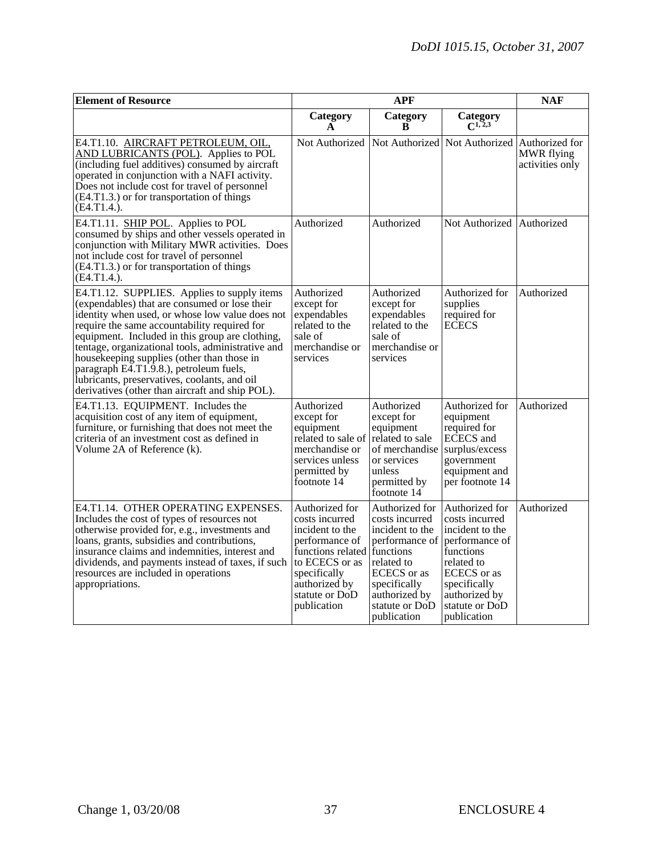| <b>Element of Resource</b>                                                                                                                                                                                                                                                                                                                                                                                                                                                                          |                                                                                                                                                                                          | <b>NAF</b>                                                                                                                                                           |                                                                                                                                                                                   |                                                 |
|-----------------------------------------------------------------------------------------------------------------------------------------------------------------------------------------------------------------------------------------------------------------------------------------------------------------------------------------------------------------------------------------------------------------------------------------------------------------------------------------------------|------------------------------------------------------------------------------------------------------------------------------------------------------------------------------------------|----------------------------------------------------------------------------------------------------------------------------------------------------------------------|-----------------------------------------------------------------------------------------------------------------------------------------------------------------------------------|-------------------------------------------------|
|                                                                                                                                                                                                                                                                                                                                                                                                                                                                                                     | Category<br>A                                                                                                                                                                            | Category<br>B                                                                                                                                                        | Category<br>$C^{1,2,3}$                                                                                                                                                           |                                                 |
| E4.T1.10. AIRCRAFT PETROLEUM, OIL,<br>AND LUBRICANTS (POL). Applies to POL<br>(including fuel additives) consumed by aircraft<br>operated in conjunction with a NAFI activity.<br>Does not include cost for travel of personnel<br>(E4.T1.3.) or for transportation of things<br>$(E4.T1.4.)$ .                                                                                                                                                                                                     | Not Authorized                                                                                                                                                                           |                                                                                                                                                                      | Not Authorized Not Authorized                                                                                                                                                     | Authorized for<br>MWR flying<br>activities only |
| E4.T1.11. SHIP POL. Applies to POL<br>consumed by ships and other vessels operated in<br>conjunction with Military MWR activities. Does<br>not include cost for travel of personnel<br>(E4.T1.3.) or for transportation of things<br>$(E4.T1.4.)$ .                                                                                                                                                                                                                                                 | Authorized                                                                                                                                                                               | Authorized                                                                                                                                                           | Not Authorized                                                                                                                                                                    | Authorized                                      |
| E4.T1.12. SUPPLIES. Applies to supply items<br>(expendables) that are consumed or lose their<br>identity when used, or whose low value does not<br>require the same accountability required for<br>equipment. Included in this group are clothing,<br>tentage, organizational tools, administrative and<br>housekeeping supplies (other than those in<br>paragraph E4.T1.9.8.), petroleum fuels,<br>lubricants, preservatives, coolants, and oil<br>derivatives (other than aircraft and ship POL). | Authorized<br>except for<br>expendables<br>related to the<br>sale of<br>merchandise or<br>services                                                                                       | Authorized<br>except for<br>expendables<br>related to the<br>sale of<br>merchandise or<br>services                                                                   | Authorized for<br>supplies<br>required for<br><b>ECECS</b>                                                                                                                        | Authorized                                      |
| E4.T1.13. EQUIPMENT. Includes the<br>acquisition cost of any item of equipment,<br>furniture, or furnishing that does not meet the<br>criteria of an investment cost as defined in<br>Volume 2A of Reference (k).                                                                                                                                                                                                                                                                                   | Authorized<br>except for<br>equipment<br>related to sale of related to sale<br>merchandise or<br>services unless<br>permitted by<br>footnote 14                                          | Authorized<br>except for<br>equipment<br>of merchandise<br>or services<br>unless<br>permitted by<br>footnote 14                                                      | Authorized for<br>equipment<br>required for<br>ECECS and<br>surplus/excess<br>government<br>equipment and<br>per footnote 14                                                      | Authorized                                      |
| E4.T1.14. OTHER OPERATING EXPENSES.<br>Includes the cost of types of resources not<br>otherwise provided for, e.g., investments and<br>loans, grants, subsidies and contributions,<br>insurance claims and indemnities, interest and<br>dividends, and payments instead of taxes, if such<br>resources are included in operations<br>appropriations.                                                                                                                                                | Authorized for<br>costs incurred<br>incident to the<br>performance of<br>functions related functions<br>to ECECS or as<br>specifically<br>authorized by<br>statute or DoD<br>publication | Authorized for<br>costs incurred<br>incident to the<br>performance of<br>related to<br>ECECS or as<br>specifically<br>authorized by<br>statute or DoD<br>publication | Authorized for<br>costs incurred<br>incident to the<br>performance of<br>functions<br>related to<br>ECECS or as<br>specifically<br>authorized by<br>statute or DoD<br>publication | Authorized                                      |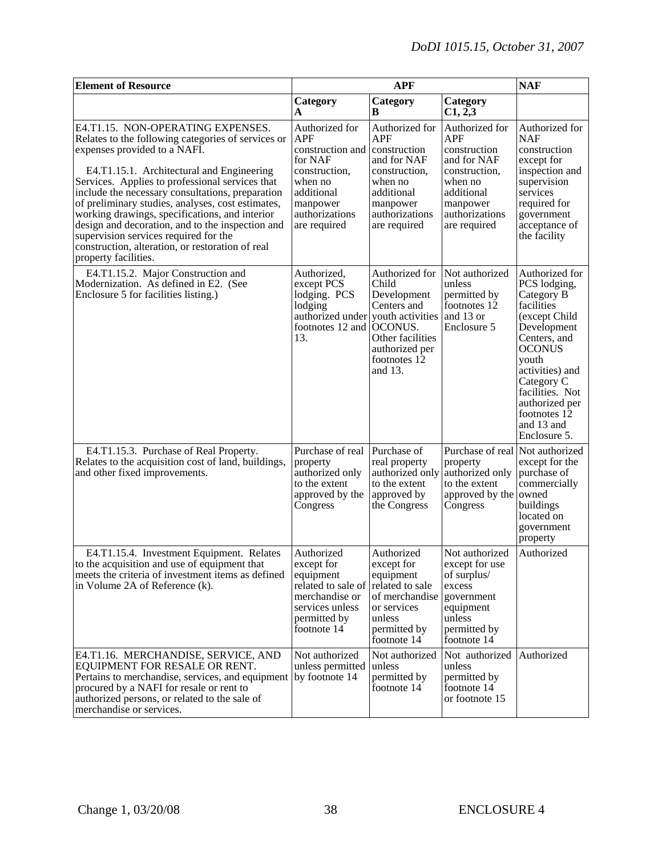| <b>Element of Resource</b>                                                                                                                                                                                                                                                                                                                                                                                                                                                                                                                                  |                                                                                                                                                     | <b>APF</b>                                                                                                                                   |                                                                                                                                                     | <b>NAF</b>                                                                                                                                                                                                                                               |
|-------------------------------------------------------------------------------------------------------------------------------------------------------------------------------------------------------------------------------------------------------------------------------------------------------------------------------------------------------------------------------------------------------------------------------------------------------------------------------------------------------------------------------------------------------------|-----------------------------------------------------------------------------------------------------------------------------------------------------|----------------------------------------------------------------------------------------------------------------------------------------------|-----------------------------------------------------------------------------------------------------------------------------------------------------|----------------------------------------------------------------------------------------------------------------------------------------------------------------------------------------------------------------------------------------------------------|
|                                                                                                                                                                                                                                                                                                                                                                                                                                                                                                                                                             | Category<br>A                                                                                                                                       | Category<br>B                                                                                                                                | Category<br>C1, 2,3                                                                                                                                 |                                                                                                                                                                                                                                                          |
| E4.T1.15. NON-OPERATING EXPENSES.<br>Relates to the following categories of services or<br>expenses provided to a NAFI.<br>E4.T1.15.1. Architectural and Engineering<br>Services. Applies to professional services that<br>include the necessary consultations, preparation<br>of preliminary studies, analyses, cost estimates,<br>working drawings, specifications, and interior<br>design and decoration, and to the inspection and<br>supervision services required for the<br>construction, alteration, or restoration of real<br>property facilities. | Authorized for<br><b>APF</b><br>construction and<br>for NAF<br>construction,<br>when no<br>additional<br>manpower<br>authorizations<br>are required | Authorized for<br>APF<br>construction<br>and for NAF<br>construction,<br>when no<br>additional<br>manpower<br>authorizations<br>are required | Authorized for<br><b>APF</b><br>construction<br>and for NAF<br>construction,<br>when no<br>additional<br>manpower<br>authorizations<br>are required | Authorized for<br><b>NAF</b><br>construction<br>except for<br>inspection and<br>supervision<br>services<br>required for<br>government<br>acceptance of<br>the facility                                                                                   |
| E4.T1.15.2. Major Construction and<br>Modernization. As defined in E2. (See<br>Enclosure 5 for facilities listing.)                                                                                                                                                                                                                                                                                                                                                                                                                                         | Authorized,<br>except PCS<br>lodging. PCS<br>lodging<br>authorized under youth activities<br>footnotes 12 and OCONUS.<br>13.                        | Authorized for<br>Child<br>Development<br>Centers and<br>Other facilities<br>authorized per<br>footnotes 12<br>and 13.                       | Not authorized<br>unless<br>permitted by<br>footnotes 12<br>and 13 or<br>Enclosure 5                                                                | Authorized for<br>PCS lodging,<br>Category B<br>facilities<br>(except Child<br>Development<br>Centers, and<br><b>OCONUS</b><br>youth<br>activities) and<br>Category C<br>facilities. Not<br>authorized per<br>footnotes 12<br>and 13 and<br>Enclosure 5. |
| E4.T1.15.3. Purchase of Real Property.<br>Relates to the acquisition cost of land, buildings,<br>and other fixed improvements.                                                                                                                                                                                                                                                                                                                                                                                                                              | Purchase of real<br>property<br>authorized only<br>to the extent<br>approved by the<br>Congress                                                     | Purchase of<br>real property<br>authorized only<br>to the extent<br>approved by<br>the Congress                                              | Purchase of real<br>property<br>authorized only<br>to the extent<br>approved by the<br>Congress                                                     | Not authorized<br>except for the<br>purchase of<br>commercially<br>owned<br>buildings<br>located on<br>government<br>property                                                                                                                            |
| E4.T1.15.4. Investment Equipment. Relates<br>to the acquisition and use of equipment that<br>meets the criteria of investment items as defined<br>in Volume 2A of Reference (k).                                                                                                                                                                                                                                                                                                                                                                            | Authorized<br>except for<br>equipment<br>related to sale of<br>merchandise or<br>services unless<br>permitted by<br>footnote 14                     | Authorized<br>except for<br>equipment<br>related to sale<br>of merchandise<br>or services<br>unless<br>permitted by<br>footnote 14           | Not authorized<br>except for use<br>of surplus/<br>excess<br>government<br>equipment<br>unless<br>permitted by<br>footnote 14                       | Authorized                                                                                                                                                                                                                                               |
| E4.T1.16. MERCHANDISE, SERVICE, AND<br>EQUIPMENT FOR RESALE OR RENT.<br>Pertains to merchandise, services, and equipment<br>procured by a NAFI for resale or rent to<br>authorized persons, or related to the sale of<br>merchandise or services.                                                                                                                                                                                                                                                                                                           | Not authorized<br>unless permitted unless<br>by footnote 14                                                                                         | Not authorized<br>permitted by<br>footnote 14                                                                                                | Not authorized<br>unless<br>permitted by<br>footnote 14<br>or footnote 15                                                                           | Authorized                                                                                                                                                                                                                                               |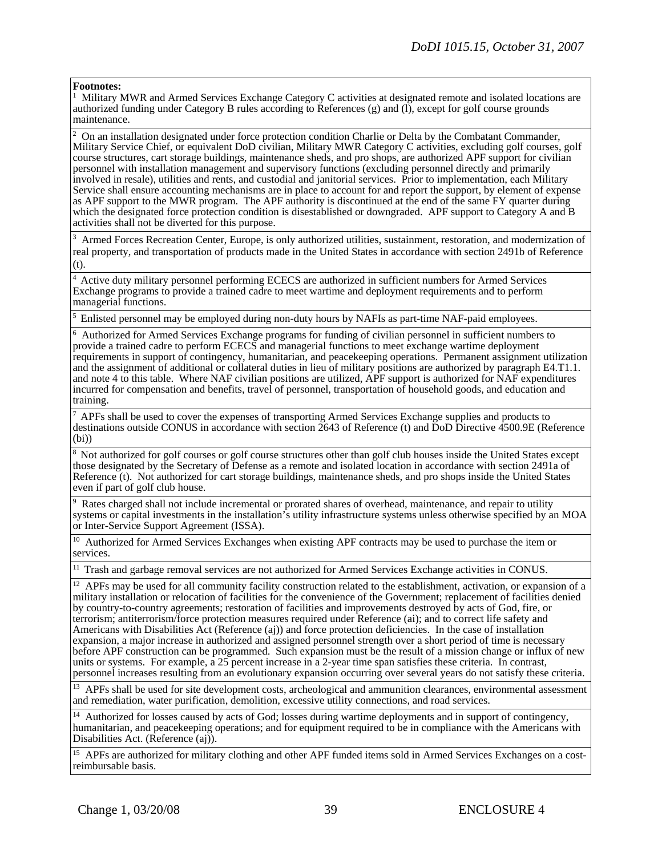#### **Footnotes:**

<sup>1</sup> Military MWR and Armed Services Exchange Category C activities at designated remote and isolated locations are authorized funding under Category B rules according to References (g) and (l), except for golf course grounds maintenance.

<sup>2</sup> On an installation designated under force protection condition Charlie or Delta by the Combatant Commander, Military Service Chief, or equivalent DoD civilian, Military MWR Category C activities, excluding golf courses, golf course structures, cart storage buildings, maintenance sheds, and pro shops, are authorized APF support for civilian personnel with installation management and supervisory functions (excluding personnel directly and primarily involved in resale), utilities and rents, and custodial and janitorial services. Prior to implementation, each Military Service shall ensure accounting mechanisms are in place to account for and report the support, by element of expense as APF support to the MWR program. The APF authority is discontinued at the end of the same FY quarter during which the designated force protection condition is disestablished or downgraded. APF support to Category A and B activities shall not be diverted for this purpose.

<sup>3</sup> Armed Forces Recreation Center, Europe, is only authorized utilities, sustainment, restoration, and modernization of real property, and transportation of products made in the United States in accordance with section 2491b of Reference (t).

4 Active duty military personnel performing ECECS are authorized in sufficient numbers for Armed Services Exchange programs to provide a trained cadre to meet wartime and deployment requirements and to perform managerial functions.

 $<sup>5</sup>$  Enlisted personnel may be employed during non-duty hours by NAFIs as part-time NAF-paid employees.</sup>

<sup>6</sup> Authorized for Armed Services Exchange programs for funding of civilian personnel in sufficient numbers to provide a trained cadre to perform ECECS and managerial functions to meet exchange wartime deployment requirements in support of contingency, humanitarian, and peacekeeping operations. Permanent assignment utilization and the assignment of additional or collateral duties in lieu of military positions are authorized by paragraph E4.T1.1. and note 4 to this table. Where NAF civilian positions are utilized, APF support is authorized for NAF expenditures incurred for compensation and benefits, travel of personnel, transportation of household goods, and education and training.

<sup>7</sup> APFs shall be used to cover the expenses of transporting Armed Services Exchange supplies and products to destinations outside CONUS in accordance with section 2643 of Reference (t) and DoD Directive 4500.9E (Reference (bi))

<sup>8</sup> Not authorized for golf courses or golf course structures other than golf club houses inside the United States except those designated by the Secretary of Defense as a remote and isolated location in accordance with section 2491a of Reference (t). Not authorized for cart storage buildings, maintenance sheds, and pro shops inside the United States even if part of golf club house.

<sup>9</sup> Rates charged shall not include incremental or prorated shares of overhead, maintenance, and repair to utility systems or capital investments in the installation's utility infrastructure systems unless otherwise specified by an MOA or Inter-Service Support Agreement (ISSA).

<sup>10</sup> Authorized for Armed Services Exchanges when existing APF contracts may be used to purchase the item or services.

<sup>11</sup> Trash and garbage removal services are not authorized for Armed Services Exchange activities in CONUS.

<sup>12</sup> APFs may be used for all community facility construction related to the establishment, activation, or expansion of a military installation or relocation of facilities for the convenience of the Government; replacement of facilities denied by country-to-country agreements; restoration of facilities and improvements destroyed by acts of God, fire, or terrorism; antiterrorism/force protection measures required under Reference (ai); and to correct life safety and Americans with Disabilities Act (Reference (aj)) and force protection deficiencies. In the case of installation expansion, a major increase in authorized and assigned personnel strength over a short period of time is necessary before APF construction can be programmed. Such expansion must be the result of a mission change or influx of new units or systems. For example, a 25 percent increase in a 2-year time span satisfies these criteria. In contrast, personnel increases resulting from an evolutionary expansion occurring over several years do not satisfy these criteria.

<sup>13</sup> APFs shall be used for site development costs, archeological and ammunition clearances, environmental assessment and remediation, water purification, demolition, excessive utility connections, and road services.

14 Authorized for losses caused by acts of God; losses during wartime deployments and in support of contingency, humanitarian, and peacekeeping operations; and for equipment required to be in compliance with the Americans with Disabilities Act. (Reference (aj)).

<sup>15</sup> APFs are authorized for military clothing and other APF funded items sold in Armed Services Exchanges on a cost-<br>reimbursable basis.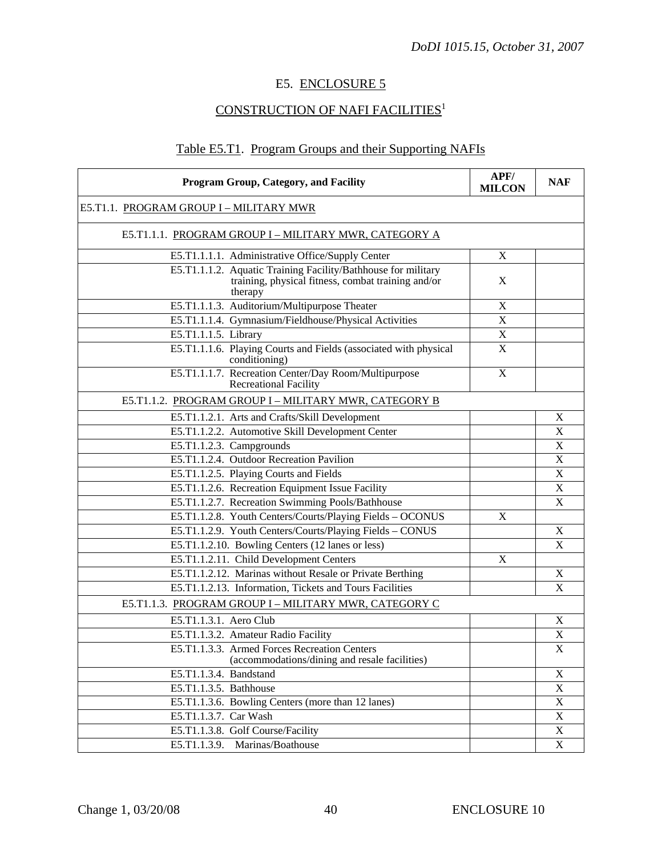# E5. ENCLOSURE 5

# CONSTRUCTION OF NAFI FACILITIES<sup>1</sup>

# Table E5.T1. Program Groups and their Supporting NAFIs

| <b>Program Group, Category, and Facility</b>                                                                                   | APF/<br><b>MILCON</b> | <b>NAF</b>                |
|--------------------------------------------------------------------------------------------------------------------------------|-----------------------|---------------------------|
| E5.T1.1. PROGRAM GROUP I - MILITARY MWR                                                                                        |                       |                           |
| E5.T1.1.1. PROGRAM GROUP I - MILITARY MWR, CATEGORY A                                                                          |                       |                           |
| E5.T1.1.1.1. Administrative Office/Supply Center                                                                               | X                     |                           |
| E5.T1.1.1.2. Aquatic Training Facility/Bathhouse for military<br>training, physical fitness, combat training and/or<br>therapy | X                     |                           |
| E5.T1.1.1.3. Auditorium/Multipurpose Theater                                                                                   | $\mathbf X$           |                           |
| E5.T1.1.1.4. Gymnasium/Fieldhouse/Physical Activities                                                                          | X                     |                           |
| E5.T1.1.1.5. Library                                                                                                           | $\mathbf X$           |                           |
| E5.T1.1.1.6. Playing Courts and Fields (associated with physical<br>conditioning)                                              | $\mathbf X$           |                           |
| E5.T1.1.1.7. Recreation Center/Day Room/Multipurpose<br><b>Recreational Facility</b>                                           | X                     |                           |
| E5.T1.1.2. PROGRAM GROUP I - MILITARY MWR, CATEGORY B                                                                          |                       |                           |
| E5.T1.1.2.1. Arts and Crafts/Skill Development                                                                                 |                       | X                         |
| E5.T1.1.2.2. Automotive Skill Development Center                                                                               |                       | $\mathbf X$               |
| E5.T1.1.2.3. Campgrounds                                                                                                       |                       | X                         |
| E5.T1.1.2.4. Outdoor Recreation Pavilion                                                                                       |                       | $\mathbf X$               |
| E5.T1.1.2.5. Playing Courts and Fields                                                                                         |                       | $\mathbf X$               |
| E5.T1.1.2.6. Recreation Equipment Issue Facility                                                                               |                       | X                         |
| E5.T1.1.2.7. Recreation Swimming Pools/Bathhouse                                                                               |                       | $\mathbf X$               |
| E5.T1.1.2.8. Youth Centers/Courts/Playing Fields - OCONUS                                                                      | X                     |                           |
| E5.T1.1.2.9. Youth Centers/Courts/Playing Fields - CONUS                                                                       |                       | X                         |
| E5.T1.1.2.10. Bowling Centers (12 lanes or less)                                                                               |                       | X                         |
| E5.T1.1.2.11. Child Development Centers                                                                                        | X                     |                           |
| E5.T1.1.2.12. Marinas without Resale or Private Berthing                                                                       |                       | X                         |
| E5.T1.1.2.13. Information, Tickets and Tours Facilities                                                                        |                       | X                         |
| E5.T1.1.3. PROGRAM GROUP I - MILITARY MWR, CATEGORY C                                                                          |                       |                           |
| E5.T1.1.3.1. Aero Club                                                                                                         |                       | X                         |
| E5.T1.1.3.2. Amateur Radio Facility                                                                                            |                       | $\mathbf X$               |
| E5.T1.1.3.3. Armed Forces Recreation Centers<br>(accommodations/dining and resale facilities)                                  |                       | X                         |
| E5.T1.1.3.4. Bandstand                                                                                                         |                       | $\mathbf X$               |
| E5.T1.1.3.5. Bathhouse                                                                                                         |                       | $\mathbf X$               |
| E5.T1.1.3.6. Bowling Centers (more than 12 lanes)                                                                              |                       | $\boldsymbol{\mathrm{X}}$ |
| E5.T1.1.3.7. Car Wash                                                                                                          |                       | $\boldsymbol{\mathrm{X}}$ |
| E5.T1.1.3.8. Golf Course/Facility                                                                                              |                       | $\boldsymbol{\mathrm{X}}$ |
| E5.T1.1.3.9. Marinas/Boathouse                                                                                                 |                       | $\mathbf X$               |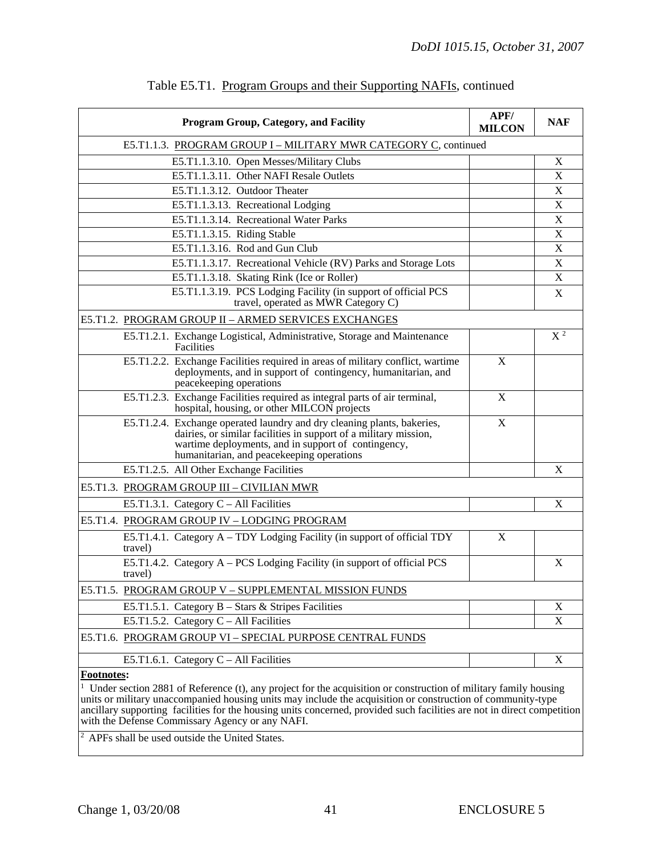| <b>Program Group, Category, and Facility</b>                                                                                                                                                                                                    | APF/<br><b>MILCON</b> | <b>NAF</b>                |
|-------------------------------------------------------------------------------------------------------------------------------------------------------------------------------------------------------------------------------------------------|-----------------------|---------------------------|
| E5.T1.1.3. PROGRAM GROUP I - MILITARY MWR CATEGORY C, continued                                                                                                                                                                                 |                       |                           |
| E5.T1.1.3.10. Open Messes/Military Clubs                                                                                                                                                                                                        |                       | X                         |
| E5.T1.1.3.11. Other NAFI Resale Outlets                                                                                                                                                                                                         |                       | X                         |
| E5.T1.1.3.12. Outdoor Theater                                                                                                                                                                                                                   |                       | X                         |
| E5.T1.1.3.13. Recreational Lodging                                                                                                                                                                                                              |                       | X                         |
| E5.T1.1.3.14. Recreational Water Parks                                                                                                                                                                                                          |                       | $\mathbf X$               |
| E5.T1.1.3.15. Riding Stable                                                                                                                                                                                                                     |                       | X                         |
| E5.T1.1.3.16. Rod and Gun Club                                                                                                                                                                                                                  |                       | X                         |
| E5.T1.1.3.17. Recreational Vehicle (RV) Parks and Storage Lots                                                                                                                                                                                  |                       | X                         |
| E5.T1.1.3.18. Skating Rink (Ice or Roller)                                                                                                                                                                                                      |                       | $\boldsymbol{\mathrm{X}}$ |
| E5.T1.1.3.19. PCS Lodging Facility (in support of official PCS<br>travel, operated as MWR Category C)                                                                                                                                           |                       | X                         |
| E5.T1.2. PROGRAM GROUP II - ARMED SERVICES EXCHANGES                                                                                                                                                                                            |                       |                           |
| E5.T1.2.1. Exchange Logistical, Administrative, Storage and Maintenance<br>Facilities                                                                                                                                                           |                       | X <sup>2</sup>            |
| E5.T1.2.2. Exchange Facilities required in areas of military conflict, wartime<br>deployments, and in support of contingency, humanitarian, and<br>peacekeeping operations                                                                      | X                     |                           |
| E5.T1.2.3. Exchange Facilities required as integral parts of air terminal,<br>hospital, housing, or other MILCON projects                                                                                                                       | X                     |                           |
| E5.T1.2.4. Exchange operated laundry and dry cleaning plants, bakeries,<br>dairies, or similar facilities in support of a military mission,<br>wartime deployments, and in support of contingency,<br>humanitarian, and peacekeeping operations | X                     |                           |
| E5.T1.2.5. All Other Exchange Facilities                                                                                                                                                                                                        |                       | X                         |
| E5.T1.3. PROGRAM GROUP III - CIVILIAN MWR                                                                                                                                                                                                       |                       |                           |
| E5.T1.3.1. Category $C - All Facilities$                                                                                                                                                                                                        |                       | X                         |
| E5.T1.4. PROGRAM GROUP IV - LODGING PROGRAM                                                                                                                                                                                                     |                       |                           |
| E5.T1.4.1. Category A – TDY Lodging Facility (in support of official TDY<br>travel)                                                                                                                                                             | X                     |                           |
| E5.T1.4.2. Category A - PCS Lodging Facility (in support of official PCS<br>travel)                                                                                                                                                             |                       | X                         |
| E5.T1.5. PROGRAM GROUP V - SUPPLEMENTAL MISSION FUNDS                                                                                                                                                                                           |                       |                           |
| E5.T1.5.1. Category $B - Stars \&$ Stripes Facilities                                                                                                                                                                                           |                       | X                         |
| E5.T1.5.2. Category $C - All Facilities$                                                                                                                                                                                                        |                       | X                         |
| E5.T1.6. PROGRAM GROUP VI - SPECIAL PURPOSE CENTRAL FUNDS                                                                                                                                                                                       |                       |                           |
| E5.T1.6.1. Category $C - All Facilities$                                                                                                                                                                                                        |                       | X                         |
| Footnotes:                                                                                                                                                                                                                                      |                       |                           |

### Table E5.T1. Program Groups and their Supporting NAFIs, continued

<sup>1</sup> Under section 2881 of Reference (t), any project for the acquisition or construction of military family housing units or military unaccompanied housing units may include the acquisition or construction of community-type ancillary supporting facilities for the housing units concerned, provided such facilities are not in direct competition with the Defense Commissary Agency or any NAFI.

2 APFs shall be used outside the United States.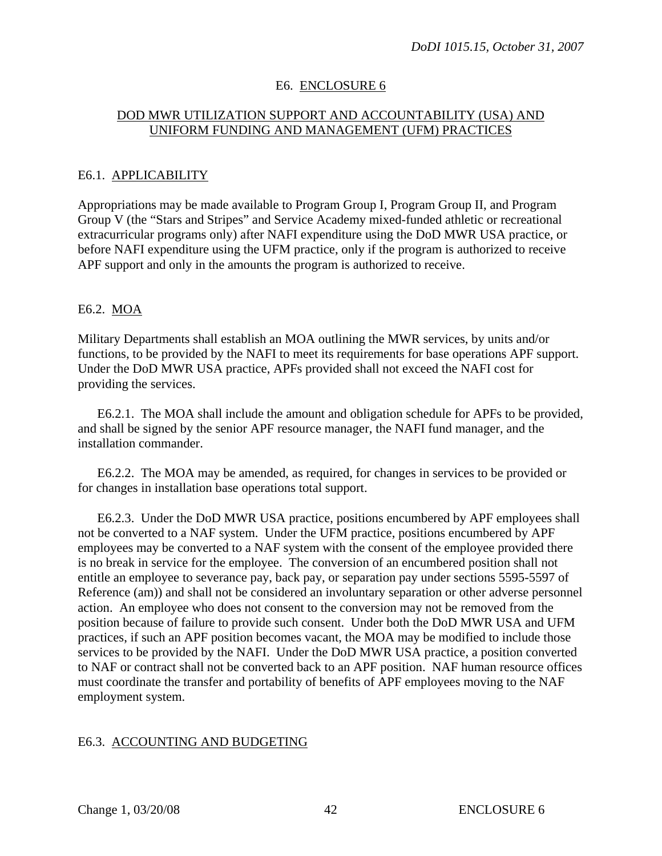# E6. ENCLOSURE 6

# DOD MWR UTILIZATION SUPPORT AND ACCOUNTABILITY (USA) AND UNIFORM FUNDING AND MANAGEMENT (UFM) PRACTICES

### E6.1. APPLICABILITY

Appropriations may be made available to Program Group I, Program Group II, and Program Group V (the "Stars and Stripes" and Service Academy mixed-funded athletic or recreational extracurricular programs only) after NAFI expenditure using the DoD MWR USA practice, or before NAFI expenditure using the UFM practice, only if the program is authorized to receive APF support and only in the amounts the program is authorized to receive.

### E6.2. MOA

Military Departments shall establish an MOA outlining the MWR services, by units and/or functions, to be provided by the NAFI to meet its requirements for base operations APF support. Under the DoD MWR USA practice, APFs provided shall not exceed the NAFI cost for providing the services.

E6.2.1. The MOA shall include the amount and obligation schedule for APFs to be provided, and shall be signed by the senior APF resource manager, the NAFI fund manager, and the installation commander.

E6.2.2. The MOA may be amended, as required, for changes in services to be provided or for changes in installation base operations total support.

E6.2.3. Under the DoD MWR USA practice, positions encumbered by APF employees shall not be converted to a NAF system. Under the UFM practice, positions encumbered by APF employees may be converted to a NAF system with the consent of the employee provided there is no break in service for the employee. The conversion of an encumbered position shall not entitle an employee to severance pay, back pay, or separation pay under sections 5595-5597 of [Reference \(am\)\)](#page-23-0) and shall not be considered an involuntary separation or other adverse personnel action. An employee who does not consent to the conversion may not be removed from the position because of failure to provide such consent. Under both the DoD MWR USA and UFM practices, if such an APF position becomes vacant, the MOA may be modified to include those services to be provided by the NAFI. Under the DoD MWR USA practice, a position converted to NAF or contract shall not be converted back to an APF position. NAF human resource offices must coordinate the transfer and portability of benefits of APF employees moving to the NAF employment system.

### E6.3. ACCOUNTING AND BUDGETING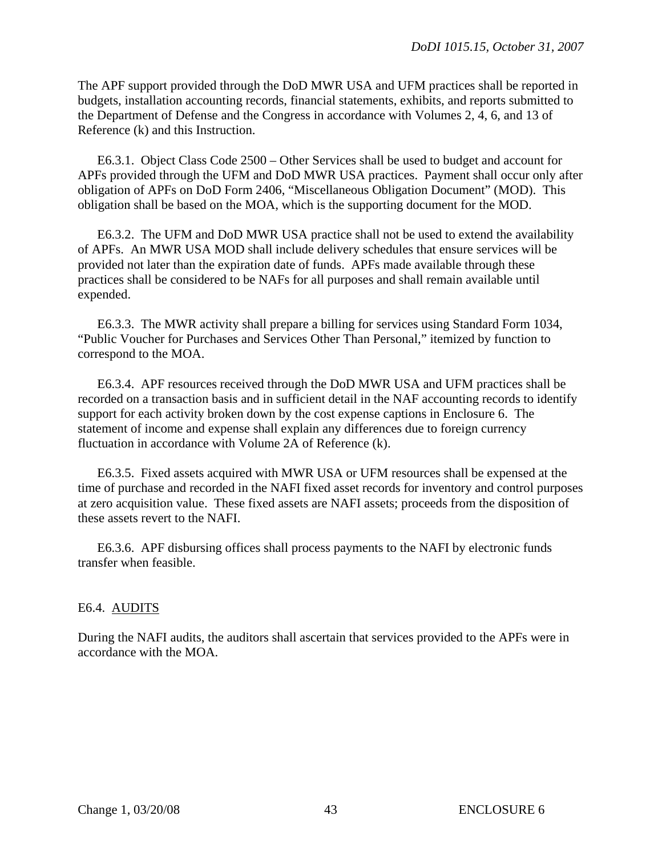The APF support provided through the DoD MWR USA and UFM practices shall be reported in budgets, installation accounting records, financial statements, exhibits, and reports submitted to the Department of Defense and the Congress in accordance with Volumes 2, 4, 6, and 13 of Reference (k) and this Instruction.

E6.3.1. Object Class Code 2500 – Other Services shall be used to budget and account for APFs provided through the UFM and DoD MWR USA practices. Payment shall occur only after obligation of APFs on DoD Form 2406, "Miscellaneous Obligation Document" (MOD). This obligation shall be based on the MOA, which is the supporting document for the MOD.

E6.3.2. The UFM and DoD MWR USA practice shall not be used to extend the availability of APFs. An MWR USA MOD shall include delivery schedules that ensure services will be provided not later than the expiration date of funds. APFs made available through these practices shall be considered to be NAFs for all purposes and shall remain available until expended.

E6.3.3. The MWR activity shall prepare a billing for services using Standard Form 1034, "Public Voucher for Purchases and Services Other Than Personal," itemized by function to correspond to the MOA.

E6.3.4. APF resources received through the DoD MWR USA and UFM practices shall be recorded on a transaction basis and in sufficient detail in the NAF accounting records to identify support for each activity broken down by the cost expense captions in Enclosure 6. The statement of income and expense shall explain any differences due to foreign currency fluctuation in accordance with Volume 2A of Reference (k).

E6.3.5. Fixed assets acquired with MWR USA or UFM resources shall be expensed at the time of purchase and recorded in the NAFI fixed asset records for inventory and control purposes at zero acquisition value. These fixed assets are NAFI assets; proceeds from the disposition of these assets revert to the NAFI.

E6.3.6. APF disbursing offices shall process payments to the NAFI by electronic funds transfer when feasible.

### E6.4. AUDITS

During the NAFI audits, the auditors shall ascertain that services provided to the APFs were in accordance with the MOA.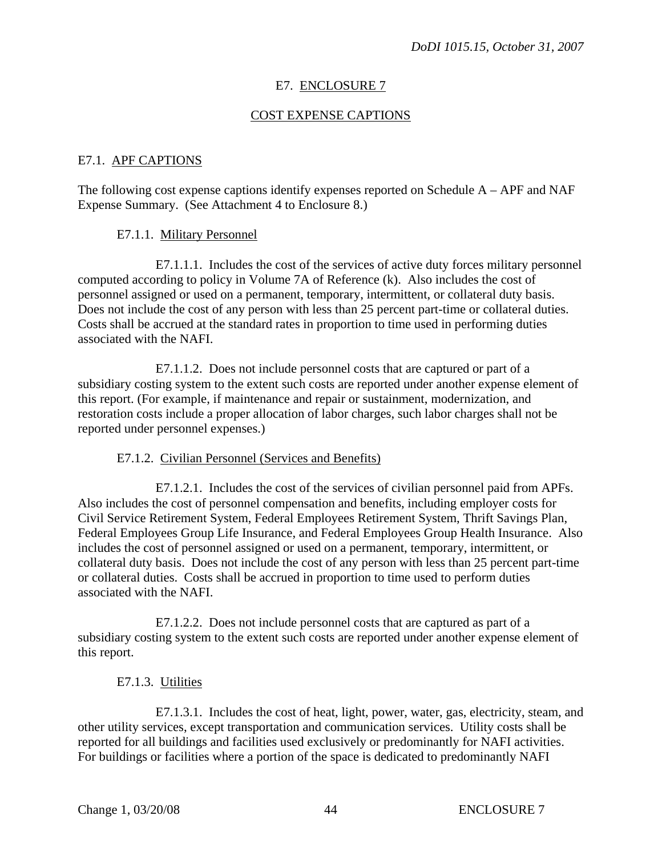# E7. ENCLOSURE 7

# COST EXPENSE CAPTIONS

### E7.1. APF CAPTIONS

The following cost expense captions identify expenses reported on Schedule  $A - APF$  and NAF Expense Summary. (See Attachment 4 to Enclosure 8.)

### E7.1.1. Military Personnel

E7.1.1.1. Includes the cost of the services of active duty forces military personnel computed according to policy in Volume 7A of Reference (k). Also includes the cost of personnel assigned or used on a permanent, temporary, intermittent, or collateral duty basis. Does not include the cost of any person with less than 25 percent part-time or collateral duties. Costs shall be accrued at the standard rates in proportion to time used in performing duties associated with the NAFI.

E7.1.1.2. Does not include personnel costs that are captured or part of a subsidiary costing system to the extent such costs are reported under another expense element of this report. (For example, if maintenance and repair or sustainment, modernization, and restoration costs include a proper allocation of labor charges, such labor charges shall not be reported under personnel expenses.)

# E7.1.2. Civilian Personnel (Services and Benefits)

E7.1.2.1. Includes the cost of the services of civilian personnel paid from APFs. Also includes the cost of personnel compensation and benefits, including employer costs for Civil Service Retirement System, Federal Employees Retirement System, Thrift Savings Plan, Federal Employees Group Life Insurance, and Federal Employees Group Health Insurance. Also includes the cost of personnel assigned or used on a permanent, temporary, intermittent, or collateral duty basis. Does not include the cost of any person with less than 25 percent part-time or collateral duties. Costs shall be accrued in proportion to time used to perform duties associated with the NAFI.

E7.1.2.2. Does not include personnel costs that are captured as part of a subsidiary costing system to the extent such costs are reported under another expense element of this report.

### E7.1.3. Utilities

E7.1.3.1. Includes the cost of heat, light, power, water, gas, electricity, steam, and other utility services, except transportation and communication services. Utility costs shall be reported for all buildings and facilities used exclusively or predominantly for NAFI activities. For buildings or facilities where a portion of the space is dedicated to predominantly NAFI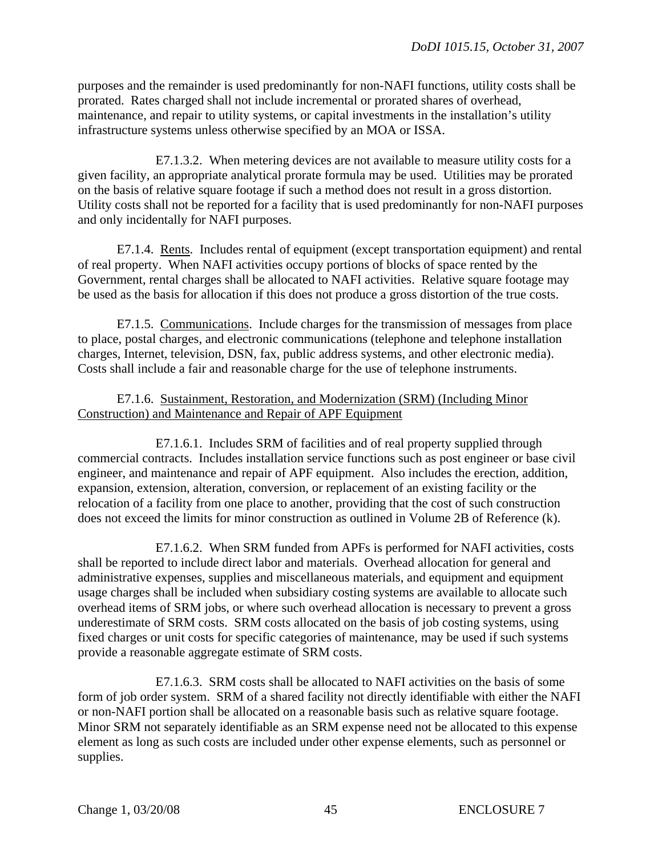purposes and the remainder is used predominantly for non-NAFI functions, utility costs shall be prorated. Rates charged shall not include incremental or prorated shares of overhead, maintenance, and repair to utility systems, or capital investments in the installation's utility infrastructure systems unless otherwise specified by an MOA or ISSA.

E7.1.3.2. When metering devices are not available to measure utility costs for a given facility, an appropriate analytical prorate formula may be used. Utilities may be prorated on the basis of relative square footage if such a method does not result in a gross distortion. Utility costs shall not be reported for a facility that is used predominantly for non-NAFI purposes and only incidentally for NAFI purposes.

E7.1.4. Rents. Includes rental of equipment (except transportation equipment) and rental of real property. When NAFI activities occupy portions of blocks of space rented by the Government, rental charges shall be allocated to NAFI activities. Relative square footage may be used as the basis for allocation if this does not produce a gross distortion of the true costs.

E7.1.5. Communications. Include charges for the transmission of messages from place to place, postal charges, and electronic communications (telephone and telephone installation charges, Internet, television, DSN, fax, public address systems, and other electronic media). Costs shall include a fair and reasonable charge for the use of telephone instruments.

# E7.1.6. Sustainment, Restoration, and Modernization (SRM) (Including Minor Construction) and Maintenance and Repair of APF Equipment

E7.1.6.1. Includes SRM of facilities and of real property supplied through commercial contracts. Includes installation service functions such as post engineer or base civil engineer, and maintenance and repair of APF equipment. Also includes the erection, addition, expansion, extension, alteration, conversion, or replacement of an existing facility or the relocation of a facility from one place to another, providing that the cost of such construction does not exceed the limits for minor construction as outlined in Volume 2B of Reference (k).

E7.1.6.2. When SRM funded from APFs is performed for NAFI activities, costs shall be reported to include direct labor and materials. Overhead allocation for general and administrative expenses, supplies and miscellaneous materials, and equipment and equipment usage charges shall be included when subsidiary costing systems are available to allocate such overhead items of SRM jobs, or where such overhead allocation is necessary to prevent a gross underestimate of SRM costs. SRM costs allocated on the basis of job costing systems, using fixed charges or unit costs for specific categories of maintenance, may be used if such systems provide a reasonable aggregate estimate of SRM costs.

E7.1.6.3. SRM costs shall be allocated to NAFI activities on the basis of some form of job order system. SRM of a shared facility not directly identifiable with either the NAFI or non-NAFI portion shall be allocated on a reasonable basis such as relative square footage. Minor SRM not separately identifiable as an SRM expense need not be allocated to this expense element as long as such costs are included under other expense elements, such as personnel or supplies.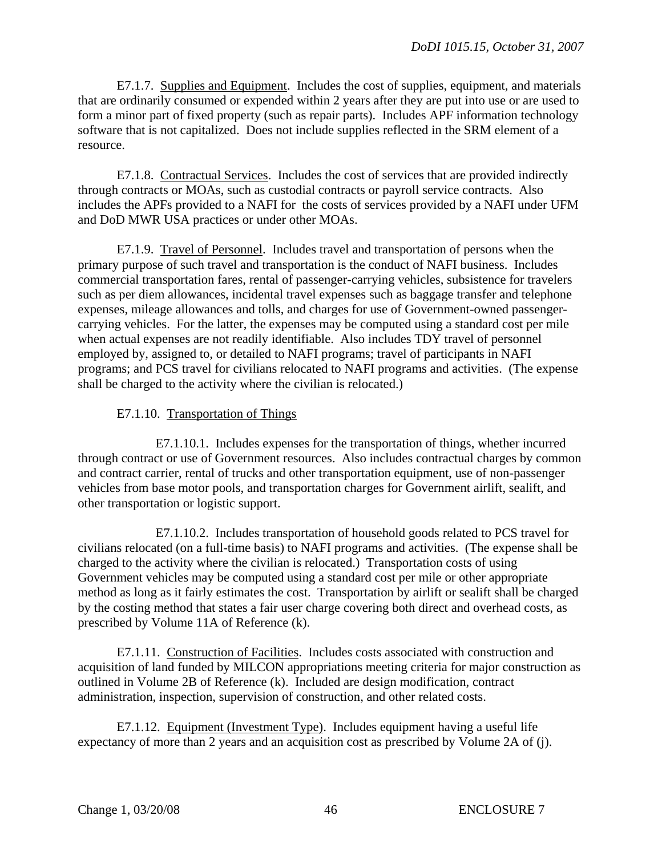E7.1.7. Supplies and Equipment. Includes the cost of supplies, equipment, and materials that are ordinarily consumed or expended within 2 years after they are put into use or are used to form a minor part of fixed property (such as repair parts). Includes APF information technology software that is not capitalized. Does not include supplies reflected in the SRM element of a resource.

E7.1.8. Contractual Services. Includes the cost of services that are provided indirectly through contracts or MOAs, such as custodial contracts or payroll service contracts. Also includes the APFs provided to a NAFI for the costs of services provided by a NAFI under UFM and DoD MWR USA practices or under other MOAs.

E7.1.9. Travel of Personnel. Includes travel and transportation of persons when the primary purpose of such travel and transportation is the conduct of NAFI business. Includes commercial transportation fares, rental of passenger-carrying vehicles, subsistence for travelers such as per diem allowances, incidental travel expenses such as baggage transfer and telephone expenses, mileage allowances and tolls, and charges for use of Government-owned passengercarrying vehicles. For the latter, the expenses may be computed using a standard cost per mile when actual expenses are not readily identifiable. Also includes TDY travel of personnel employed by, assigned to, or detailed to NAFI programs; travel of participants in NAFI programs; and PCS travel for civilians relocated to NAFI programs and activities. (The expense shall be charged to the activity where the civilian is relocated.)

# E7.1.10. Transportation of Things

E7.1.10.1. Includes expenses for the transportation of things, whether incurred through contract or use of Government resources. Also includes contractual charges by common and contract carrier, rental of trucks and other transportation equipment, use of non-passenger vehicles from base motor pools, and transportation charges for Government airlift, sealift, and other transportation or logistic support.

E7.1.10.2. Includes transportation of household goods related to PCS travel for civilians relocated (on a full-time basis) to NAFI programs and activities. (The expense shall be charged to the activity where the civilian is relocated.) Transportation costs of using Government vehicles may be computed using a standard cost per mile or other appropriate method as long as it fairly estimates the cost. Transportation by airlift or sealift shall be charged by the costing method that states a fair user charge covering both direct and overhead costs, as prescribed by Volume 11A of Reference (k).

E7.1.11. Construction of Facilities. Includes costs associated with construction and acquisition of land funded by MILCON appropriations meeting criteria for major construction as outlined in Volume 2B of Reference (k). Included are design modification, contract administration, inspection, supervision of construction, and other related costs.

E7.1.12. Equipment (Investment Type). Includes equipment having a useful life expectancy of more than 2 years and an acquisition cost as prescribed by Volume 2A of (j).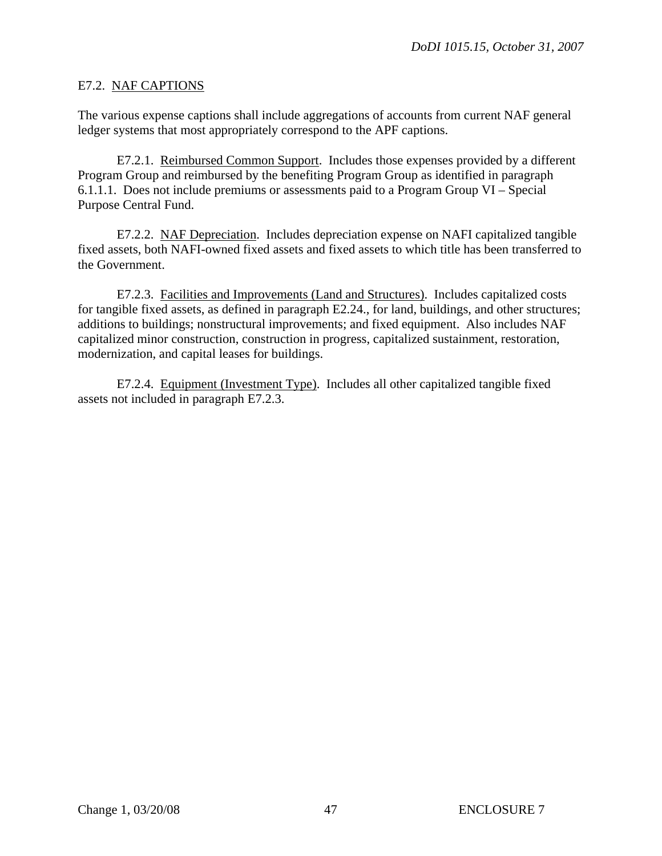# E7.2. NAF CAPTIONS

The various expense captions shall include aggregations of accounts from current NAF general ledger systems that most appropriately correspond to the APF captions.

E7.2.1. Reimbursed Common Support. Includes those expenses provided by a different Program Group and reimbursed by the benefiting Program Group as identified in [paragraph](#page-0-0)  [6.1.1.1.](#page-0-0) Does not include premiums or assessments paid to a Program Group VI – Special Purpose Central Fund.

E7.2.2. NAF Depreciation. Includes depreciation expense on NAFI capitalized tangible fixed assets, both NAFI-owned fixed assets and fixed assets to which title has been transferred to the Government.

E7.2.3. Facilities and Improvements (Land and Structures). Includes capitalized costs for tangible fixed assets, as defined in paragraph E2.24., for land, buildings, and other structures; additions to buildings; nonstructural improvements; and fixed equipment. Also includes NAF capitalized minor construction, construction in progress, capitalized sustainment, restoration, modernization, and capital leases for buildings.

E7.2.4. Equipment (Investment Type). Includes all other capitalized tangible fixed assets not included in paragraph E7.2.3.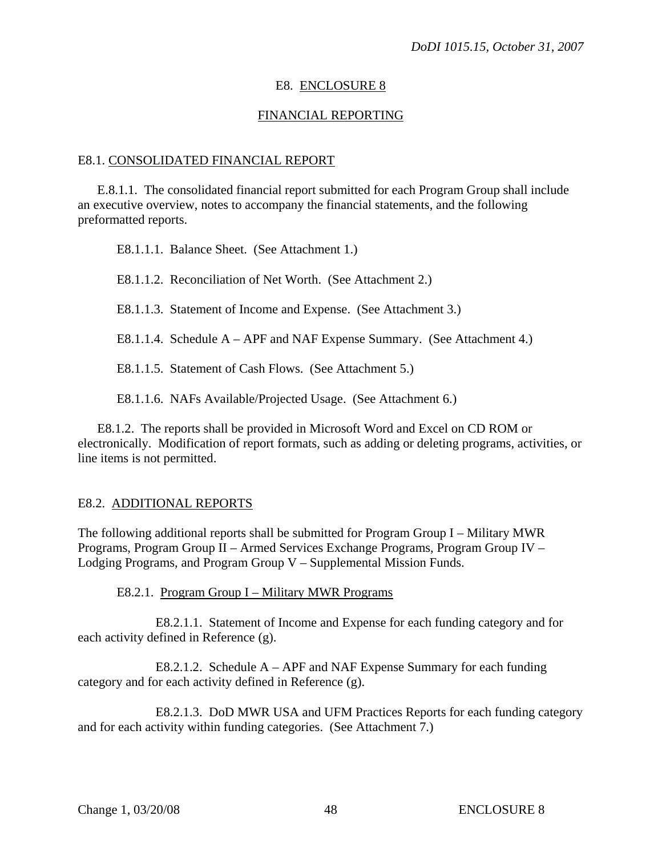# E8. ENCLOSURE 8

# FINANCIAL REPORTING

### E8.1. CONSOLIDATED FINANCIAL REPORT

 E.8.1.1. The consolidated financial report submitted for each Program Group shall include an executive overview, notes to accompany the financial statements, and the following preformatted reports.

E8.1.1.1. Balance Sheet. [\(See Attachment 1.\)](#page-51-0) 

E8.1.1.2. Reconciliation of Net Worth. (See Attachment 2.)

E8.1.1.3. Statement of Income and Expense. (See Attachment 3.)

E8.1.1.4. Schedule A – APF and NAF Expense Summary. (See Attachment 4.)

E8.1.1.5. Statement of Cash Flows. (See Attachment 5.)

E8.1.1.6. NAFs Available/Projected Usage. (See Attachment 6.)

 E8.1.2. The reports shall be provided in Microsoft Word and Excel on CD ROM or electronically. Modification of report formats, such as adding or deleting programs, activities, or line items is not permitted.

### E8.2. ADDITIONAL REPORTS

The following additional reports shall be submitted for Program Group I – Military MWR Programs, Program Group II – Armed Services Exchange Programs, Program Group IV – Lodging Programs, and Program Group V – Supplemental Mission Funds.

E8.2.1. Program Group I – Military MWR Programs

 E8.2.1.1. Statement of Income and Expense for each funding category and for each activity defined in Reference (g).

 E8.2.1.2. Schedule A – APF and NAF Expense Summary for each funding category and for each activity defined in Reference (g).

 E8.2.1.3. DoD MWR USA and UFM Practices Reports for each funding category and for each activity within funding categories. (See Attachment 7.)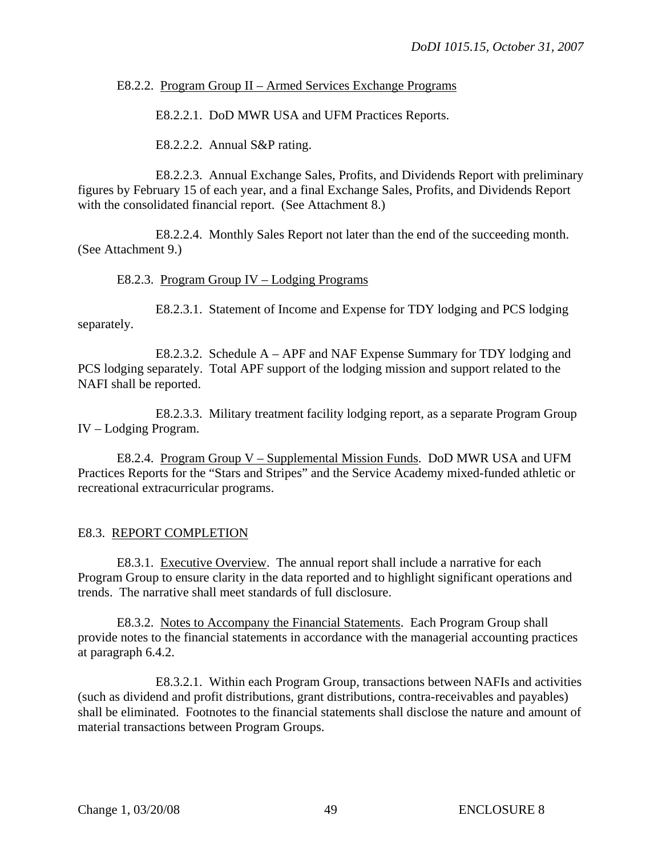# E8.2.2. Program Group II – Armed Services Exchange Programs

E8.2.2.1. DoD MWR USA and UFM Practices Reports.

E8.2.2.2. Annual S&P rating.

 E8.2.2.3. Annual Exchange Sales, Profits, and Dividends Report with preliminary figures by February 15 of each year, and a final Exchange Sales, Profits, and Dividends Report with the consolidated financial report. (See Attachment 8.)

 E8.2.2.4. Monthly Sales Report not later than the end of the succeeding month. (See Attachment 9.)

# E8.2.3. Program Group IV – Lodging Programs

 E8.2.3.1. Statement of Income and Expense for TDY lodging and PCS lodging separately.

 E8.2.3.2. Schedule A – APF and NAF Expense Summary for TDY lodging and PCS lodging separately. Total APF support of the lodging mission and support related to the NAFI shall be reported.

 E8.2.3.3. Military treatment facility lodging report, as a separate Program Group IV – Lodging Program.

 E8.2.4. Program Group V – Supplemental Mission Funds. DoD MWR USA and UFM Practices Reports for the "Stars and Stripes" and the Service Academy mixed-funded athletic or recreational extracurricular programs.

# E8.3. REPORT COMPLETION

 E8.3.1. Executive Overview. The annual report shall include a narrative for each Program Group to ensure clarity in the data reported and to highlight significant operations and trends. The narrative shall meet standards of full disclosure.

 E8.3.2. Notes to Accompany the Financial Statements. Each Program Group shall provide notes to the financial statements in accordance with the managerial accounting practices at paragraph 6.4.2.

 E8.3.2.1. Within each Program Group, transactions between NAFIs and activities (such as dividend and profit distributions, grant distributions, contra-receivables and payables) shall be eliminated. Footnotes to the financial statements shall disclose the nature and amount of material transactions between Program Groups.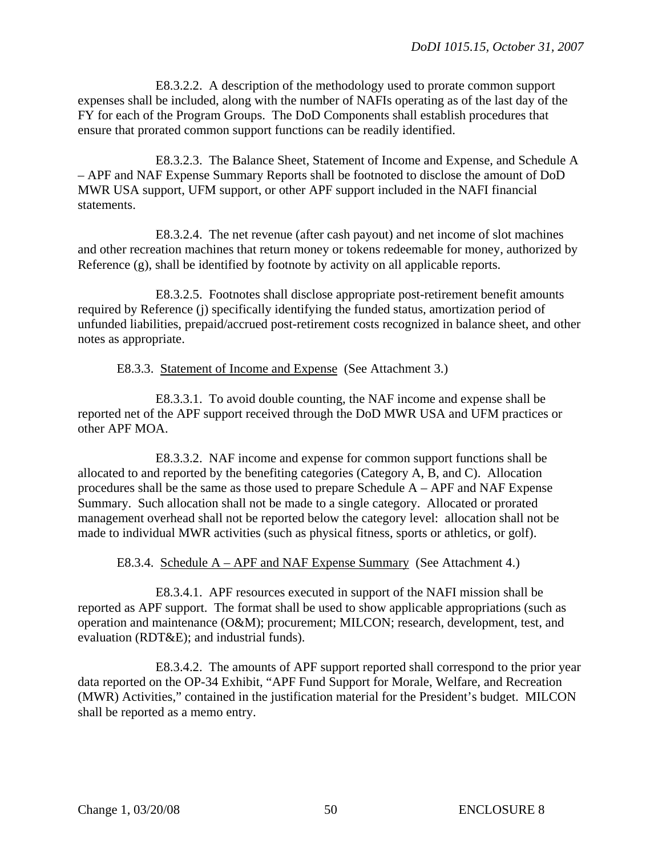E8.3.2.2. A description of the methodology used to prorate common support expenses shall be included, along with the number of NAFIs operating as of the last day of the FY for each of the Program Groups. The DoD Components shall establish procedures that ensure that prorated common support functions can be readily identified.

E8.3.2.3. The Balance Sheet, Statement of Income and Expense, and Schedule A – APF and NAF Expense Summary Reports shall be footnoted to disclose the amount of DoD MWR USA support, UFM support, or other APF support included in the NAFI financial statements.

E8.3.2.4. The net revenue (after cash payout) and net income of slot machines and other recreation machines that return money or tokens redeemable for money, authorized by Reference (g), shall be identified by footnote by activity on all applicable reports.

E8.3.2.5. Footnotes shall disclose appropriate post-retirement benefit amounts required by Reference (j) specifically identifying the funded status, amortization period of unfunded liabilities, prepaid/accrued post-retirement costs recognized in balance sheet, and other notes as appropriate.

E8.3.3. Statement of Income and Expense (See Attachment 3.)

E8.3.3.1. To avoid double counting, the NAF income and expense shall be reported net of the APF support received through the DoD MWR USA and UFM practices or other APF MOA.

E8.3.3.2. NAF income and expense for common support functions shall be allocated to and reported by the benefiting categories (Category A, B, and C). Allocation procedures shall be the same as those used to prepare Schedule A – APF and NAF Expense Summary. Such allocation shall not be made to a single category. Allocated or prorated management overhead shall not be reported below the category level: allocation shall not be made to individual MWR activities (such as physical fitness, sports or athletics, or golf).

E8.3.4. Schedule  $A - APF$  and NAF Expense Summary (See Attachment 4.)

E8.3.4.1. APF resources executed in support of the NAFI mission shall be reported as APF support. The format shall be used to show applicable appropriations (such as operation and maintenance (O&M); procurement; MILCON; research, development, test, and evaluation (RDT&E); and industrial funds).

E8.3.4.2. The amounts of APF support reported shall correspond to the prior year data reported on the OP-34 Exhibit, "APF Fund Support for Morale, Welfare, and Recreation (MWR) Activities," contained in the justification material for the President's budget. MILCON shall be reported as a memo entry.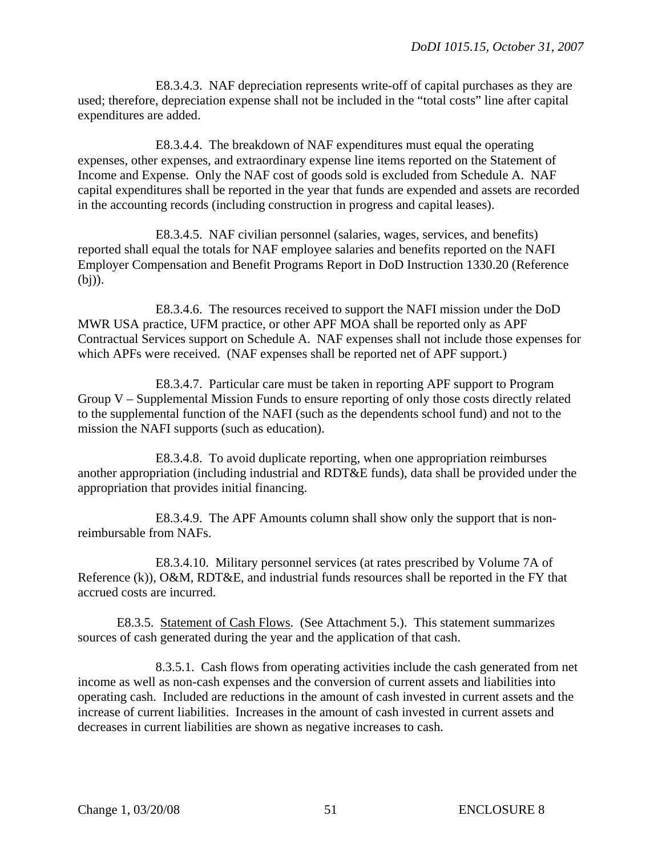E8.3.4.3. NAF depreciation represents write-off of capital purchases as they are used; therefore, depreciation expense shall not be included in the "total costs" line after capital expenditures are added.

E8.3.4.4. The breakdown of NAF expenditures must equal the operating expenses, other expenses, and extraordinary expense line items reported on the Statement of Income and Expense. Only the NAF cost of goods sold is excluded from Schedule A. NAF capital expenditures shall be reported in the year that funds are expended and assets are recorded in the accounting records (including construction in progress and capital leases).

E8.3.4.5. NAF civilian personnel (salaries, wages, services, and benefits) reported shall equal the totals for NAF employee salaries and benefits reported on the NAFI Employer Compensation and Benefit Programs Report in DoD Instruction 1330.20 (Reference (bj)).

E8.3.4.6. The resources received to support the NAFI mission under the DoD MWR USA practice, UFM practice, or other APF MOA shall be reported only as APF Contractual Services support on Schedule A. NAF expenses shall not include those expenses for which APFs were received. (NAF expenses shall be reported net of APF support.)

E8.3.4.7. Particular care must be taken in reporting APF support to Program Group V – Supplemental Mission Funds to ensure reporting of only those costs directly related to the supplemental function of the NAFI (such as the dependents school fund) and not to the mission the NAFI supports (such as education).

E8.3.4.8. To avoid duplicate reporting, when one appropriation reimburses another appropriation (including industrial and RDT&E funds), data shall be provided under the appropriation that provides initial financing.

E8.3.4.9. The APF Amounts column shall show only the support that is nonreimbursable from NAFs.

E8.3.4.10. Military personnel services (at rates prescribed by Volume 7A of Reference (k)), O&M, RDT&E, and industrial funds resources shall be reported in the FY that accrued costs are incurred.

E8.3.5. Statement of Cash Flows. (See Attachment 5.). This statement summarizes sources of cash generated during the year and the application of that cash.

8.3.5.1. Cash flows from operating activities include the cash generated from net income as well as non-cash expenses and the conversion of current assets and liabilities into operating cash. Included are reductions in the amount of cash invested in current assets and the increase of current liabilities. Increases in the amount of cash invested in current assets and decreases in current liabilities are shown as negative increases to cash.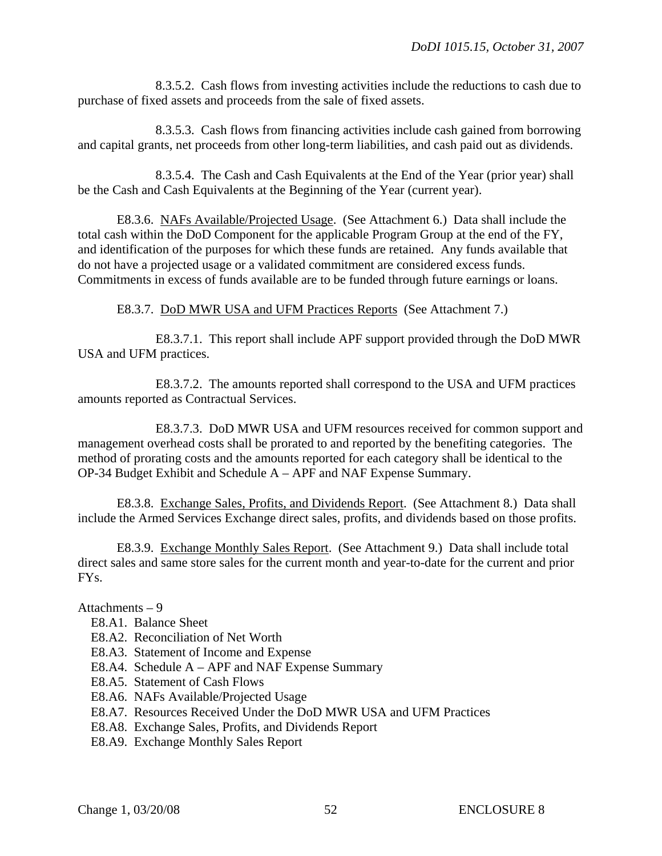8.3.5.2. Cash flows from investing activities include the reductions to cash due to purchase of fixed assets and proceeds from the sale of fixed assets.

8.3.5.3. Cash flows from financing activities include cash gained from borrowing and capital grants, net proceeds from other long-term liabilities, and cash paid out as dividends.

8.3.5.4. The Cash and Cash Equivalents at the End of the Year (prior year) shall be the Cash and Cash Equivalents at the Beginning of the Year (current year).

E8.3.6. NAFs Available/Projected Usage. (See Attachment 6.) Data shall include the total cash within the DoD Component for the applicable Program Group at the end of the FY, and identification of the purposes for which these funds are retained. Any funds available that do not have a projected usage or a validated commitment are considered excess funds. Commitments in excess of funds available are to be funded through future earnings or loans.

E8.3.7. DoD MWR USA and UFM Practices Reports (See Attachment 7.)

E8.3.7.1. This report shall include APF support provided through the DoD MWR USA and UFM practices.

E8.3.7.2. The amounts reported shall correspond to the USA and UFM practices amounts reported as Contractual Services.

E8.3.7.3. DoD MWR USA and UFM resources received for common support and management overhead costs shall be prorated to and reported by the benefiting categories. The method of prorating costs and the amounts reported for each category shall be identical to the OP-34 Budget Exhibit and Schedule A – APF and NAF Expense Summary.

E8.3.8. Exchange Sales, Profits, and Dividends Report. (See Attachment 8.) Data shall include the Armed Services Exchange direct sales, profits, and dividends based on those profits.

E8.3.9. Exchange Monthly Sales Report. (See Attachment 9.) Data shall include total direct sales and same store sales for the current month and year-to-date for the current and prior FYs.

# Attachments – 9

- E8.A1. [Balance Sheet](#page-51-0)
- E8.A2. Reconciliation of Net Worth
- E8.A3. Statement of Income and Expense
- E8.A4. Schedule A APF and NAF Expense Summary
- E8.A5. Statement of Cash Flows
- E8.A6. NAFs Available/Projected Usage
- E8.A7. Resources Received Under the DoD MWR USA and UFM Practices
- E8.A8. Exchange Sales, Profits, and Dividends Report
- <span id="page-51-0"></span>E8.A9. Exchange Monthly Sales Report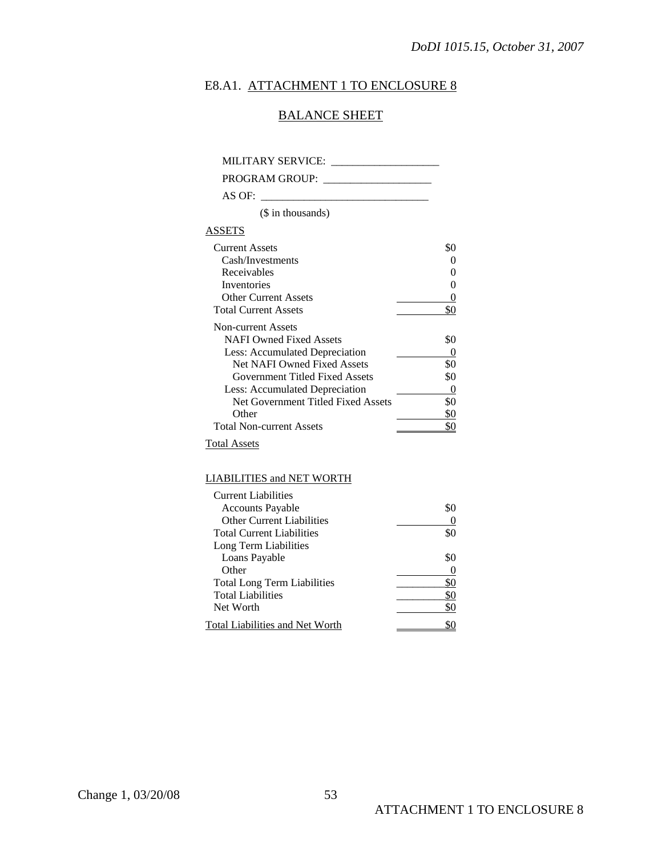# E8.A1. ATTACHMENT 1 TO ENCLOSURE 8

# BALANCE SHEET

MILITARY SERVICE: \_\_\_\_\_\_\_\_\_\_\_\_\_\_\_\_\_\_\_\_

PROGRAM GROUP: \_\_\_\_\_\_\_\_\_\_\_\_\_\_\_\_\_\_\_\_

AS OF:  $\overline{\phantom{0}}$ 

(\$ in thousands)

# ASSETS

| <b>Current Assets</b>              |     |
|------------------------------------|-----|
| Cash/Investments                   |     |
| Receivables                        |     |
| Inventories                        |     |
| Other Current Assets               |     |
| <b>Total Current Assets</b>        |     |
| Non-current Assets                 |     |
| <b>NAFI Owned Fixed Assets</b>     | \$0 |
| Less: Accumulated Depreciation     |     |
| <b>Net NAFI Owned Fixed Assets</b> | \$0 |
| Government Titled Fixed Assets     | \$0 |
| Less: Accumulated Depreciation     |     |
| Net Government Titled Fixed Assets | 80  |
| Other                              |     |
| <b>Total Non-current Assets</b>    |     |

Total Assets

#### LIABILITIES and NET WORTH

| <b>Current Liabilities</b>         |     |
|------------------------------------|-----|
| <b>Accounts Payable</b>            | \$0 |
| <b>Other Current Liabilities</b>   |     |
| <b>Total Current Liabilities</b>   | \$0 |
| Long Term Liabilities              |     |
| Loans Payable                      | \$0 |
| Other                              |     |
| <b>Total Long Term Liabilities</b> | \$0 |
| <b>Total Liabilities</b>           | \$0 |
| Net Worth                          | \$0 |
| Total Liabilities and Net Worth    |     |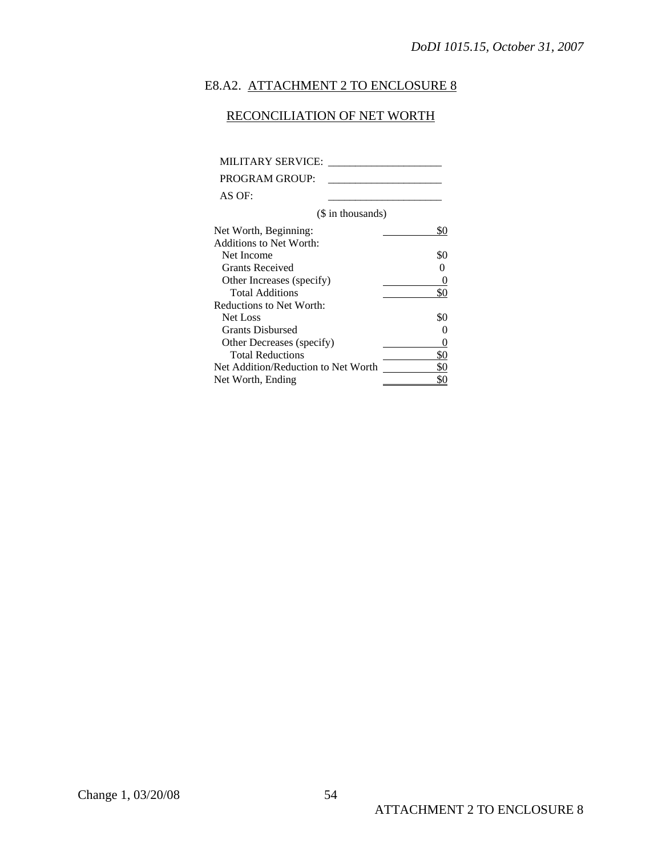# E8.A2. ATTACHMENT 2 TO ENCLOSURE 8

# RECONCILIATION OF NET WORTH

| MILITARY SERVICE:                   |                   |
|-------------------------------------|-------------------|
| PROGRAM GROUP:                      |                   |
| AS OF:                              |                   |
| (\$ in thousands)                   |                   |
| Net Worth, Beginning:               | \$0               |
| Additions to Net Worth:             |                   |
| Net Income                          | \$0               |
| <b>Grants Received</b>              |                   |
| Other Increases (specify)           |                   |
| <b>Total Additions</b>              | \$0               |
| Reductions to Net Worth:            |                   |
| Net Loss                            | \$0               |
| <b>Grants Disbursed</b>             | $\mathbf{\Omega}$ |
| Other Decreases (specify)           | $\mathbf{0}$      |
| <b>Total Reductions</b>             | \$0               |
| Net Addition/Reduction to Net Worth | \$0               |
| Net Worth, Ending                   |                   |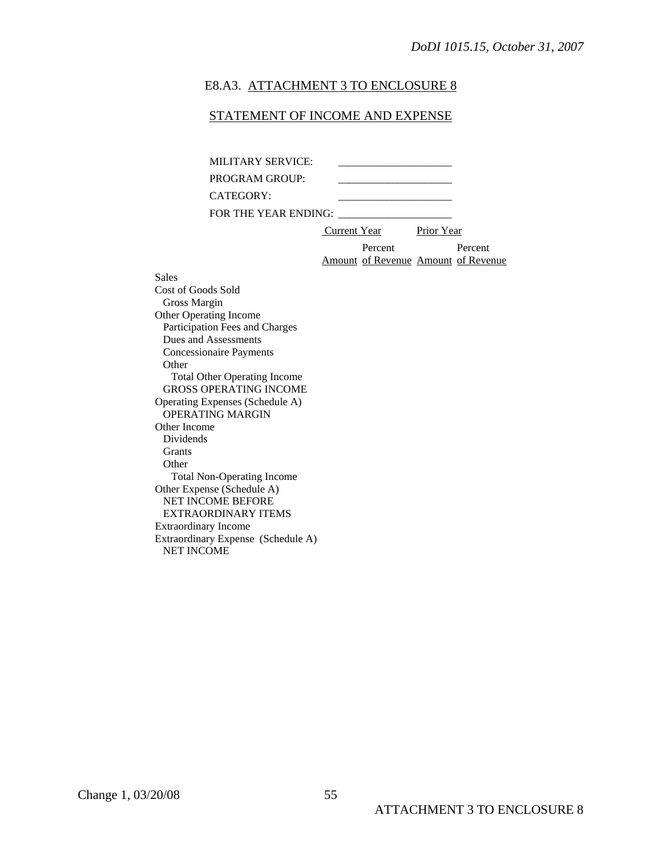#### E8.A3. ATTACHMENT 3 TO ENCLOSURE 8

### STATEMENT OF INCOME AND EXPENSE

| MILITARY SERVICE:    |              |                                     |            |         |
|----------------------|--------------|-------------------------------------|------------|---------|
| PROGRAM GROUP:       |              |                                     |            |         |
| CATEGORY:            |              |                                     |            |         |
| FOR THE YEAR ENDING: |              |                                     |            |         |
|                      | Current Year |                                     | Prior Year |         |
|                      |              | Percent                             |            | Percent |
|                      |              | Amount of Revenue Amount of Revenue |            |         |

Sales Cost of Goods Sold Gross Margin Other Operating Income Participation Fees and Charges Dues and Assessments Concessionaire Payments **Other**  Total Other Operating Income GROSS OPERATING INCOME Operating Expenses (Schedule A) OPERATING MARGIN Other Income Dividends Grants **Other**  Total Non-Operating Income Other Expense (Schedule A) NET INCOME BEFORE EXTRAORDINARY ITEMS Extraordinary Income Extraordinary Expense (Schedule A) NET INCOME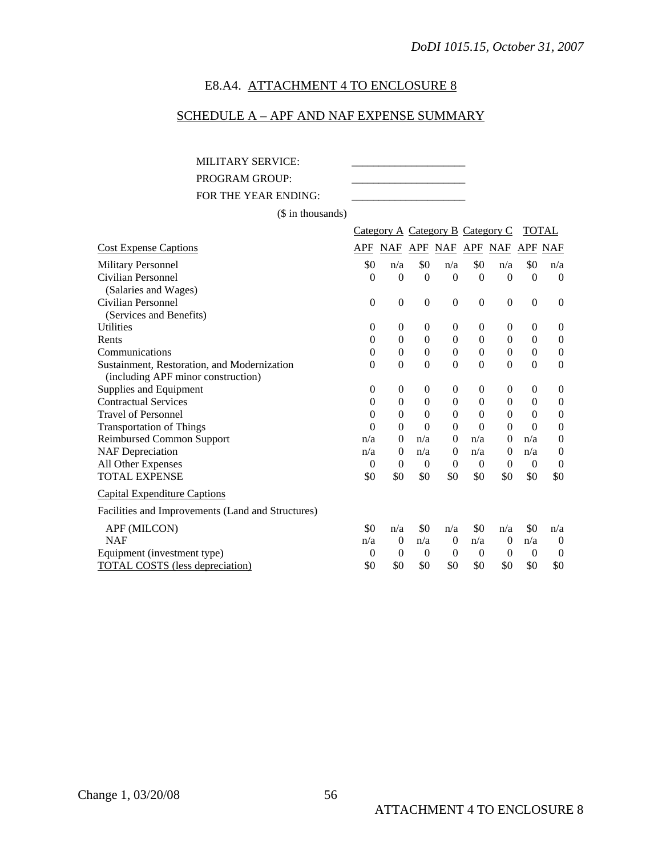# E8.A4. ATTACHMENT 4 TO ENCLOSURE 8

# SCHEDULE A – APF AND NAF EXPENSE SUMMARY

MILITARY SERVICE: PROGRAM GROUP: FOR THE YEAR ENDING:

(\$ in thousands)

|                                                   |                  | Category A Category B Category C |              |                |                |                  |                  | <b>TOTAL</b>     |
|---------------------------------------------------|------------------|----------------------------------|--------------|----------------|----------------|------------------|------------------|------------------|
| <b>Cost Expense Captions</b>                      | APF              | <b>NAF</b>                       |              | <b>APF NAF</b> | APF            | NAF              | APF              | <b>NAF</b>       |
| <b>Military Personnel</b>                         | \$0              | n/a                              | \$0          | n/a            | \$0            | n/a              | \$0              | n/a              |
| Civilian Personnel                                | 0                | $\theta$                         | $\Omega$     | $\Omega$       | $\Omega$       | $\theta$         | $\Omega$         | $\Omega$         |
| (Salaries and Wages)                              |                  |                                  |              |                |                |                  |                  |                  |
| Civilian Personnel                                | $\mathbf{0}$     | $\boldsymbol{0}$                 | $\mathbf{0}$ | $\overline{0}$ | $\overline{0}$ | $\boldsymbol{0}$ | $\boldsymbol{0}$ | $\theta$         |
| (Services and Benefits)                           |                  |                                  |              |                |                |                  |                  |                  |
| <b>Utilities</b>                                  | $\boldsymbol{0}$ | 0                                | $\mathbf{0}$ | $\theta$       | $\theta$       | $\theta$         | $\boldsymbol{0}$ | $\overline{0}$   |
| Rents                                             | $\Omega$         | $\theta$                         | $\theta$     | $\theta$       | $\Omega$       | $\theta$         | $\mathbf{0}$     | $\overline{0}$   |
| Communications                                    | $\theta$         | $\theta$                         | $\theta$     | $\Omega$       | $\Omega$       | $\theta$         | $\boldsymbol{0}$ | $\boldsymbol{0}$ |
| Sustainment, Restoration, and Modernization       | $\theta$         | $\overline{0}$                   | $\mathbf{0}$ | $\overline{0}$ | $\Omega$       | $\theta$         | $\mathbf{0}$     | $\theta$         |
| (including APF minor construction)                |                  |                                  |              |                |                |                  |                  |                  |
| Supplies and Equipment                            | 0                | $\boldsymbol{0}$                 | $\theta$     | 0              | 0              | $\theta$         | $\theta$         | $\overline{0}$   |
| <b>Contractual Services</b>                       | $\theta$         | $\boldsymbol{0}$                 | $\mathbf{0}$ | $\Omega$       | $\Omega$       | $\theta$         | $\mathbf{0}$     | $\boldsymbol{0}$ |
| <b>Travel of Personnel</b>                        | $\theta$         | $\boldsymbol{0}$                 | $\theta$     | $\theta$       | $\Omega$       | $\theta$         | $\theta$         | $\overline{0}$   |
| <b>Transportation of Things</b>                   | 0                | $\overline{0}$                   | $\theta$     | $\Omega$       | $\Omega$       | $\theta$         | $\Omega$         | $\boldsymbol{0}$ |
| <b>Reimbursed Common Support</b>                  | n/a              | $\boldsymbol{0}$                 | n/a          | $\Omega$       | n/a            | $\theta$         | n/a              | $\mathbf{0}$     |
| <b>NAF</b> Depreciation                           | n/a              | $\overline{0}$                   | n/a          | $\theta$       | n/a            | $\Omega$         | n/a              | $\boldsymbol{0}$ |
| All Other Expenses                                | $\theta$         | $\theta$                         | $\theta$     | $\Omega$       | $\theta$       | $\Omega$         | $\theta$         | $\theta$         |
| <b>TOTAL EXPENSE</b>                              | \$0              | \$0                              | \$0          | \$0            | \$0            | \$0              | \$0              | \$0              |
| <b>Capital Expenditure Captions</b>               |                  |                                  |              |                |                |                  |                  |                  |
| Facilities and Improvements (Land and Structures) |                  |                                  |              |                |                |                  |                  |                  |
| APF (MILCON)                                      | \$0              | n/a                              | \$0          | n/a            | \$0            | n/a              | \$0              | n/a              |
| <b>NAF</b>                                        | n/a              | $\mathbf{0}$                     | n/a          | $\theta$       | n/a            | $\theta$         | n/a              | $\boldsymbol{0}$ |
| Equipment (investment type)                       | $\Omega$         | $\theta$                         | $\theta$     | $\theta$       | $\theta$       | $\Omega$         | $\theta$         | $\theta$         |
| <b>TOTAL COSTS</b> (less depreciation)            | \$0              | \$0                              | \$0          | \$0            | \$0            | \$0              | \$0              | \$0              |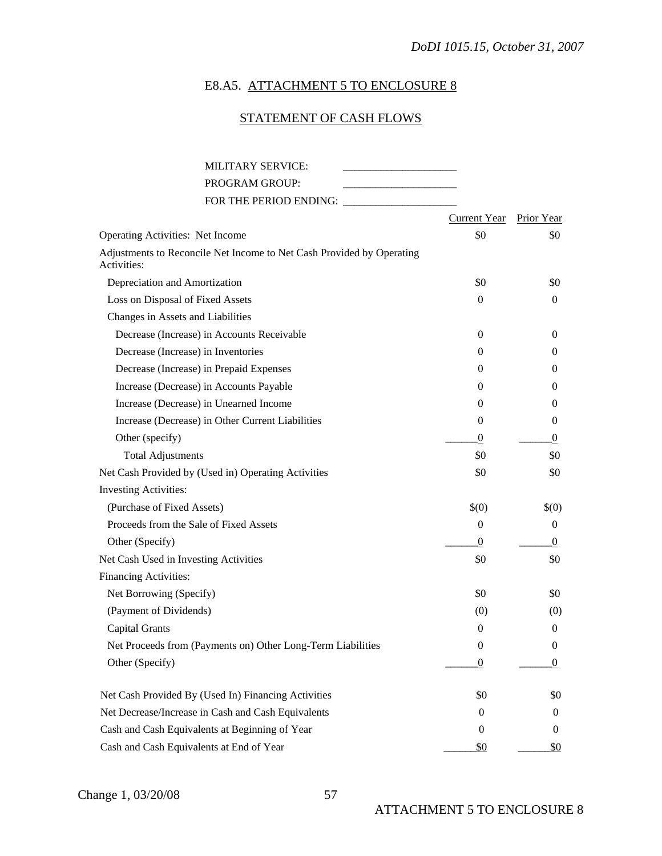# E8.A5. ATTACHMENT 5 TO ENCLOSURE 8

# STATEMENT OF CASH FLOWS

| <b>MILITARY SERVICE:</b>                                                             |                     |                   |
|--------------------------------------------------------------------------------------|---------------------|-------------------|
| PROGRAM GROUP:                                                                       |                     |                   |
| FOR THE PERIOD ENDING:                                                               |                     |                   |
|                                                                                      | <b>Current Year</b> | <b>Prior Year</b> |
| <b>Operating Activities: Net Income</b>                                              | \$0                 | \$0               |
| Adjustments to Reconcile Net Income to Net Cash Provided by Operating<br>Activities: |                     |                   |
| Depreciation and Amortization                                                        | \$0                 | \$0               |
| Loss on Disposal of Fixed Assets                                                     | $\overline{0}$      | $\theta$          |
| Changes in Assets and Liabilities                                                    |                     |                   |
| Decrease (Increase) in Accounts Receivable                                           | $\overline{0}$      | $\theta$          |
| Decrease (Increase) in Inventories                                                   | $\Omega$            | 0                 |
| Decrease (Increase) in Prepaid Expenses                                              | 0                   | 0                 |
| Increase (Decrease) in Accounts Payable                                              | $\theta$            | 0                 |
| Increase (Decrease) in Unearned Income                                               | 0                   | 0                 |
| Increase (Decrease) in Other Current Liabilities                                     | $\theta$            | 0                 |
| Other (specify)                                                                      | $\theta$            | $\theta$          |
| <b>Total Adjustments</b>                                                             | \$0                 | \$0               |
| Net Cash Provided by (Used in) Operating Activities                                  | \$0                 | \$0               |
| <b>Investing Activities:</b>                                                         |                     |                   |
| (Purchase of Fixed Assets)                                                           | $\$(0)$             | \$(0)             |
| Proceeds from the Sale of Fixed Assets                                               | $\theta$            | $\mathbf{0}$      |
| Other (Specify)                                                                      | $\theta$            | $\theta$          |
| Net Cash Used in Investing Activities                                                | \$0                 | \$0               |
| <b>Financing Activities:</b>                                                         |                     |                   |
| Net Borrowing (Specify)                                                              | \$0                 | \$0               |
| (Payment of Dividends)                                                               | (0)                 | (0)               |
| <b>Capital Grants</b>                                                                | $\mathbf{0}$        | $\mathbf{0}$      |
| Net Proceeds from (Payments on) Other Long-Term Liabilities                          | $\boldsymbol{0}$    | $\boldsymbol{0}$  |
| Other (Specify)                                                                      | 0                   | 0                 |
| Net Cash Provided By (Used In) Financing Activities                                  | \$0                 | \$0               |
| Net Decrease/Increase in Cash and Cash Equivalents                                   | $\boldsymbol{0}$    | $\bf{0}$          |
| Cash and Cash Equivalents at Beginning of Year                                       | $\boldsymbol{0}$    | 0                 |
| Cash and Cash Equivalents at End of Year                                             | <u>\$0</u>          | <u>\$0</u>        |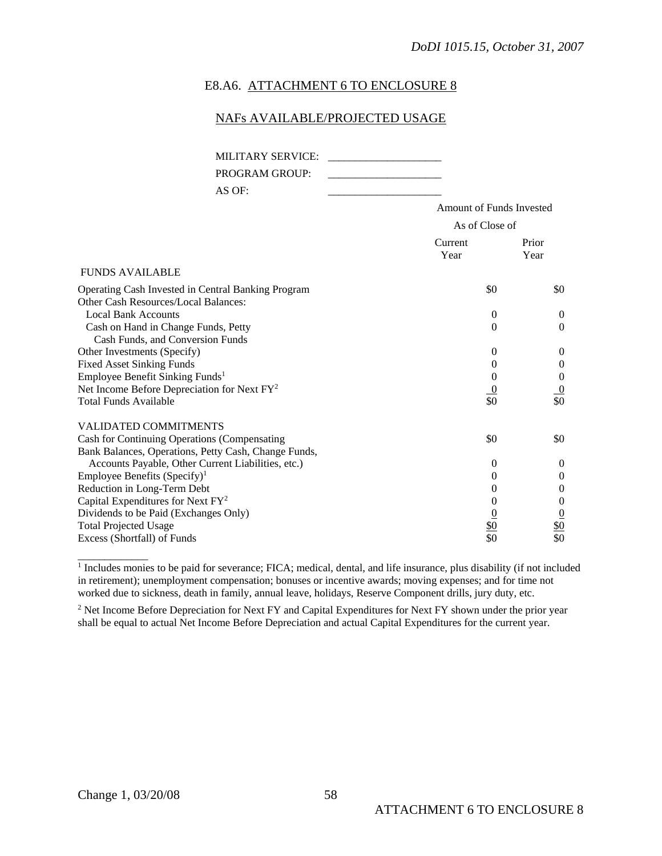### E8.A6. ATTACHMENT 6 TO ENCLOSURE 8

### NAFs AVAILABLE/PROJECTED USAGE

| <b>MILITARY SERVICE:</b><br><b>PROGRAM GROUP:</b><br>AS OF:                                          |                                 |                                    |
|------------------------------------------------------------------------------------------------------|---------------------------------|------------------------------------|
|                                                                                                      | <b>Amount of Funds Invested</b> |                                    |
|                                                                                                      | As of Close of                  |                                    |
|                                                                                                      | Current<br>Year                 | Prior<br>Year                      |
| <b>FUNDS AVAILABLE</b>                                                                               |                                 |                                    |
| Operating Cash Invested in Central Banking Program<br>Other Cash Resources/Local Balances:           | \$0                             | \$0                                |
| <b>Local Bank Accounts</b><br>Cash on Hand in Change Funds, Petty                                    | $\Omega$<br>$\Omega$            | $\theta$<br>$\theta$               |
| Cash Funds, and Conversion Funds<br>Other Investments (Specify)                                      | $\Omega$                        | $\theta$                           |
| <b>Fixed Asset Sinking Funds</b><br>Employee Benefit Sinking Funds <sup>1</sup>                      | $\theta$<br>$\theta$            | $\overline{0}$<br>$\boldsymbol{0}$ |
| Net Income Before Depreciation for Next FY <sup>2</sup><br><b>Total Funds Available</b>              | $\overline{0}$<br>\$0           | $\overline{0}$<br>\$0              |
| <b>VALIDATED COMMITMENTS</b>                                                                         |                                 |                                    |
| Cash for Continuing Operations (Compensating<br>Bank Balances, Operations, Petty Cash, Change Funds, | \$0                             | \$0                                |
| Accounts Payable, Other Current Liabilities, etc.)                                                   | $\Omega$                        | $\overline{0}$                     |
| Employee Benefits $(Specify)^1$<br>Reduction in Long-Term Debt                                       | $\Omega$<br>$\theta$            | $\boldsymbol{0}$<br>$\theta$       |
| Capital Expenditures for Next $FY^2$                                                                 | 0                               | $\boldsymbol{0}$                   |
| Dividends to be Paid (Exchanges Only)                                                                |                                 | $\overline{0}$                     |
| <b>Total Projected Usage</b>                                                                         | <u>\$0</u>                      | \$0                                |
| Excess (Shortfall) of Funds                                                                          | \$0                             | \$0                                |

<sup>1</sup> Includes monies to be paid for severance; FICA; medical, dental, and life insurance, plus disability (if not included in retirement); unemployment compensation; bonuses or incentive awards; moving expenses; and for time not worked due to sickness, death in family, annual leave, holidays, Reserve Component drills, jury duty, etc.

<sup>2</sup> Net Income Before Depreciation for Next FY and Capital Expenditures for Next FY shown under the prior year shall be equal to actual Net Income Before Depreciation and actual Capital Expenditures for the current year.

\_\_\_\_\_\_\_\_\_\_\_\_\_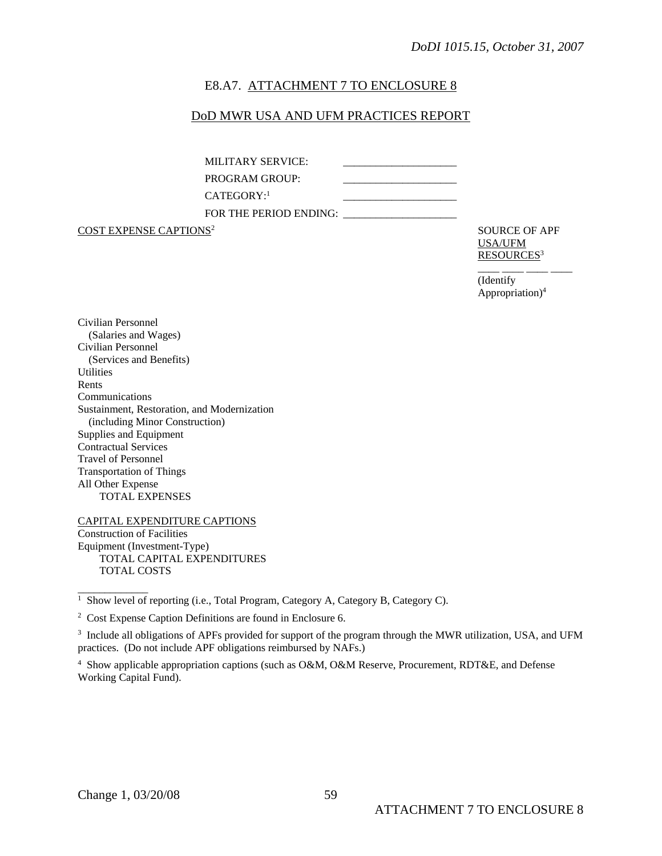### E8.A7. ATTACHMENT 7 TO ENCLOSURE 8

### DoD MWR USA AND UFM PRACTICES REPORT

MILITARY SERVICE: PROGRAM GROUP: CATEGORY:<sup>1</sup> FOR THE PERIOD ENDING: \_\_\_\_\_\_\_\_\_\_\_\_\_\_\_\_\_\_\_\_\_

**COST EXPENSE CAPTIONS<sup>2</sup>** SOURCE OF APF

USA/UFM RESOURCES<sup>3</sup>

\_\_\_\_ \_\_\_\_ \_\_\_\_ \_\_\_\_ (Identify Appropriation)4

Civilian Personnel (Salaries and Wages) Civilian Personnel (Services and Benefits) **Utilities** Rents Communications Sustainment, Restoration, and Modernization (including Minor Construction) Supplies and Equipment Contractual Services Travel of Personnel Transportation of Things All Other Expense TOTAL EXPENSES

CAPITAL EXPENDITURE CAPTIONS Construction of Facilities Equipment (Investment-Type) TOTAL CAPITAL EXPENDITURES TOTAL COSTS

 $\overline{\phantom{a}}$ 

<sup>&</sup>lt;sup>1</sup> Show level of reporting (i.e., Total Program, Category A, Category B, Category C).

<sup>2</sup> Cost Expense Caption Definitions are found in Enclosure 6.

<sup>3</sup> Include all obligations of APFs provided for support of the program through the MWR utilization, USA, and UFM practices. (Do not include APF obligations reimbursed by NAFs.)

<sup>4</sup> Show applicable appropriation captions (such as O&M, O&M Reserve, Procurement, RDT&E, and Defense Working Capital Fund).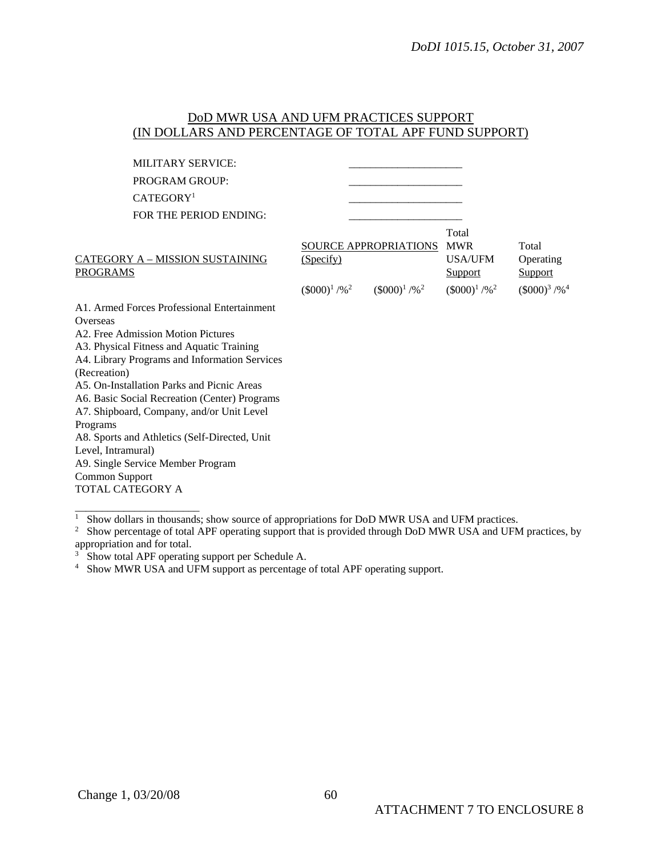# DoD MWR USA AND UFM PRACTICES SUPPORT (IN DOLLARS AND PERCENTAGE OF TOTAL APF FUND SUPPORT)

| <b>MILITARY SERVICE:</b>                                  |                                          |                                                      |                                                                                        |                                                                       |
|-----------------------------------------------------------|------------------------------------------|------------------------------------------------------|----------------------------------------------------------------------------------------|-----------------------------------------------------------------------|
| <b>PROGRAM GROUP:</b>                                     |                                          |                                                      |                                                                                        |                                                                       |
| CATEGORY <sup>1</sup>                                     |                                          |                                                      |                                                                                        |                                                                       |
| FOR THE PERIOD ENDING:                                    |                                          |                                                      |                                                                                        |                                                                       |
| <b>CATEGORY A - MISSION SUSTAINING</b><br><b>PROGRAMS</b> | (Specify)<br>$(\$000)^1$ /% <sup>2</sup> | SOURCE APPROPRIATIONS<br>$(\$000)^1$ /% <sup>2</sup> | Total<br><b>MWR</b><br><b>USA/UFM</b><br><b>Support</b><br>$(\$000)^1$ /% <sup>2</sup> | Total<br>Operating<br><b>Support</b><br>$(\$000)^{3}$ /% <sup>4</sup> |
| A1. Armed Forces Professional Entertainment               |                                          |                                                      |                                                                                        |                                                                       |
| Overseas                                                  |                                          |                                                      |                                                                                        |                                                                       |
| A2. Free Admission Motion Pictures                        |                                          |                                                      |                                                                                        |                                                                       |
| A3. Physical Fitness and Aquatic Training                 |                                          |                                                      |                                                                                        |                                                                       |
| A4. Library Programs and Information Services             |                                          |                                                      |                                                                                        |                                                                       |
| (Recreation)                                              |                                          |                                                      |                                                                                        |                                                                       |
| A5. On-Installation Parks and Picnic Areas                |                                          |                                                      |                                                                                        |                                                                       |
| A6. Basic Social Recreation (Center) Programs             |                                          |                                                      |                                                                                        |                                                                       |
| A7. Shipboard, Company, and/or Unit Level                 |                                          |                                                      |                                                                                        |                                                                       |
| Programs                                                  |                                          |                                                      |                                                                                        |                                                                       |
| A8. Sports and Athletics (Self-Directed, Unit             |                                          |                                                      |                                                                                        |                                                                       |
| Level, Intramural)                                        |                                          |                                                      |                                                                                        |                                                                       |
| A9. Single Service Member Program                         |                                          |                                                      |                                                                                        |                                                                       |
| Common Support                                            |                                          |                                                      |                                                                                        |                                                                       |
| TOTAL CATEGORY A                                          |                                          |                                                      |                                                                                        |                                                                       |
|                                                           |                                          |                                                      |                                                                                        |                                                                       |

 $\frac{1}{1}$  Show dollars in thousands; show source of appropriations for DoD MWR USA and UFM practices.

<sup>2</sup> Show percentage of total APF operating support that is provided through DoD MWR USA and UFM practices, by appropriation and for total. 3 Show total APF operating support per Schedule A.

<sup>4</sup> Show MWR USA and UFM support as percentage of total APF operating support.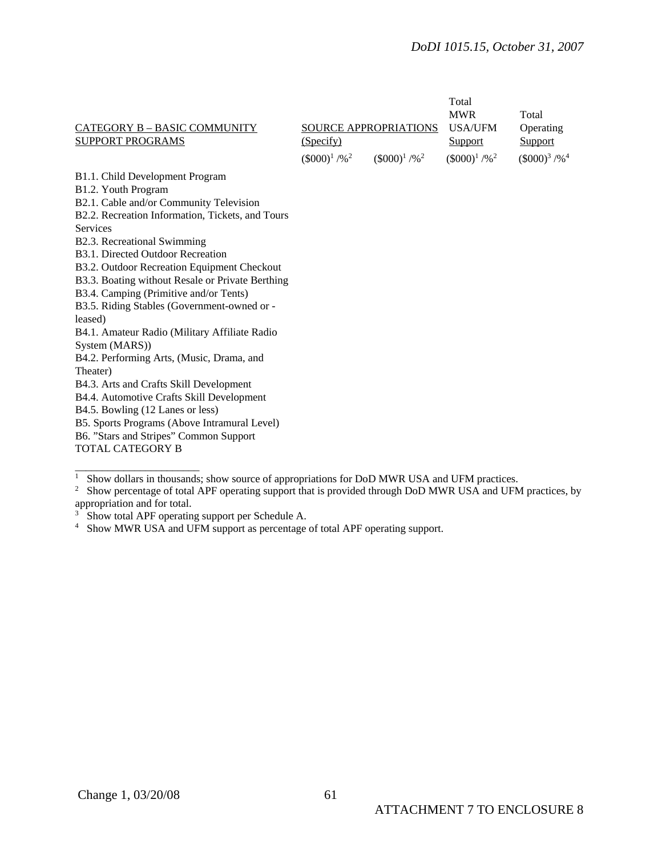### *DoDI 1015.15, October 31, 2007*

|                                                  |                             |                             | Total<br><b>MWR</b>         | Total                         |
|--------------------------------------------------|-----------------------------|-----------------------------|-----------------------------|-------------------------------|
| CATEGORY B - BASIC COMMUNITY                     |                             | SOURCE APPROPRIATIONS       | <b>USA/UFM</b>              | Operating                     |
| <b>SUPPORT PROGRAMS</b>                          | (Specify)                   |                             | Support                     | Support                       |
|                                                  | $(\$000)^1$ /% <sup>2</sup> | $(\$000)^1$ /% <sup>2</sup> | $(\$000)^1$ /% <sup>2</sup> | $(\$000)^{3}$ /% <sup>4</sup> |
| B1.1. Child Development Program                  |                             |                             |                             |                               |
| B1.2. Youth Program                              |                             |                             |                             |                               |
| B2.1. Cable and/or Community Television          |                             |                             |                             |                               |
| B2.2. Recreation Information, Tickets, and Tours |                             |                             |                             |                               |
| <b>Services</b>                                  |                             |                             |                             |                               |
| B2.3. Recreational Swimming                      |                             |                             |                             |                               |
| B3.1. Directed Outdoor Recreation                |                             |                             |                             |                               |
| B3.2. Outdoor Recreation Equipment Checkout      |                             |                             |                             |                               |
| B3.3. Boating without Resale or Private Berthing |                             |                             |                             |                               |
| B3.4. Camping (Primitive and/or Tents)           |                             |                             |                             |                               |
| B3.5. Riding Stables (Government-owned or -      |                             |                             |                             |                               |
| leased)                                          |                             |                             |                             |                               |
| B4.1. Amateur Radio (Military Affiliate Radio    |                             |                             |                             |                               |
| System (MARS))                                   |                             |                             |                             |                               |
| B4.2. Performing Arts, (Music, Drama, and        |                             |                             |                             |                               |
| Theater)                                         |                             |                             |                             |                               |
| B4.3. Arts and Crafts Skill Development          |                             |                             |                             |                               |
| B4.4. Automotive Crafts Skill Development        |                             |                             |                             |                               |
| B4.5. Bowling (12 Lanes or less)                 |                             |                             |                             |                               |
| B5. Sports Programs (Above Intramural Level)     |                             |                             |                             |                               |
| B6. "Stars and Stripes" Common Support           |                             |                             |                             |                               |
| TOTAL CATEGORY B                                 |                             |                             |                             |                               |
|                                                  |                             |                             |                             |                               |

 $\frac{1}{1}$  Show dollars in thousands; show source of appropriations for DoD MWR USA and UFM practices.<br><sup>2</sup> Show percentage of total APF operating support that is provided through DoD MWR USA and UFM practices, by

appropriation and for total.

<sup>&</sup>lt;sup>3</sup> Show total APF operating support per Schedule A.

<sup>&</sup>lt;sup>4</sup> Show MWR USA and UFM support as percentage of total APF operating support.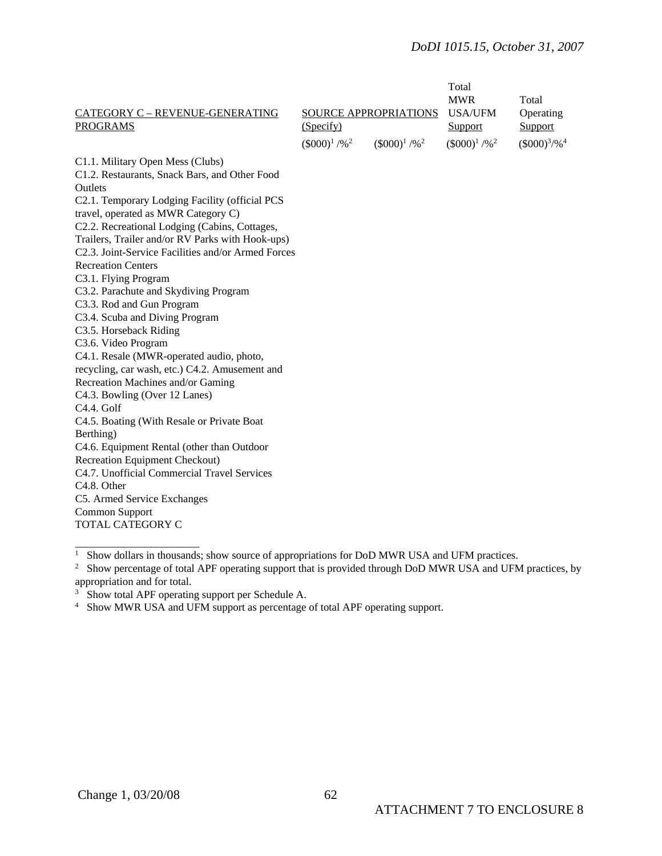# *DoDI 1015.15, October 31, 2007*

| CATEGORY C - REVENUE-GENERATING<br><b>PROGRAMS</b> | <b>SOURCE APPROPRIATIONS</b><br>(Specify) |                             | Total<br><b>MWR</b><br><b>USA/UFM</b><br>Support | Total<br>Operating<br>Support |
|----------------------------------------------------|-------------------------------------------|-----------------------------|--------------------------------------------------|-------------------------------|
|                                                    | $(\$000)^1$ /% <sup>2</sup>               | $(\$000)^1$ /% <sup>2</sup> | $(\$000)^1$ /% <sup>2</sup>                      | $($000)^{3}/\%$ <sup>4</sup>  |
| C1.1. Military Open Mess (Clubs)                   |                                           |                             |                                                  |                               |
| C1.2. Restaurants, Snack Bars, and Other Food      |                                           |                             |                                                  |                               |
| Outlets                                            |                                           |                             |                                                  |                               |
| C2.1. Temporary Lodging Facility (official PCS     |                                           |                             |                                                  |                               |
| travel, operated as MWR Category C)                |                                           |                             |                                                  |                               |
| C2.2. Recreational Lodging (Cabins, Cottages,      |                                           |                             |                                                  |                               |
| Trailers, Trailer and/or RV Parks with Hook-ups)   |                                           |                             |                                                  |                               |
| C2.3. Joint-Service Facilities and/or Armed Forces |                                           |                             |                                                  |                               |
| <b>Recreation Centers</b>                          |                                           |                             |                                                  |                               |
| C3.1. Flying Program                               |                                           |                             |                                                  |                               |
| C3.2. Parachute and Skydiving Program              |                                           |                             |                                                  |                               |
| C3.3. Rod and Gun Program                          |                                           |                             |                                                  |                               |
| C3.4. Scuba and Diving Program                     |                                           |                             |                                                  |                               |
| C3.5. Horseback Riding                             |                                           |                             |                                                  |                               |
| C3.6. Video Program                                |                                           |                             |                                                  |                               |
| C4.1. Resale (MWR-operated audio, photo,           |                                           |                             |                                                  |                               |
| recycling, car wash, etc.) C4.2. Amusement and     |                                           |                             |                                                  |                               |
| Recreation Machines and/or Gaming                  |                                           |                             |                                                  |                               |
| C4.3. Bowling (Over 12 Lanes)                      |                                           |                             |                                                  |                               |
| C <sub>4.4</sub> . Golf                            |                                           |                             |                                                  |                               |
| C4.5. Boating (With Resale or Private Boat         |                                           |                             |                                                  |                               |
| Berthing)                                          |                                           |                             |                                                  |                               |
| C4.6. Equipment Rental (other than Outdoor         |                                           |                             |                                                  |                               |
| Recreation Equipment Checkout)                     |                                           |                             |                                                  |                               |
| C4.7. Unofficial Commercial Travel Services        |                                           |                             |                                                  |                               |
| C <sub>4.8</sub> . Other                           |                                           |                             |                                                  |                               |
| C5. Armed Service Exchanges                        |                                           |                             |                                                  |                               |
| Common Support                                     |                                           |                             |                                                  |                               |
| TOTAL CATEGORY C                                   |                                           |                             |                                                  |                               |
|                                                    |                                           |                             |                                                  |                               |

 $\frac{1}{1}$  Show dollars in thousands; show source of appropriations for DoD MWR USA and UFM practices.<br><sup>2</sup> Show percentage of total APF operating support that is provided through DoD MWR USA and UFM practices, by appropriation and for total.

<sup>&</sup>lt;sup>3</sup> Show total APF operating support per Schedule A.

<sup>&</sup>lt;sup>4</sup> Show MWR USA and UFM support as percentage of total APF operating support.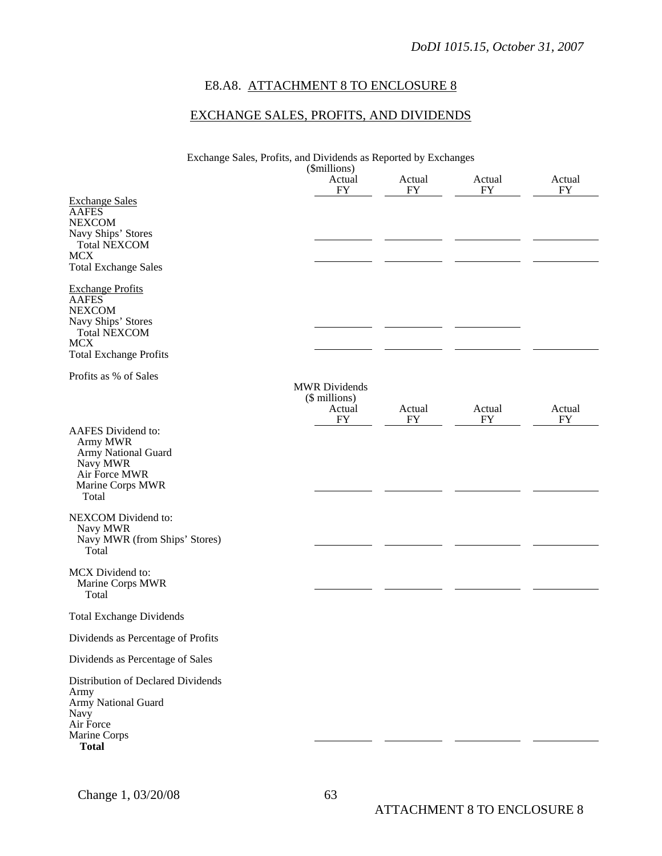# E8.A8. ATTACHMENT 8 TO ENCLOSURE 8

# EXCHANGE SALES, PROFITS, AND DIVIDENDS

| Exchange Sales, Profits, and Dividends as Reported by Exchanges                                                                                      |                                                              |              |              |                     |
|------------------------------------------------------------------------------------------------------------------------------------------------------|--------------------------------------------------------------|--------------|--------------|---------------------|
|                                                                                                                                                      | (\$millions)<br>Actual<br>FY                                 | Actual<br>FY | Actual<br>FY | Actual<br>FY        |
| <b>Exchange Sales</b><br><b>AAFES</b><br><b>NEXCOM</b><br>Navy Ships' Stores<br><b>Total NEXCOM</b><br><b>MCX</b><br><b>Total Exchange Sales</b>     |                                                              |              |              |                     |
| <b>Exchange Profits</b><br><b>AAFES</b><br><b>NEXCOM</b><br>Navy Ships' Stores<br><b>Total NEXCOM</b><br><b>MCX</b><br><b>Total Exchange Profits</b> |                                                              |              |              |                     |
| Profits as % of Sales                                                                                                                                | <b>MWR</b> Dividends<br>(\$ millions)<br>Actual<br><b>FY</b> | Actual<br>FY | Actual<br>FY | Actual<br><b>FY</b> |
| AAFES Dividend to:<br>Army MWR<br>Army National Guard<br>Navy MWR<br>Air Force MWR<br>Marine Corps MWR<br>Total                                      |                                                              |              |              |                     |
| NEXCOM Dividend to:<br>Navy MWR<br>Navy MWR (from Ships' Stores)<br>Total                                                                            |                                                              |              |              |                     |
| MCX Dividend to:<br>Marine Corps MWR<br>Total                                                                                                        |                                                              |              |              |                     |
| <b>Total Exchange Dividends</b>                                                                                                                      |                                                              |              |              |                     |
| Dividends as Percentage of Profits                                                                                                                   |                                                              |              |              |                     |
| Dividends as Percentage of Sales                                                                                                                     |                                                              |              |              |                     |
| Distribution of Declared Dividends<br>Army<br>Army National Guard<br>Navy<br>Air Force<br>Marine Corps<br><b>Total</b>                               |                                                              |              |              |                     |
|                                                                                                                                                      |                                                              |              |              |                     |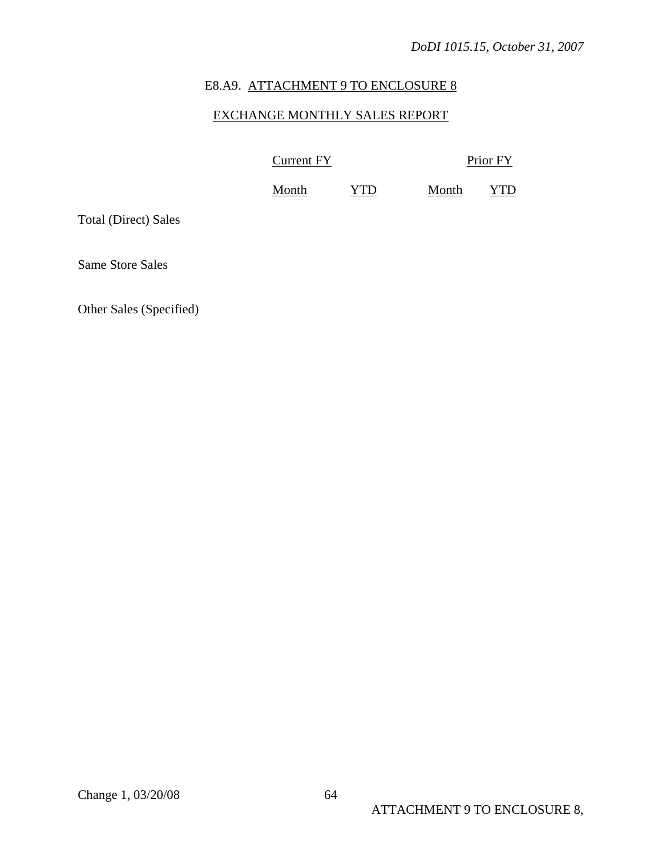# E8.A9. ATTACHMENT 9 TO ENCLOSURE 8

# EXCHANGE MONTHLY SALES REPORT

Current FY Prior FY

Month YTD Month YTD

Total (Direct) Sales

Same Store Sales

Other Sales (Specified)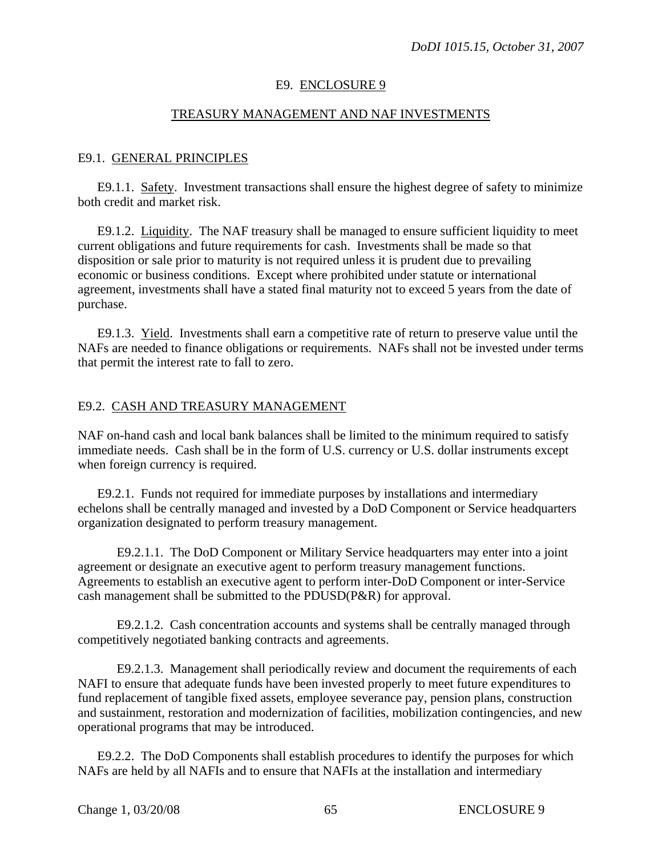### E9. ENCLOSURE 9

### TREASURY MANAGEMENT AND NAF INVESTMENTS

### E9.1. GENERAL PRINCIPLES

E9.1.1. Safety. Investment transactions shall ensure the highest degree of safety to minimize both credit and market risk.

E9.1.2. Liquidity. The NAF treasury shall be managed to ensure sufficient liquidity to meet current obligations and future requirements for cash. Investments shall be made so that disposition or sale prior to maturity is not required unless it is prudent due to prevailing economic or business conditions. Except where prohibited under statute or international agreement, investments shall have a stated final maturity not to exceed 5 years from the date of purchase.

E9.1.3. Yield. Investments shall earn a competitive rate of return to preserve value until the NAFs are needed to finance obligations or requirements. NAFs shall not be invested under terms that permit the interest rate to fall to zero.

### E9.2. CASH AND TREASURY MANAGEMENT

NAF on-hand cash and local bank balances shall be limited to the minimum required to satisfy immediate needs. Cash shall be in the form of U.S. currency or U.S. dollar instruments except when foreign currency is required.

E9.2.1. Funds not required for immediate purposes by installations and intermediary echelons shall be centrally managed and invested by a DoD Component or Service headquarters organization designated to perform treasury management.

E9.2.1.1. The DoD Component or Military Service headquarters may enter into a joint agreement or designate an executive agent to perform treasury management functions. Agreements to establish an executive agent to perform inter-DoD Component or inter-Service cash management shall be submitted to the PDUSD(P&R) for approval.

E9.2.1.2. Cash concentration accounts and systems shall be centrally managed through competitively negotiated banking contracts and agreements.

E9.2.1.3. Management shall periodically review and document the requirements of each NAFI to ensure that adequate funds have been invested properly to meet future expenditures to fund replacement of tangible fixed assets, employee severance pay, pension plans, construction and sustainment, restoration and modernization of facilities, mobilization contingencies, and new operational programs that may be introduced.

E9.2.2. The DoD Components shall establish procedures to identify the purposes for which NAFs are held by all NAFIs and to ensure that NAFIs at the installation and intermediary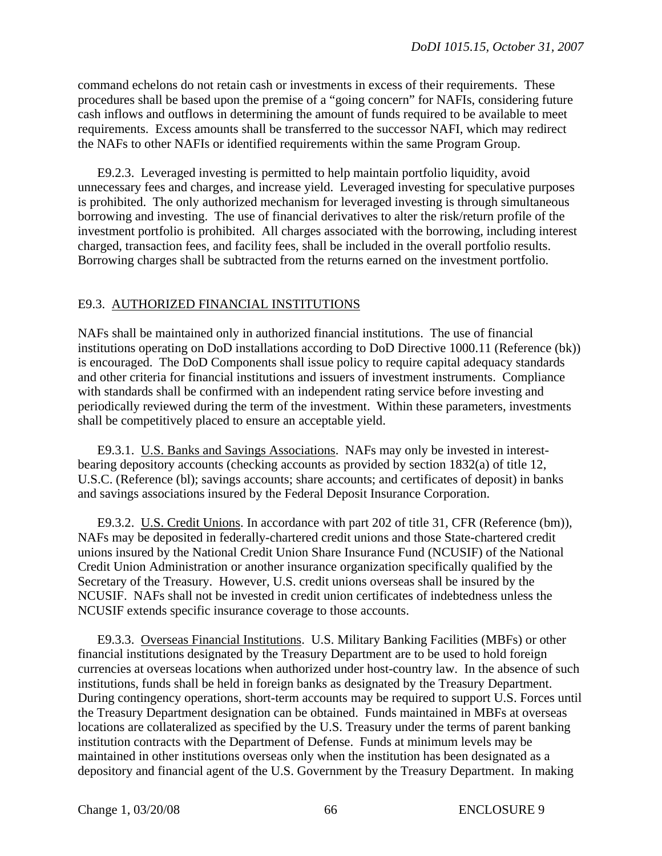command echelons do not retain cash or investments in excess of their requirements. These procedures shall be based upon the premise of a "going concern" for NAFIs, considering future cash inflows and outflows in determining the amount of funds required to be available to meet requirements. Excess amounts shall be transferred to the successor NAFI, which may redirect the NAFs to other NAFIs or identified requirements within the same Program Group.

E9.2.3. Leveraged investing is permitted to help maintain portfolio liquidity, avoid unnecessary fees and charges, and increase yield. Leveraged investing for speculative purposes is prohibited. The only authorized mechanism for leveraged investing is through simultaneous borrowing and investing. The use of financial derivatives to alter the risk/return profile of the investment portfolio is prohibited. All charges associated with the borrowing, including interest charged, transaction fees, and facility fees, shall be included in the overall portfolio results. Borrowing charges shall be subtracted from the returns earned on the investment portfolio.

### E9.3. AUTHORIZED FINANCIAL INSTITUTIONS

NAFs shall be maintained only in authorized financial institutions. The use of financial institutions operating on DoD installations according to DoD Directive 1000.11 (Reference (bk)) is encouraged. The DoD Components shall issue policy to require capital adequacy standards and other criteria for financial institutions and issuers of investment instruments. Compliance with standards shall be confirmed with an independent rating service before investing and periodically reviewed during the term of the investment. Within these parameters, investments shall be competitively placed to ensure an acceptable yield.

E9.3.1. U.S. Banks and Savings Associations. NAFs may only be invested in interestbearing depository accounts (checking accounts as provided by section 1832(a) of title 12, U.S.C. (Reference (bl); savings accounts; share accounts; and certificates of deposit) in banks and savings associations insured by the Federal Deposit Insurance Corporation.

E9.3.2. U.S. Credit Unions. In accordance with part 202 of title 31, CFR (Reference (bm)), NAFs may be deposited in federally-chartered credit unions and those State-chartered credit unions insured by the National Credit Union Share Insurance Fund (NCUSIF) of the National Credit Union Administration or another insurance organization specifically qualified by the Secretary of the Treasury. However, U.S. credit unions overseas shall be insured by the NCUSIF. NAFs shall not be invested in credit union certificates of indebtedness unless the NCUSIF extends specific insurance coverage to those accounts.

E9.3.3. Overseas Financial Institutions. U.S. Military Banking Facilities (MBFs) or other financial institutions designated by the Treasury Department are to be used to hold foreign currencies at overseas locations when authorized under host-country law. In the absence of such institutions, funds shall be held in foreign banks as designated by the Treasury Department. During contingency operations, short-term accounts may be required to support U.S. Forces until the Treasury Department designation can be obtained. Funds maintained in MBFs at overseas locations are collateralized as specified by the U.S. Treasury under the terms of parent banking institution contracts with the Department of Defense. Funds at minimum levels may be maintained in other institutions overseas only when the institution has been designated as a depository and financial agent of the U.S. Government by the Treasury Department. In making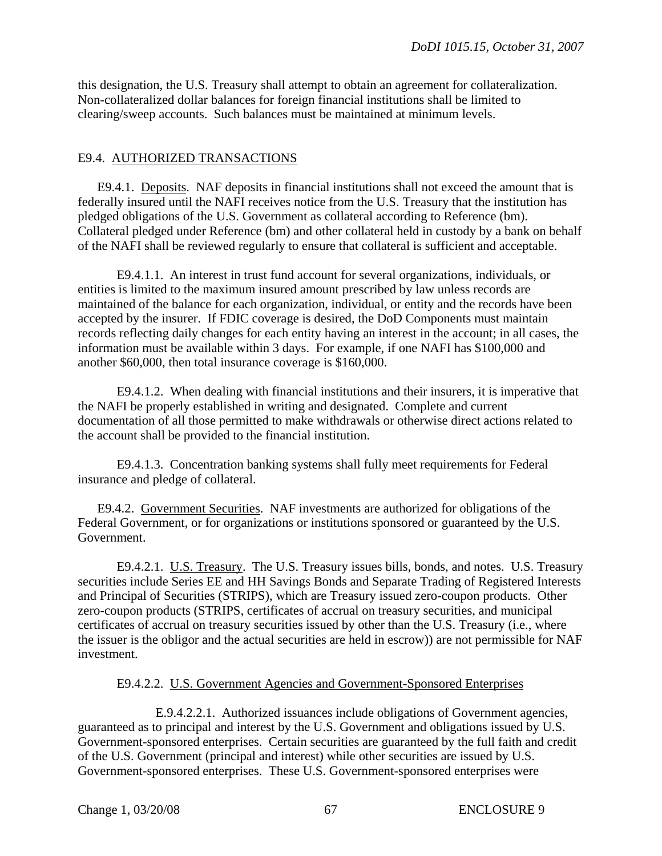this designation, the U.S. Treasury shall attempt to obtain an agreement for collateralization. Non-collateralized dollar balances for foreign financial institutions shall be limited to clearing/sweep accounts. Such balances must be maintained at minimum levels.

# E9.4. AUTHORIZED TRANSACTIONS

E9.4.1. Deposits. NAF deposits in financial institutions shall not exceed the amount that is federally insured until the NAFI receives notice from the U.S. Treasury that the institution has pledged obligations of the U.S. Government as collateral according to Reference (bm). Collateral pledged under Reference (bm) and other collateral held in custody by a bank on behalf of the NAFI shall be reviewed regularly to ensure that collateral is sufficient and acceptable.

E9.4.1.1. An interest in trust fund account for several organizations, individuals, or entities is limited to the maximum insured amount prescribed by law unless records are maintained of the balance for each organization, individual, or entity and the records have been accepted by the insurer. If FDIC coverage is desired, the DoD Components must maintain records reflecting daily changes for each entity having an interest in the account; in all cases, the information must be available within 3 days. For example, if one NAFI has \$100,000 and another \$60,000, then total insurance coverage is \$160,000.

E9.4.1.2. When dealing with financial institutions and their insurers, it is imperative that the NAFI be properly established in writing and designated. Complete and current documentation of all those permitted to make withdrawals or otherwise direct actions related to the account shall be provided to the financial institution.

E9.4.1.3. Concentration banking systems shall fully meet requirements for Federal insurance and pledge of collateral.

E9.4.2. Government Securities. NAF investments are authorized for obligations of the Federal Government, or for organizations or institutions sponsored or guaranteed by the U.S. Government.

E9.4.2.1. U.S. Treasury. The U.S. Treasury issues bills, bonds, and notes. U.S. Treasury securities include Series EE and HH Savings Bonds and Separate Trading of Registered Interests and Principal of Securities (STRIPS), which are Treasury issued zero-coupon products. Other zero-coupon products (STRIPS, certificates of accrual on treasury securities, and municipal certificates of accrual on treasury securities issued by other than the U.S. Treasury (i.e., where the issuer is the obligor and the actual securities are held in escrow)) are not permissible for NAF investment.

### E9.4.2.2. U.S. Government Agencies and Government-Sponsored Enterprises

E.9.4.2.2.1. Authorized issuances include obligations of Government agencies, guaranteed as to principal and interest by the U.S. Government and obligations issued by U.S. Government-sponsored enterprises. Certain securities are guaranteed by the full faith and credit of the U.S. Government (principal and interest) while other securities are issued by U.S. Government-sponsored enterprises. These U.S. Government-sponsored enterprises were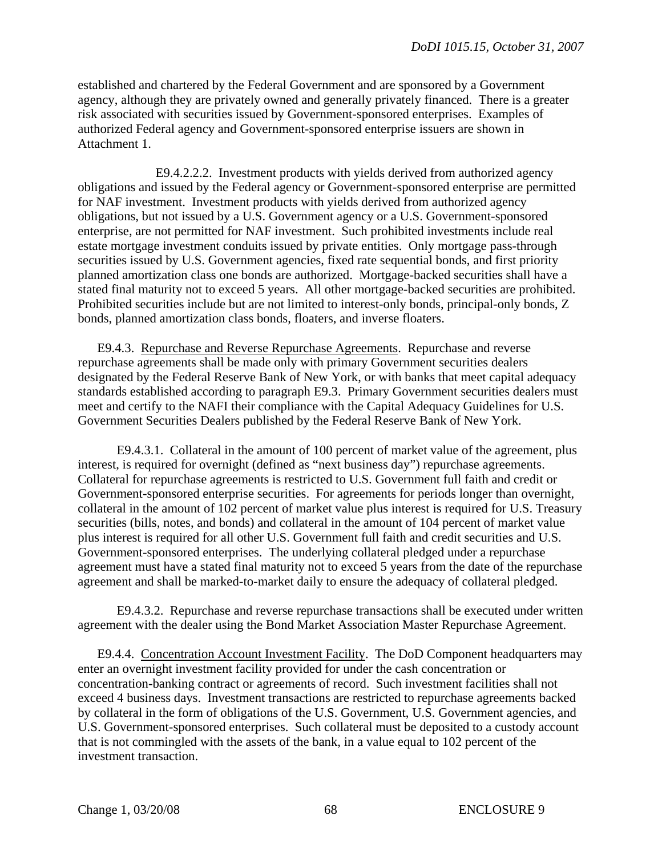established and chartered by the Federal Government and are sponsored by a Government agency, although they are privately owned and generally privately financed. There is a greater risk associated with securities issued by Government-sponsored enterprises. Examples of authorized Federal agency and Government-sponsored enterprise issuers are shown in Attachment 1.

E9.4.2.2.2. Investment products with yields derived from authorized agency obligations and issued by the Federal agency or Government-sponsored enterprise are permitted for NAF investment. Investment products with yields derived from authorized agency obligations, but not issued by a U.S. Government agency or a U.S. Government-sponsored enterprise, are not permitted for NAF investment. Such prohibited investments include real estate mortgage investment conduits issued by private entities. Only mortgage pass-through securities issued by U.S. Government agencies, fixed rate sequential bonds, and first priority planned amortization class one bonds are authorized. Mortgage-backed securities shall have a stated final maturity not to exceed 5 years. All other mortgage-backed securities are prohibited. Prohibited securities include but are not limited to interest-only bonds, principal-only bonds, Z bonds, planned amortization class bonds, floaters, and inverse floaters.

E9.4.3. Repurchase and Reverse Repurchase Agreements. Repurchase and reverse repurchase agreements shall be made only with primary Government securities dealers designated by the Federal Reserve Bank of New York, or with banks that meet capital adequacy standards established according to paragraph E9.3. Primary Government securities dealers must meet and certify to the NAFI their compliance with the Capital Adequacy Guidelines for U.S. Government Securities Dealers published by the Federal Reserve Bank of New York.

E9.4.3.1. Collateral in the amount of 100 percent of market value of the agreement, plus interest, is required for overnight (defined as "next business day") repurchase agreements. Collateral for repurchase agreements is restricted to U.S. Government full faith and credit or Government-sponsored enterprise securities. For agreements for periods longer than overnight, collateral in the amount of 102 percent of market value plus interest is required for U.S. Treasury securities (bills, notes, and bonds) and collateral in the amount of 104 percent of market value plus interest is required for all other U.S. Government full faith and credit securities and U.S. Government-sponsored enterprises. The underlying collateral pledged under a repurchase agreement must have a stated final maturity not to exceed 5 years from the date of the repurchase agreement and shall be marked-to-market daily to ensure the adequacy of collateral pledged.

E9.4.3.2. Repurchase and reverse repurchase transactions shall be executed under written agreement with the dealer using the Bond Market Association Master Repurchase Agreement.

E9.4.4. Concentration Account Investment Facility. The DoD Component headquarters may enter an overnight investment facility provided for under the cash concentration or concentration-banking contract or agreements of record. Such investment facilities shall not exceed 4 business days. Investment transactions are restricted to repurchase agreements backed by collateral in the form of obligations of the U.S. Government, U.S. Government agencies, and U.S. Government-sponsored enterprises. Such collateral must be deposited to a custody account that is not commingled with the assets of the bank, in a value equal to 102 percent of the investment transaction.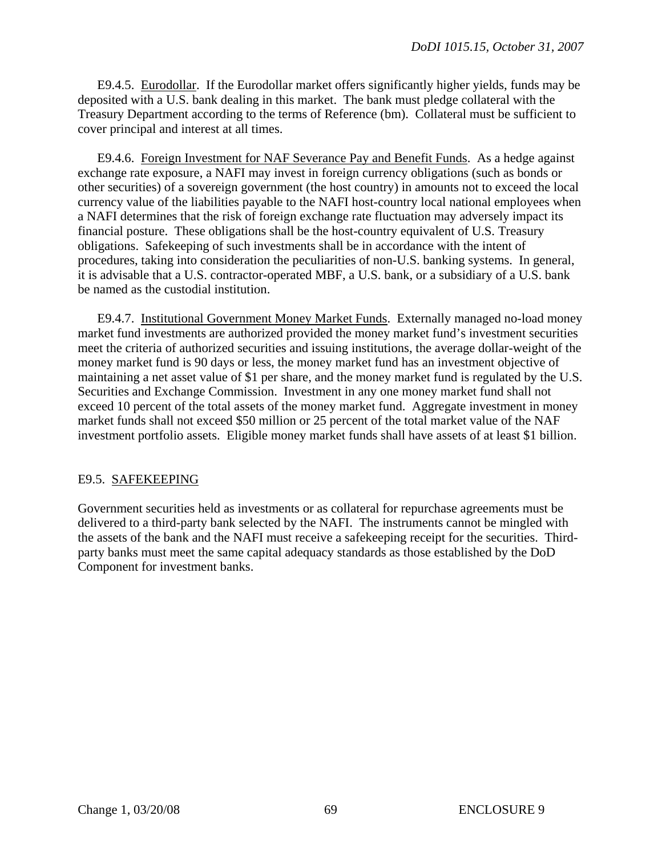E9.4.5. Eurodollar. If the Eurodollar market offers significantly higher yields, funds may be deposited with a U.S. bank dealing in this market. The bank must pledge collateral with the Treasury Department according to the terms of Reference (bm). Collateral must be sufficient to cover principal and interest at all times.

E9.4.6. Foreign Investment for NAF Severance Pay and Benefit Funds. As a hedge against exchange rate exposure, a NAFI may invest in foreign currency obligations (such as bonds or other securities) of a sovereign government (the host country) in amounts not to exceed the local currency value of the liabilities payable to the NAFI host-country local national employees when a NAFI determines that the risk of foreign exchange rate fluctuation may adversely impact its financial posture. These obligations shall be the host-country equivalent of U.S. Treasury obligations. Safekeeping of such investments shall be in accordance with the intent of procedures, taking into consideration the peculiarities of non-U.S. banking systems. In general, it is advisable that a U.S. contractor-operated MBF, a U.S. bank, or a subsidiary of a U.S. bank be named as the custodial institution.

E9.4.7. Institutional Government Money Market Funds. Externally managed no-load money market fund investments are authorized provided the money market fund's investment securities meet the criteria of authorized securities and issuing institutions, the average dollar-weight of the money market fund is 90 days or less, the money market fund has an investment objective of maintaining a net asset value of \$1 per share, and the money market fund is regulated by the U.S. Securities and Exchange Commission. Investment in any one money market fund shall not exceed 10 percent of the total assets of the money market fund. Aggregate investment in money market funds shall not exceed \$50 million or 25 percent of the total market value of the NAF investment portfolio assets. Eligible money market funds shall have assets of at least \$1 billion.

# E9.5. SAFEKEEPING

Government securities held as investments or as collateral for repurchase agreements must be delivered to a third-party bank selected by the NAFI. The instruments cannot be mingled with the assets of the bank and the NAFI must receive a safekeeping receipt for the securities. Thirdparty banks must meet the same capital adequacy standards as those established by the DoD Component for investment banks.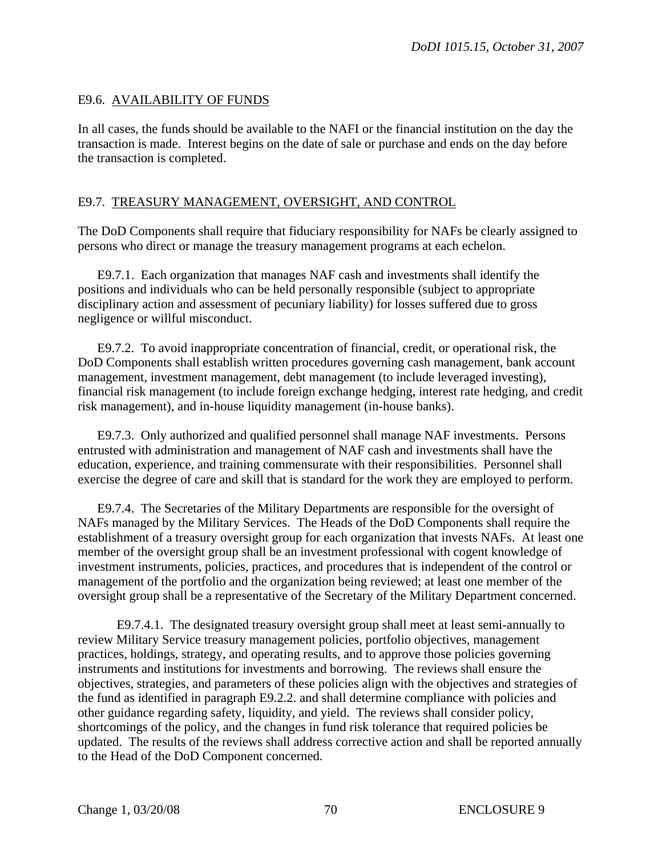# E9.6. AVAILABILITY OF FUNDS

In all cases, the funds should be available to the NAFI or the financial institution on the day the transaction is made. Interest begins on the date of sale or purchase and ends on the day before the transaction is completed.

# E9.7. TREASURY MANAGEMENT, OVERSIGHT, AND CONTROL

The DoD Components shall require that fiduciary responsibility for NAFs be clearly assigned to persons who direct or manage the treasury management programs at each echelon.

E9.7.1. Each organization that manages NAF cash and investments shall identify the positions and individuals who can be held personally responsible (subject to appropriate disciplinary action and assessment of pecuniary liability) for losses suffered due to gross negligence or willful misconduct.

E9.7.2. To avoid inappropriate concentration of financial, credit, or operational risk, the DoD Components shall establish written procedures governing cash management, bank account management, investment management, debt management (to include leveraged investing), financial risk management (to include foreign exchange hedging, interest rate hedging, and credit risk management), and in-house liquidity management (in-house banks).

E9.7.3. Only authorized and qualified personnel shall manage NAF investments. Persons entrusted with administration and management of NAF cash and investments shall have the education, experience, and training commensurate with their responsibilities. Personnel shall exercise the degree of care and skill that is standard for the work they are employed to perform.

E9.7.4. The Secretaries of the Military Departments are responsible for the oversight of NAFs managed by the Military Services. The Heads of the DoD Components shall require the establishment of a treasury oversight group for each organization that invests NAFs. At least one member of the oversight group shall be an investment professional with cogent knowledge of investment instruments, policies, practices, and procedures that is independent of the control or management of the portfolio and the organization being reviewed; at least one member of the oversight group shall be a representative of the Secretary of the Military Department concerned.

E9.7.4.1. The designated treasury oversight group shall meet at least semi-annually to review Military Service treasury management policies, portfolio objectives, management practices, holdings, strategy, and operating results, and to approve those policies governing instruments and institutions for investments and borrowing. The reviews shall ensure the objectives, strategies, and parameters of these policies align with the objectives and strategies of the fund as identified in paragraph E9.2.2. and shall determine compliance with policies and other guidance regarding safety, liquidity, and yield. The reviews shall consider policy, shortcomings of the policy, and the changes in fund risk tolerance that required policies be updated. The results of the reviews shall address corrective action and shall be reported annually to the Head of the DoD Component concerned.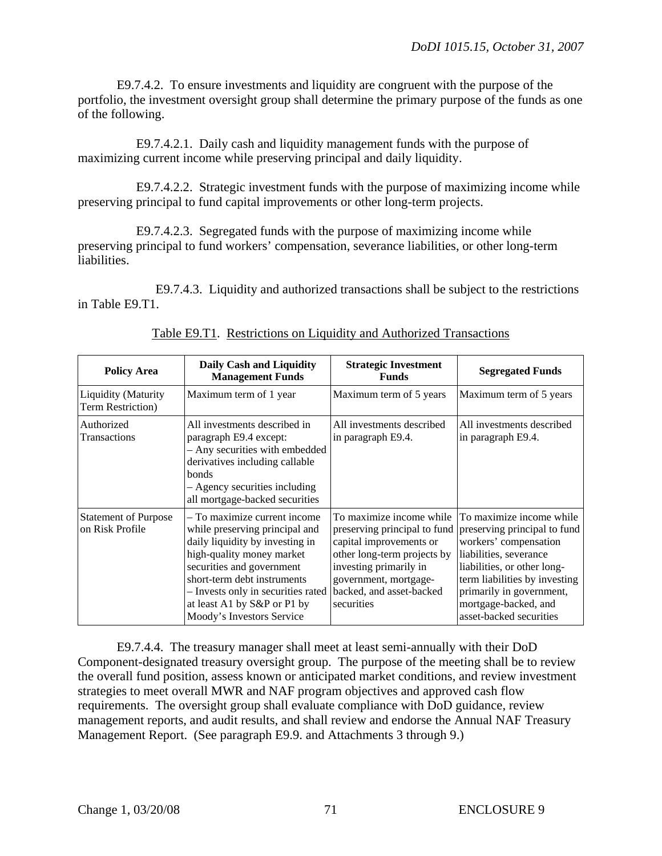E9.7.4.2. To ensure investments and liquidity are congruent with the purpose of the portfolio, the investment oversight group shall determine the primary purpose of the funds as one of the following.

E9.7.4.2.1. Daily cash and liquidity management funds with the purpose of maximizing current income while preserving principal and daily liquidity.

E9.7.4.2.2. Strategic investment funds with the purpose of maximizing income while preserving principal to fund capital improvements or other long-term projects.

E9.7.4.2.3. Segregated funds with the purpose of maximizing income while preserving principal to fund workers' compensation, severance liabilities, or other long-term liabilities.

E9.7.4.3. Liquidity and authorized transactions shall be subject to the restrictions in Table E9.T1.

| <b>Policy Area</b>                              | Daily Cash and Liquidity<br><b>Management Funds</b>                                                                                                                                                                                                                                          | <b>Strategic Investment</b><br><b>Funds</b>                                                                                                                                     | <b>Segregated Funds</b>                                                                                                                                                                                                                                                                 |
|-------------------------------------------------|----------------------------------------------------------------------------------------------------------------------------------------------------------------------------------------------------------------------------------------------------------------------------------------------|---------------------------------------------------------------------------------------------------------------------------------------------------------------------------------|-----------------------------------------------------------------------------------------------------------------------------------------------------------------------------------------------------------------------------------------------------------------------------------------|
| <b>Liquidity (Maturity</b><br>Term Restriction) | Maximum term of 1 year                                                                                                                                                                                                                                                                       | Maximum term of 5 years                                                                                                                                                         | Maximum term of 5 years                                                                                                                                                                                                                                                                 |
| Authorized<br>Transactions                      | All investments described in<br>paragraph E9.4 except:<br>- Any securities with embedded<br>derivatives including callable<br><b>bonds</b><br>- Agency securities including<br>all mortgage-backed securities                                                                                | All investments described<br>in paragraph E9.4.                                                                                                                                 | All investments described<br>in paragraph E9.4.                                                                                                                                                                                                                                         |
| <b>Statement of Purpose</b><br>on Risk Profile  | – To maximize current income<br>while preserving principal and<br>daily liquidity by investing in<br>high-quality money market<br>securities and government<br>short-term debt instruments<br>- Invests only in securities rated<br>at least A1 by S&P or P1 by<br>Moody's Investors Service | To maximize income while<br>capital improvements or<br>other long-term projects by<br>investing primarily in<br>government, mortgage-<br>backed, and asset-backed<br>securities | To maximize income while<br>preserving principal to fund preserving principal to fund<br>workers' compensation<br>liabilities, severance<br>liabilities, or other long-<br>term liabilities by investing<br>primarily in government,<br>mortgage-backed, and<br>asset-backed securities |

Table E9.T1. Restrictions on Liquidity and Authorized Transactions

E9.7.4.4. The treasury manager shall meet at least semi-annually with their DoD Component-designated treasury oversight group. The purpose of the meeting shall be to review the overall fund position, assess known or anticipated market conditions, and review investment strategies to meet overall MWR and NAF program objectives and approved cash flow requirements. The oversight group shall evaluate compliance with DoD guidance, review management reports, and audit results, and shall review and endorse the Annual NAF Treasury Management Report. (See paragraph E9.9. and Attachments 3 through 9.)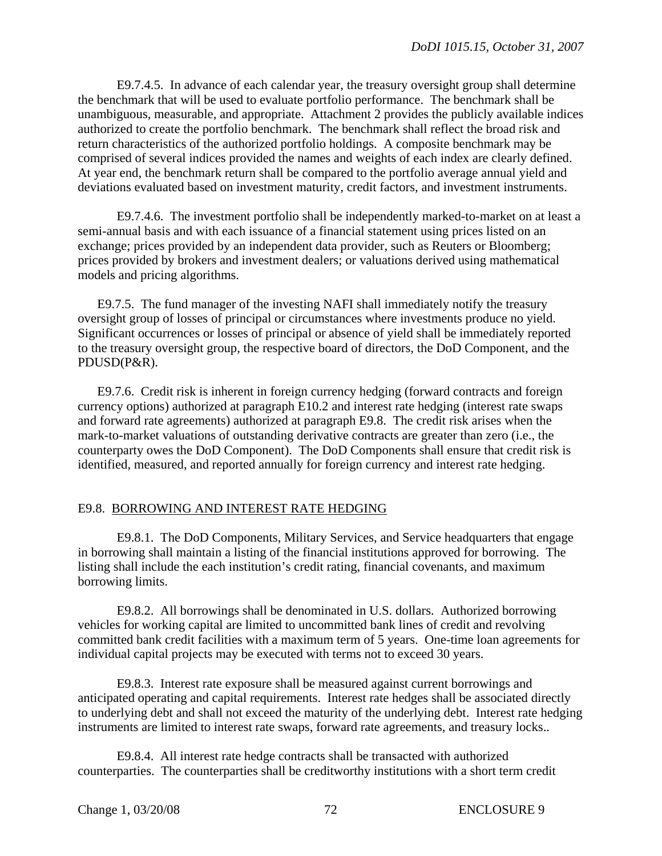E9.7.4.5. In advance of each calendar year, the treasury oversight group shall determine the benchmark that will be used to evaluate portfolio performance. The benchmark shall be unambiguous, measurable, and appropriate. Attachment 2 provides the publicly available indices authorized to create the portfolio benchmark. The benchmark shall reflect the broad risk and return characteristics of the authorized portfolio holdings. A composite benchmark may be comprised of several indices provided the names and weights of each index are clearly defined. At year end, the benchmark return shall be compared to the portfolio average annual yield and deviations evaluated based on investment maturity, credit factors, and investment instruments.

E9.7.4.6. The investment portfolio shall be independently marked-to-market on at least a semi-annual basis and with each issuance of a financial statement using prices listed on an exchange; prices provided by an independent data provider, such as Reuters or Bloomberg; prices provided by brokers and investment dealers; or valuations derived using mathematical models and pricing algorithms.

E9.7.5. The fund manager of the investing NAFI shall immediately notify the treasury oversight group of losses of principal or circumstances where investments produce no yield. Significant occurrences or losses of principal or absence of yield shall be immediately reported to the treasury oversight group, the respective board of directors, the DoD Component, and the PDUSD(P&R).

E9.7.6. Credit risk is inherent in foreign currency hedging (forward contracts and foreign currency options) authorized at paragraph E10.2 and interest rate hedging (interest rate swaps and forward rate agreements) authorized at paragraph E9.8. The credit risk arises when the mark-to-market valuations of outstanding derivative contracts are greater than zero (i.e., the counterparty owes the DoD Component). The DoD Components shall ensure that credit risk is identified, measured, and reported annually for foreign currency and interest rate hedging.

### E9.8. BORROWING AND INTEREST RATE HEDGING

E9.8.1. The DoD Components, Military Services, and Service headquarters that engage in borrowing shall maintain a listing of the financial institutions approved for borrowing. The listing shall include the each institution's credit rating, financial covenants, and maximum borrowing limits.

E9.8.2. All borrowings shall be denominated in U.S. dollars. Authorized borrowing vehicles for working capital are limited to uncommitted bank lines of credit and revolving committed bank credit facilities with a maximum term of 5 years. One-time loan agreements for individual capital projects may be executed with terms not to exceed 30 years.

E9.8.3. Interest rate exposure shall be measured against current borrowings and anticipated operating and capital requirements. Interest rate hedges shall be associated directly to underlying debt and shall not exceed the maturity of the underlying debt. Interest rate hedging instruments are limited to interest rate swaps, forward rate agreements, and treasury locks..

E9.8.4. All interest rate hedge contracts shall be transacted with authorized counterparties. The counterparties shall be creditworthy institutions with a short term credit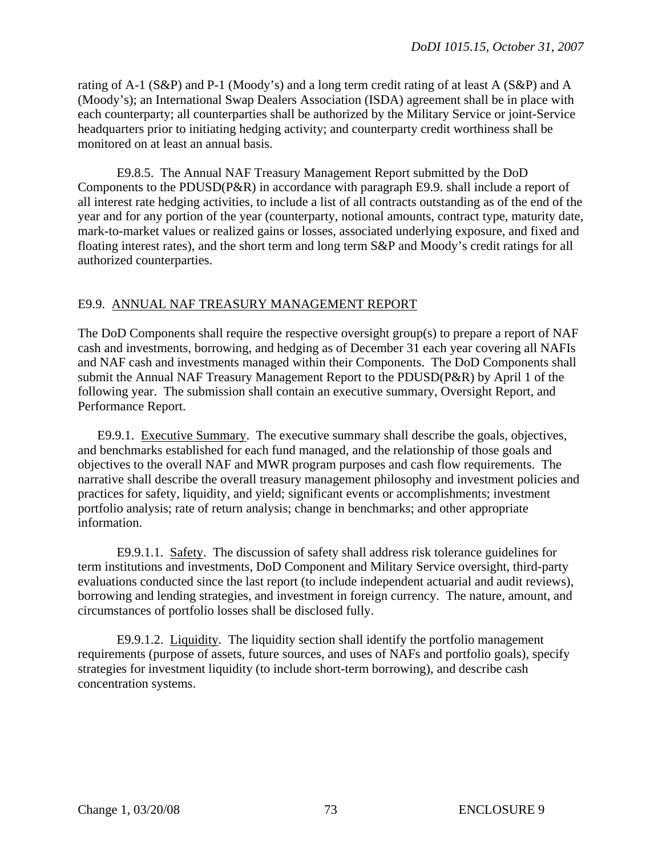rating of A-1 (S&P) and P-1 (Moody's) and a long term credit rating of at least A (S&P) and A (Moody's); an International Swap Dealers Association (ISDA) agreement shall be in place with each counterparty; all counterparties shall be authorized by the Military Service or joint-Service headquarters prior to initiating hedging activity; and counterparty credit worthiness shall be monitored on at least an annual basis.

E9.8.5. The Annual NAF Treasury Management Report submitted by the DoD Components to the PDUSD(P&R) in accordance with paragraph E9.9. shall include a report of all interest rate hedging activities, to include a list of all contracts outstanding as of the end of the year and for any portion of the year (counterparty, notional amounts, contract type, maturity date, mark-to-market values or realized gains or losses, associated underlying exposure, and fixed and floating interest rates), and the short term and long term S&P and Moody's credit ratings for all authorized counterparties.

#### E9.9. ANNUAL NAF TREASURY MANAGEMENT REPORT

The DoD Components shall require the respective oversight group(s) to prepare a report of NAF cash and investments, borrowing, and hedging as of December 31 each year covering all NAFIs and NAF cash and investments managed within their Components. The DoD Components shall submit the Annual NAF Treasury Management Report to the PDUSD(P&R) by April 1 of the following year. The submission shall contain an executive summary, Oversight Report, and Performance Report.

E9.9.1. Executive Summary. The executive summary shall describe the goals, objectives, and benchmarks established for each fund managed, and the relationship of those goals and objectives to the overall NAF and MWR program purposes and cash flow requirements. The narrative shall describe the overall treasury management philosophy and investment policies and practices for safety, liquidity, and yield; significant events or accomplishments; investment portfolio analysis; rate of return analysis; change in benchmarks; and other appropriate information.

E9.9.1.1. Safety. The discussion of safety shall address risk tolerance guidelines for term institutions and investments, DoD Component and Military Service oversight, third-party evaluations conducted since the last report (to include independent actuarial and audit reviews), borrowing and lending strategies, and investment in foreign currency. The nature, amount, and circumstances of portfolio losses shall be disclosed fully.

E9.9.1.2. Liquidity. The liquidity section shall identify the portfolio management requirements (purpose of assets, future sources, and uses of NAFs and portfolio goals), specify strategies for investment liquidity (to include short-term borrowing), and describe cash concentration systems.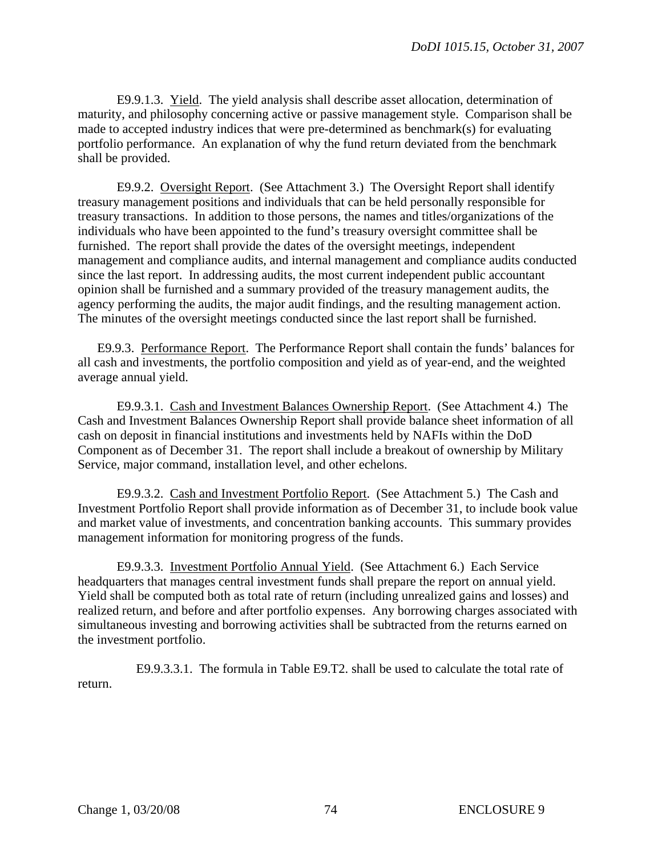E9.9.1.3. Yield. The yield analysis shall describe asset allocation, determination of maturity, and philosophy concerning active or passive management style. Comparison shall be made to accepted industry indices that were pre-determined as benchmark(s) for evaluating portfolio performance. An explanation of why the fund return deviated from the benchmark shall be provided.

E9.9.2. Oversight Report. (See Attachment 3.) The Oversight Report shall identify treasury management positions and individuals that can be held personally responsible for treasury transactions. In addition to those persons, the names and titles/organizations of the individuals who have been appointed to the fund's treasury oversight committee shall be furnished. The report shall provide the dates of the oversight meetings, independent management and compliance audits, and internal management and compliance audits conducted since the last report. In addressing audits, the most current independent public accountant opinion shall be furnished and a summary provided of the treasury management audits, the agency performing the audits, the major audit findings, and the resulting management action. The minutes of the oversight meetings conducted since the last report shall be furnished.

E9.9.3. Performance Report. The Performance Report shall contain the funds' balances for all cash and investments, the portfolio composition and yield as of year-end, and the weighted average annual yield.

E9.9.3.1. Cash and Investment Balances Ownership Report. (See Attachment 4.) The Cash and Investment Balances Ownership Report shall provide balance sheet information of all cash on deposit in financial institutions and investments held by NAFIs within the DoD Component as of December 31. The report shall include a breakout of ownership by Military Service, major command, installation level, and other echelons.

E9.9.3.2. Cash and Investment Portfolio Report. (See Attachment 5.) The Cash and Investment Portfolio Report shall provide information as of December 31, to include book value and market value of investments, and concentration banking accounts. This summary provides management information for monitoring progress of the funds.

E9.9.3.3. Investment Portfolio Annual Yield. (See Attachment 6.) Each Service headquarters that manages central investment funds shall prepare the report on annual yield. Yield shall be computed both as total rate of return (including unrealized gains and losses) and realized return, and before and after portfolio expenses. Any borrowing charges associated with simultaneous investing and borrowing activities shall be subtracted from the returns earned on the investment portfolio.

E9.9.3.3.1. The formula in Table E9.T2. shall be used to calculate the total rate of return.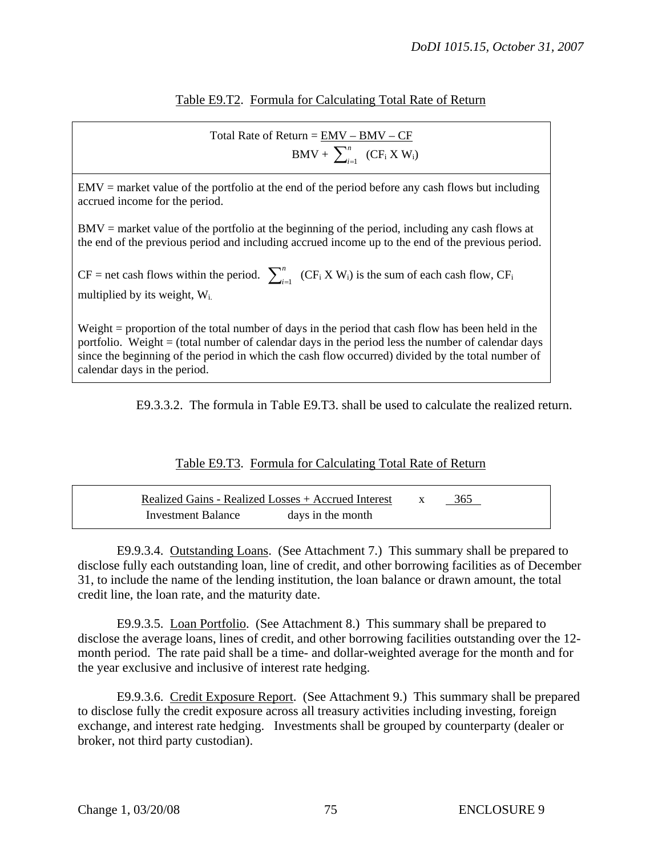### Table E9.T2. Formula for Calculating Total Rate of Return

Total Rate of Return  $=$   $\frac{EMV - BMV - CF}{}$  $BMV + \sum_{i=1}^{n} (CF_i X W_i)$ 

 $EMV =$  market value of the portfolio at the end of the period before any cash flows but including accrued income for the period.

BMV = market value of the portfolio at the beginning of the period, including any cash flows at the end of the previous period and including accrued income up to the end of the previous period.

 $CF =$  net cash flows within the period.  $\sum_{i=1}^{n}$  (CF<sub>i</sub> X W<sub>i</sub>) is the sum of each cash flow, CF<sub>i</sub> multiplied by its weight, Wi.

Weight = proportion of the total number of days in the period that cash flow has been held in the portfolio. Weight = (total number of calendar days in the period less the number of calendar days since the beginning of the period in which the cash flow occurred) divided by the total number of calendar days in the period.

E9.3.3.2. The formula in Table E9.T3. shall be used to calculate the realized return.

### Table E9.T3. Formula for Calculating Total Rate of Return

|                    | Realized Gains - Realized Losses + Accrued Interest | 365 |  |
|--------------------|-----------------------------------------------------|-----|--|
| Investment Balance | days in the month                                   |     |  |

 E9.9.3.4. Outstanding Loans. (See Attachment 7.) This summary shall be prepared to disclose fully each outstanding loan, line of credit, and other borrowing facilities as of December 31, to include the name of the lending institution, the loan balance or drawn amount, the total credit line, the loan rate, and the maturity date.

 E9.9.3.5. Loan Portfolio. (See Attachment 8.) This summary shall be prepared to disclose the average loans, lines of credit, and other borrowing facilities outstanding over the 12 month period. The rate paid shall be a time- and dollar-weighted average for the month and for the year exclusive and inclusive of interest rate hedging.

 E9.9.3.6. Credit Exposure Report. (See Attachment 9.) This summary shall be prepared to disclose fully the credit exposure across all treasury activities including investing, foreign exchange, and interest rate hedging. Investments shall be grouped by counterparty (dealer or broker, not third party custodian).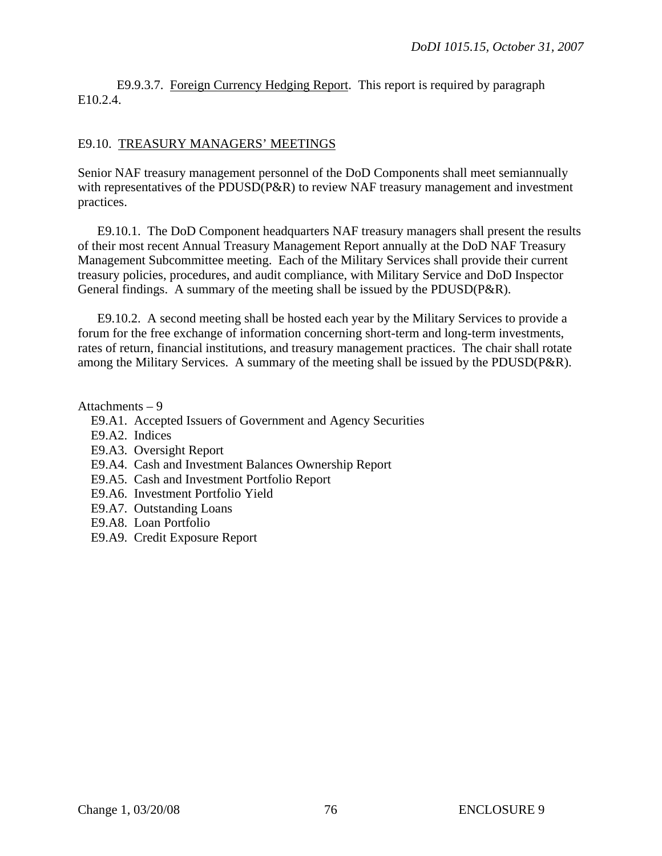E9.9.3.7. Foreign Currency Hedging Report. This report is required by paragraph E10.2.4.

#### E9.10. TREASURY MANAGERS' MEETINGS

Senior NAF treasury management personnel of the DoD Components shall meet semiannually with representatives of the PDUSD(P&R) to review NAF treasury management and investment practices.

E9.10.1. The DoD Component headquarters NAF treasury managers shall present the results of their most recent Annual Treasury Management Report annually at the DoD NAF Treasury Management Subcommittee meeting. Each of the Military Services shall provide their current treasury policies, procedures, and audit compliance, with Military Service and DoD Inspector General findings. A summary of the meeting shall be issued by the PDUSD(P&R).

E9.10.2. A second meeting shall be hosted each year by the Military Services to provide a forum for the free exchange of information concerning short-term and long-term investments, rates of return, financial institutions, and treasury management practices. The chair shall rotate among the Military Services. A summary of the meeting shall be issued by the PDUSD(P&R).

Attachments – 9

- E9.A1. Accepted Issuers of Government and Agency Securities
- E9.A2. Indices
- [E9.A3.](#page-76-0) Oversight Report
- E9.A4. Cash and Investment Balances Ownership Report
- E9.A5. [Cash and Investment Portfolio](#page-82-0) Report
- E9.A6. [Investment Portfolio Yield](#page-82-1)
- E9.A7. Outstanding Loans
- E9.A8. Loan Portfolio
- <span id="page-75-0"></span>E9.A9. Credit Exposure Report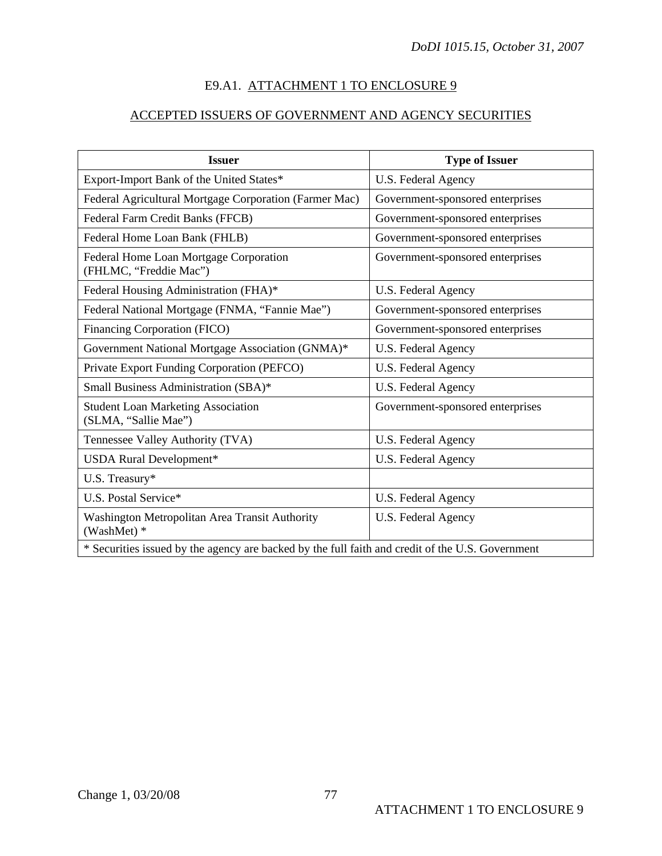## E9.A1. ATTACHMENT 1 TO ENCLOSURE 9

# ACCEPTED ISSUERS OF GOVERNMENT AND AGENCY SECURITIES

<span id="page-76-0"></span>

| <b>Issuer</b>                                                                                    | <b>Type of Issuer</b>            |
|--------------------------------------------------------------------------------------------------|----------------------------------|
| Export-Import Bank of the United States*                                                         | U.S. Federal Agency              |
| Federal Agricultural Mortgage Corporation (Farmer Mac)                                           | Government-sponsored enterprises |
| Federal Farm Credit Banks (FFCB)                                                                 | Government-sponsored enterprises |
| Federal Home Loan Bank (FHLB)                                                                    | Government-sponsored enterprises |
| Federal Home Loan Mortgage Corporation<br>(FHLMC, "Freddie Mac")                                 | Government-sponsored enterprises |
| Federal Housing Administration (FHA)*                                                            | U.S. Federal Agency              |
| Federal National Mortgage (FNMA, "Fannie Mae")                                                   | Government-sponsored enterprises |
| Financing Corporation (FICO)                                                                     | Government-sponsored enterprises |
| Government National Mortgage Association (GNMA)*                                                 | U.S. Federal Agency              |
| Private Export Funding Corporation (PEFCO)                                                       | U.S. Federal Agency              |
| Small Business Administration (SBA)*                                                             | U.S. Federal Agency              |
| <b>Student Loan Marketing Association</b><br>(SLMA, "Sallie Mae")                                | Government-sponsored enterprises |
| Tennessee Valley Authority (TVA)                                                                 | U.S. Federal Agency              |
| USDA Rural Development*                                                                          | U.S. Federal Agency              |
| U.S. Treasury*                                                                                   |                                  |
| U.S. Postal Service*                                                                             | U.S. Federal Agency              |
| Washington Metropolitan Area Transit Authority<br>(WashMet) *                                    | U.S. Federal Agency              |
| * Securities issued by the agency are backed by the full faith and credit of the U.S. Government |                                  |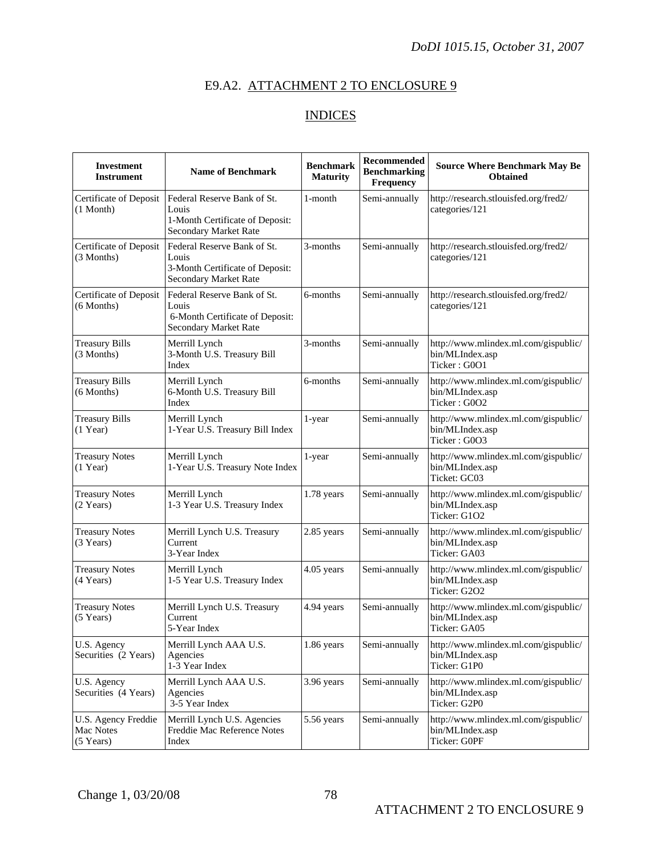# E9.A2. ATTACHMENT 2 TO ENCLOSURE 9

# INDICES

| <b>Investment</b><br><b>Instrument</b>          | <b>Name of Benchmark</b>                                                                         | <b>Benchmark</b><br><b>Maturity</b> | <b>Recommended</b><br><b>Benchmarking</b><br><b>Frequency</b> | <b>Source Where Benchmark May Be</b><br><b>Obtained</b>                 |
|-------------------------------------------------|--------------------------------------------------------------------------------------------------|-------------------------------------|---------------------------------------------------------------|-------------------------------------------------------------------------|
| Certificate of Deposit<br>$(1$ Month)           | Federal Reserve Bank of St.<br>Louis<br>1-Month Certificate of Deposit:<br>Secondary Market Rate | 1-month                             | Semi-annually                                                 | http://research.stlouisfed.org/fred2/<br>categories/121                 |
| Certificate of Deposit<br>(3 Months)            | Federal Reserve Bank of St.<br>Louis<br>3-Month Certificate of Deposit:<br>Secondary Market Rate | 3-months                            | Semi-annually                                                 | http://research.stlouisfed.org/fred2/<br>categories/121                 |
| Certificate of Deposit<br>$(6$ Months)          | Federal Reserve Bank of St.<br>Louis<br>6-Month Certificate of Deposit:<br>Secondary Market Rate | 6-months                            | Semi-annually                                                 | http://research.stlouisfed.org/fred2/<br>categories/121                 |
| <b>Treasury Bills</b><br>(3 Months)             | Merrill Lynch<br>3-Month U.S. Treasury Bill<br>Index                                             | 3-months                            | Semi-annually                                                 | http://www.mlindex.ml.com/gispublic/<br>bin/MLIndex.asp<br>Ticker: G0O1 |
| <b>Treasury Bills</b><br>$(6$ Months)           | Merrill Lynch<br>6-Month U.S. Treasury Bill<br>Index                                             | 6-months                            | Semi-annually                                                 | http://www.mlindex.ml.com/gispublic/<br>bin/MLIndex.asp<br>Ticker: G0O2 |
| <b>Treasury Bills</b><br>$(1$ Year)             | Merrill Lynch<br>1-Year U.S. Treasury Bill Index                                                 | 1-year                              | Semi-annually                                                 | http://www.mlindex.ml.com/gispublic/<br>bin/MLIndex.asp<br>Ticker: G0O3 |
| <b>Treasury Notes</b><br>$(1$ Year)             | Merrill Lynch<br>1-Year U.S. Treasury Note Index                                                 | 1-year                              | Semi-annually                                                 | http://www.mlindex.ml.com/gispublic/<br>bin/MLIndex.asp<br>Ticket: GC03 |
| <b>Treasury Notes</b><br>(2 Years)              | Merrill Lynch<br>1-3 Year U.S. Treasury Index                                                    | 1.78 years                          | Semi-annually                                                 | http://www.mlindex.ml.com/gispublic/<br>bin/MLIndex.asp<br>Ticker: G1O2 |
| <b>Treasury Notes</b><br>(3 Years)              | Merrill Lynch U.S. Treasury<br>Current<br>3-Year Index                                           | 2.85 years                          | Semi-annually                                                 | http://www.mlindex.ml.com/gispublic/<br>bin/MLIndex.asp<br>Ticker: GA03 |
| <b>Treasury Notes</b><br>$(4$ Years)            | Merrill Lynch<br>1-5 Year U.S. Treasury Index                                                    | 4.05 years                          | Semi-annually                                                 | http://www.mlindex.ml.com/gispublic/<br>bin/MLIndex.asp<br>Ticker: G2O2 |
| <b>Treasury Notes</b><br>$(5$ Years)            | Merrill Lynch U.S. Treasury<br>Current<br>5-Year Index                                           | 4.94 years                          | Semi-annually                                                 | http://www.mlindex.ml.com/gispublic/<br>bin/MLIndex.asp<br>Ticker: GA05 |
| U.S. Agency<br>Securities (2 Years)             | Merrill Lynch AAA U.S.<br>Agencies<br>1-3 Year Index                                             | 1.86 years                          | Semi-annually                                                 | http://www.mlindex.ml.com/gispublic/<br>bin/MLIndex.asp<br>Ticker: G1P0 |
| U.S. Agency<br>Securities (4 Years)             | Merrill Lynch AAA U.S.<br>Agencies<br>3-5 Year Index                                             | 3.96 years                          | Semi-annually                                                 | http://www.mlindex.ml.com/gispublic/<br>bin/MLIndex.asp<br>Ticker: G2P0 |
| U.S. Agency Freddie<br>Mac Notes<br>$(5$ Years) | Merrill Lynch U.S. Agencies<br>Freddie Mac Reference Notes<br>Index                              | 5.56 years                          | Semi-annually                                                 | http://www.mlindex.ml.com/gispublic/<br>bin/MLIndex.asp<br>Ticker: G0PF |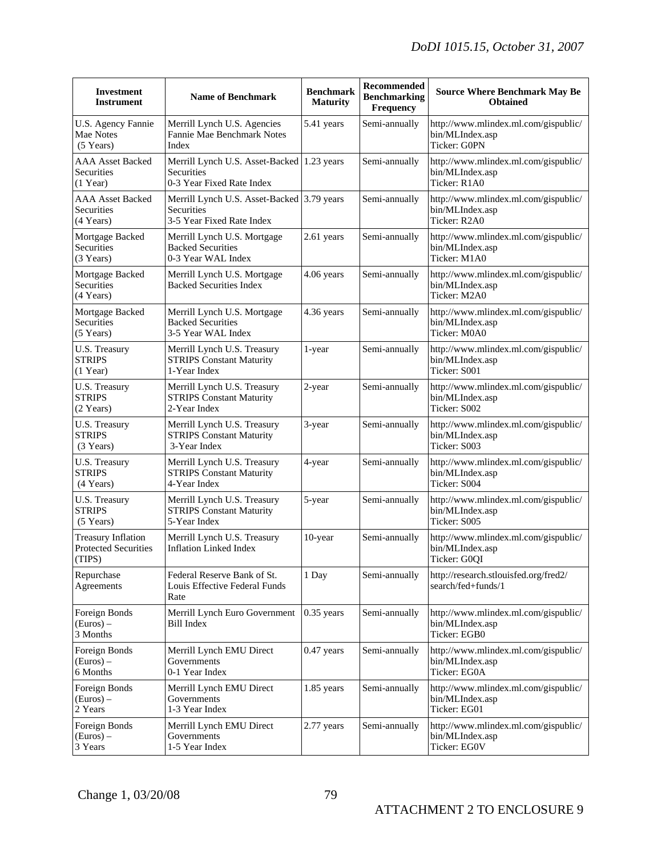| <b>Investment</b><br><b>Instrument</b>                      | <b>Name of Benchmark</b>                                                                     | <b>Benchmark</b><br><b>Maturity</b> | Recommended<br><b>Benchmarking</b><br>Frequency | <b>Source Where Benchmark May Be</b><br><b>Obtained</b>                 |
|-------------------------------------------------------------|----------------------------------------------------------------------------------------------|-------------------------------------|-------------------------------------------------|-------------------------------------------------------------------------|
| U.S. Agency Fannie<br>Mae Notes<br>$(5$ Years)              | Merrill Lynch U.S. Agencies<br>Fannie Mae Benchmark Notes<br>Index                           | 5.41 years                          | Semi-annually                                   | http://www.mlindex.ml.com/gispublic/<br>bin/MLIndex.asp<br>Ticker: G0PN |
| <b>AAA Asset Backed</b><br>Securities<br>$(1$ Year)         | Merrill Lynch U.S. Asset-Backed 1.23 years<br><b>Securities</b><br>0-3 Year Fixed Rate Index |                                     | Semi-annually                                   | http://www.mlindex.ml.com/gispublic/<br>bin/MLIndex.asp<br>Ticker: R1A0 |
| <b>AAA Asset Backed</b><br>Securities<br>(4 Years)          | Merrill Lynch U.S. Asset-Backed 3.79 years<br>Securities<br>3-5 Year Fixed Rate Index        |                                     | Semi-annually                                   | http://www.mlindex.ml.com/gispublic/<br>bin/MLIndex.asp<br>Ticker: R2A0 |
| Mortgage Backed<br>Securities<br>(3 Years)                  | Merrill Lynch U.S. Mortgage<br><b>Backed Securities</b><br>0-3 Year WAL Index                | 2.61 years                          | Semi-annually                                   | http://www.mlindex.ml.com/gispublic/<br>bin/MLIndex.asp<br>Ticker: M1A0 |
| Mortgage Backed<br>Securities<br>(4 Years)                  | Merrill Lynch U.S. Mortgage<br><b>Backed Securities Index</b>                                | 4.06 years                          | Semi-annually                                   | http://www.mlindex.ml.com/gispublic/<br>bin/MLIndex.asp<br>Ticker: M2A0 |
| Mortgage Backed<br>Securities<br>$(5$ Years)                | Merrill Lynch U.S. Mortgage<br><b>Backed Securities</b><br>3-5 Year WAL Index                | 4.36 years                          | Semi-annually                                   | http://www.mlindex.ml.com/gispublic/<br>bin/MLIndex.asp<br>Ticker: M0A0 |
| U.S. Treasury<br><b>STRIPS</b><br>$(1$ Year)                | Merrill Lynch U.S. Treasury<br><b>STRIPS Constant Maturity</b><br>1-Year Index               | 1-year                              | Semi-annually                                   | http://www.mlindex.ml.com/gispublic/<br>bin/MLIndex.asp<br>Ticker: S001 |
| U.S. Treasury<br><b>STRIPS</b><br>(2 Years)                 | Merrill Lynch U.S. Treasury<br><b>STRIPS Constant Maturity</b><br>2-Year Index               | 2-year                              | Semi-annually                                   | http://www.mlindex.ml.com/gispublic/<br>bin/MLIndex.asp<br>Ticker: S002 |
| U.S. Treasury<br><b>STRIPS</b><br>(3 Years)                 | Merrill Lynch U.S. Treasury<br><b>STRIPS Constant Maturity</b><br>3-Year Index               | 3-year                              | Semi-annually                                   | http://www.mlindex.ml.com/gispublic/<br>bin/MLIndex.asp<br>Ticker: S003 |
| U.S. Treasury<br><b>STRIPS</b><br>(4 Years)                 | Merrill Lynch U.S. Treasury<br><b>STRIPS Constant Maturity</b><br>4-Year Index               | 4-year                              | Semi-annually                                   | http://www.mlindex.ml.com/gispublic/<br>bin/MLIndex.asp<br>Ticker: S004 |
| U.S. Treasury<br><b>STRIPS</b><br>(5 Years)                 | Merrill Lynch U.S. Treasury<br><b>STRIPS Constant Maturity</b><br>5-Year Index               | 5-year                              | Semi-annually                                   | http://www.mlindex.ml.com/gispublic/<br>bin/MLIndex.asp<br>Ticker: S005 |
| <b>Treasury Inflation</b><br>Protected Securities<br>(TIPS) | Merrill Lynch U.S. Treasury<br><b>Inflation Linked Index</b>                                 | 10-year                             | Semi-annually                                   | http://www.mlindex.ml.com/gispublic/<br>bin/MLIndex.asp<br>Ticker: G0QI |
| Repurchase<br>Agreements                                    | Federal Reserve Bank of St.<br>Louis Effective Federal Funds<br>Rate                         | 1 Day                               | Semi-annually                                   | http://research.stlouisfed.org/fred2/<br>search/fed+funds/1             |
| Foreign Bonds<br>(Euros) –<br>3 Months                      | Merrill Lynch Euro Government<br>Bill Index                                                  | $0.35$ years                        | Semi-annually                                   | http://www.mlindex.ml.com/gispublic/<br>bin/MLIndex.asp<br>Ticker: EGB0 |
| Foreign Bonds<br>(Euros) –<br>6 Months                      | Merrill Lynch EMU Direct<br>Governments<br>0-1 Year Index                                    | 0.47 years                          | Semi-annually                                   | http://www.mlindex.ml.com/gispublic/<br>bin/MLIndex.asp<br>Ticker: EG0A |
| Foreign Bonds<br>$(Euros)$ –<br>2 Years                     | Merrill Lynch EMU Direct<br>Governments<br>1-3 Year Index                                    | 1.85 years                          | Semi-annually                                   | http://www.mlindex.ml.com/gispublic/<br>bin/MLIndex.asp<br>Ticker: EG01 |
| Foreign Bonds<br>(Euros) –<br>3 Years                       | Merrill Lynch EMU Direct<br>Governments<br>1-5 Year Index                                    | 2.77 years                          | Semi-annually                                   | http://www.mlindex.ml.com/gispublic/<br>bin/MLIndex.asp<br>Ticker: EG0V |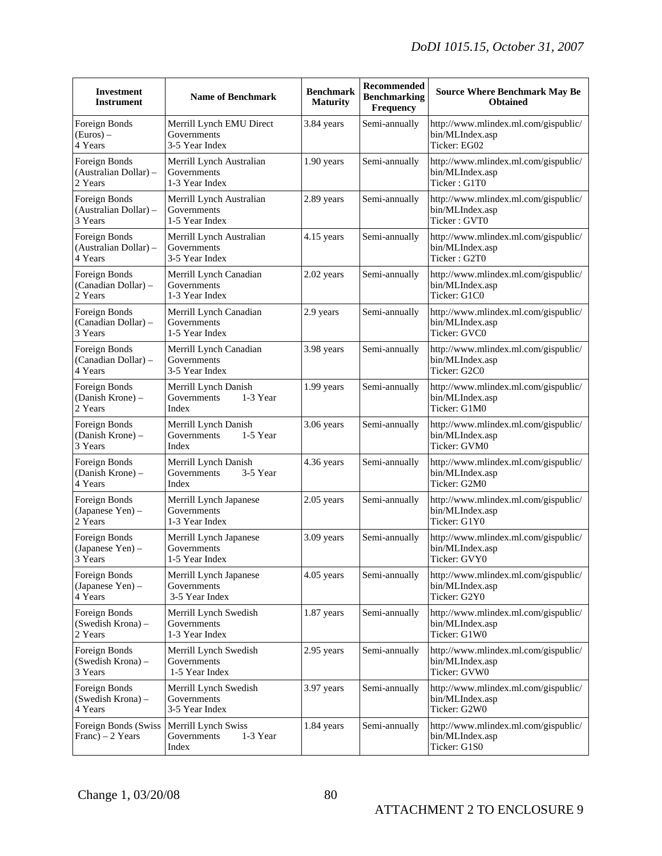| <b>Investment</b><br><b>Instrument</b>            | <b>Name of Benchmark</b>                                  | <b>Benchmark</b><br><b>Maturity</b> | Recommended<br><b>Benchmarking</b><br>Frequency | <b>Source Where Benchmark May Be</b><br><b>Obtained</b>                 |
|---------------------------------------------------|-----------------------------------------------------------|-------------------------------------|-------------------------------------------------|-------------------------------------------------------------------------|
| Foreign Bonds<br>$(Euros)$ –<br>4 Years           | Merrill Lynch EMU Direct<br>Governments<br>3-5 Year Index | 3.84 years                          | Semi-annually                                   | http://www.mlindex.ml.com/gispublic/<br>bin/MLIndex.asp<br>Ticker: EG02 |
| Foreign Bonds<br>(Australian Dollar) -<br>2 Years | Merrill Lynch Australian<br>Governments<br>1-3 Year Index | 1.90 years                          | Semi-annually                                   | http://www.mlindex.ml.com/gispublic/<br>bin/MLIndex.asp<br>Ticker: G1T0 |
| Foreign Bonds<br>(Australian Dollar) -<br>3 Years | Merrill Lynch Australian<br>Governments<br>1-5 Year Index | 2.89 years                          | Semi-annually                                   | http://www.mlindex.ml.com/gispublic/<br>bin/MLIndex.asp<br>Ticker: GVT0 |
| Foreign Bonds<br>(Australian Dollar) -<br>4 Years | Merrill Lynch Australian<br>Governments<br>3-5 Year Index | 4.15 years                          | Semi-annually                                   | http://www.mlindex.ml.com/gispublic/<br>bin/MLIndex.asp<br>Ticker: G2T0 |
| Foreign Bonds<br>(Canadian Dollar) -<br>2 Years   | Merrill Lynch Canadian<br>Governments<br>1-3 Year Index   | 2.02 years                          | Semi-annually                                   | http://www.mlindex.ml.com/gispublic/<br>bin/MLIndex.asp<br>Ticker: G1C0 |
| Foreign Bonds<br>(Canadian Dollar) -<br>3 Years   | Merrill Lynch Canadian<br>Governments<br>1-5 Year Index   | 2.9 years                           | Semi-annually                                   | http://www.mlindex.ml.com/gispublic/<br>bin/MLIndex.asp<br>Ticker: GVC0 |
| Foreign Bonds<br>(Canadian Dollar) -<br>4 Years   | Merrill Lynch Canadian<br>Governments<br>3-5 Year Index   | 3.98 years                          | Semi-annually                                   | http://www.mlindex.ml.com/gispublic/<br>bin/MLIndex.asp<br>Ticker: G2C0 |
| Foreign Bonds<br>(Danish Krone) -<br>2 Years      | Merrill Lynch Danish<br>1-3 Year<br>Governments<br>Index  | 1.99 years                          | Semi-annually                                   | http://www.mlindex.ml.com/gispublic/<br>bin/MLIndex.asp<br>Ticker: G1M0 |
| Foreign Bonds<br>(Danish Krone) -<br>3 Years      | Merrill Lynch Danish<br>Governments<br>1-5 Year<br>Index  | 3.06 years                          | Semi-annually                                   | http://www.mlindex.ml.com/gispublic/<br>bin/MLIndex.asp<br>Ticker: GVM0 |
| Foreign Bonds<br>(Danish Krone) -<br>4 Years      | Merrill Lynch Danish<br>Governments<br>3-5 Year<br>Index  | 4.36 years                          | Semi-annually                                   | http://www.mlindex.ml.com/gispublic/<br>bin/MLIndex.asp<br>Ticker: G2M0 |
| Foreign Bonds<br>(Japanese Yen) -<br>2 Years      | Merrill Lynch Japanese<br>Governments<br>1-3 Year Index   | 2.05 years                          | Semi-annually                                   | http://www.mlindex.ml.com/gispublic/<br>bin/MLIndex.asp<br>Ticker: G1Y0 |
| Foreign Bonds<br>(Japanese Yen) -<br>3 Years      | Merrill Lynch Japanese<br>Governments<br>1-5 Year Index   | 3.09 years                          | Semi-annually                                   | http://www.mlindex.ml.com/gispublic/<br>bin/MLIndex.asp<br>Ticker: GVY0 |
| Foreign Bonds<br>(Japanese Yen) -<br>4 Years      | Merrill Lynch Japanese<br>Governments<br>3-5 Year Index   | $4.05$ years                        | Semi-annually                                   | http://www.mlindex.ml.com/gispublic/<br>bin/MLIndex.asp<br>Ticker: G2Y0 |
| Foreign Bonds<br>(Swedish Krona) -<br>2 Years     | Merrill Lynch Swedish<br>Governments<br>1-3 Year Index    | 1.87 years                          | Semi-annually                                   | http://www.mlindex.ml.com/gispublic/<br>bin/MLIndex.asp<br>Ticker: G1W0 |
| Foreign Bonds<br>(Swedish Krona) -<br>3 Years     | Merrill Lynch Swedish<br>Governments<br>1-5 Year Index    | 2.95 years                          | Semi-annually                                   | http://www.mlindex.ml.com/gispublic/<br>bin/MLIndex.asp<br>Ticker: GVW0 |
| Foreign Bonds<br>(Swedish Krona) -<br>4 Years     | Merrill Lynch Swedish<br>Governments<br>3-5 Year Index    | 3.97 years                          | Semi-annually                                   | http://www.mlindex.ml.com/gispublic/<br>bin/MLIndex.asp<br>Ticker: G2W0 |
| Foreign Bonds (Swiss<br>Franc $) - 2$ Years       | Merrill Lynch Swiss<br>Governments<br>1-3 Year<br>Index   | 1.84 years                          | Semi-annually                                   | http://www.mlindex.ml.com/gispublic/<br>bin/MLIndex.asp<br>Ticker: G1S0 |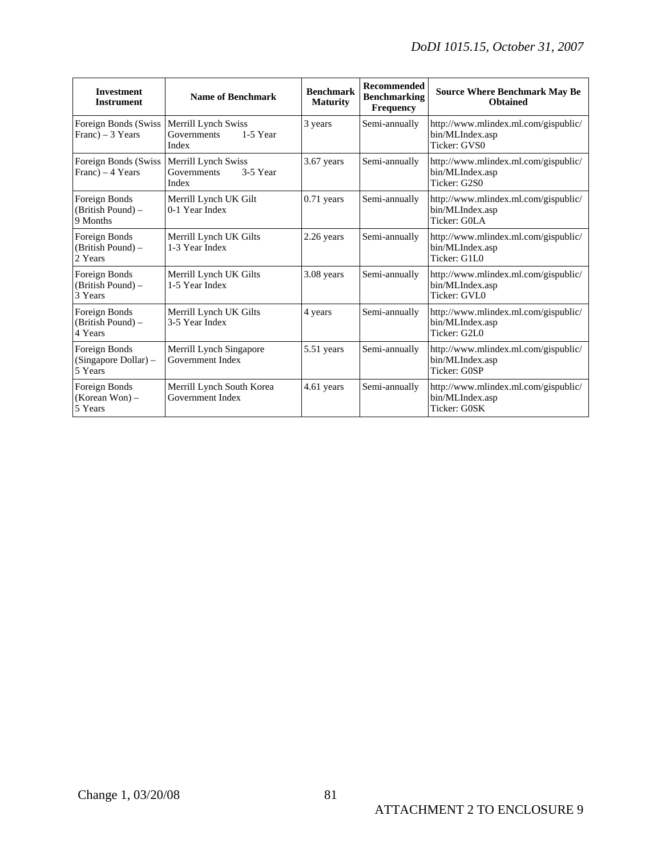| <b>Investment</b><br><b>Instrument</b>           | <b>Name of Benchmark</b>                                | <b>Benchmark</b><br><b>Maturity</b> | <b>Recommended</b><br><b>Benchmarking</b><br><b>Frequency</b> | <b>Source Where Benchmark May Be</b><br><b>Obtained</b>                 |
|--------------------------------------------------|---------------------------------------------------------|-------------------------------------|---------------------------------------------------------------|-------------------------------------------------------------------------|
| Foreign Bonds (Swiss<br>Franc $) - 3$ Years      | Merrill Lynch Swiss<br>Governments<br>1-5 Year<br>Index | 3 years                             | Semi-annually                                                 | http://www.mlindex.ml.com/gispublic/<br>bin/MLIndex.asp<br>Ticker: GVS0 |
| Foreign Bonds (Swiss<br>Franc $) - 4$ Years      | Merrill Lynch Swiss<br>Governments<br>3-5 Year<br>Index | 3.67 years                          | Semi-annually                                                 | http://www.mlindex.ml.com/gispublic/<br>bin/MLIndex.asp<br>Ticker: G2S0 |
| Foreign Bonds<br>(British Pound) -<br>9 Months   | Merrill Lynch UK Gilt<br>0-1 Year Index                 | $0.71$ years                        | Semi-annually                                                 | http://www.mlindex.ml.com/gispublic/<br>bin/MLIndex.asp<br>Ticker: G0LA |
| Foreign Bonds<br>(British Pound) -<br>2 Years    | Merrill Lynch UK Gilts<br>1-3 Year Index                | 2.26 years                          | Semi-annually                                                 | http://www.mlindex.ml.com/gispublic/<br>bin/MLIndex.asp<br>Ticker: G1L0 |
| Foreign Bonds<br>(British Pound) -<br>3 Years    | Merrill Lynch UK Gilts<br>1-5 Year Index                | 3.08 years                          | Semi-annually                                                 | http://www.mlindex.ml.com/gispublic/<br>bin/MLIndex.asp<br>Ticker: GVL0 |
| Foreign Bonds<br>(British Pound) -<br>4 Years    | Merrill Lynch UK Gilts<br>3-5 Year Index                | 4 years                             | Semi-annually                                                 | http://www.mlindex.ml.com/gispublic/<br>bin/MLIndex.asp<br>Ticker: G2L0 |
| Foreign Bonds<br>(Singapore Dollar) -<br>5 Years | Merrill Lynch Singapore<br>Government Index             | 5.51 years                          | Semi-annually                                                 | http://www.mlindex.ml.com/gispublic/<br>bin/MLIndex.asp<br>Ticker: G0SP |
| Foreign Bonds<br>(Korean Won) –<br>5 Years       | Merrill Lynch South Korea<br>Government Index           | 4.61 years                          | Semi-annually                                                 | http://www.mlindex.ml.com/gispublic/<br>bin/MLIndex.asp<br>Ticker: G0SK |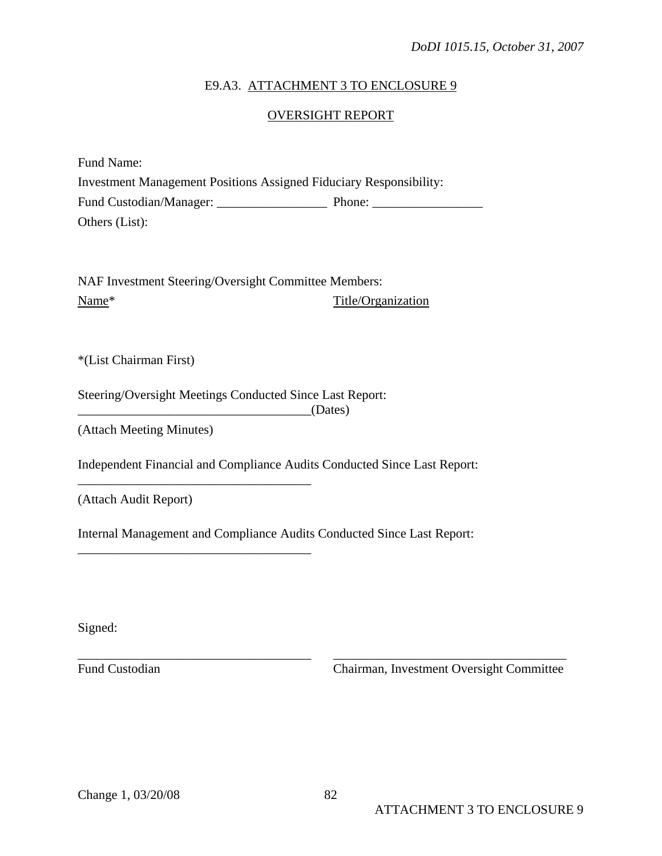#### E9.A3. ATTACHMENT 3 TO ENCLOSURE 9

#### OVERSIGHT REPORT

| Fund Name:                                                                |        |
|---------------------------------------------------------------------------|--------|
| <b>Investment Management Positions Assigned Fiduciary Responsibility:</b> |        |
| Fund Custodian/Manager:                                                   | Phone: |
| Others (List):                                                            |        |

NAF Investment Steering/Oversight Committee Members: Name<sup>\*</sup> Title/Organization

\*(List Chairman First)

Steering/Oversight Meetings Conducted Since Last Report: \_\_\_\_\_\_\_\_\_\_\_\_\_\_\_\_\_\_\_\_\_\_\_\_\_\_\_\_\_\_\_\_\_\_\_\_(Dates)

\_\_\_\_\_\_\_\_\_\_\_\_\_\_\_\_\_\_\_\_\_\_\_\_\_\_\_\_\_\_\_\_\_\_\_\_

\_\_\_\_\_\_\_\_\_\_\_\_\_\_\_\_\_\_\_\_\_\_\_\_\_\_\_\_\_\_\_\_\_\_\_\_

(Attach Meeting Minutes)

Independent Financial and Compliance Audits Conducted Since Last Report:

(Attach Audit Report)

Internal Management and Compliance Audits Conducted Since Last Report:

Signed:

Fund Custodian Chairman, Investment Oversight Committee

\_\_\_\_\_\_\_\_\_\_\_\_\_\_\_\_\_\_\_\_\_\_\_\_\_\_\_\_\_\_\_\_\_\_\_\_ \_\_\_\_\_\_\_\_\_\_\_\_\_\_\_\_\_\_\_\_\_\_\_\_\_\_\_\_\_\_\_\_\_\_\_\_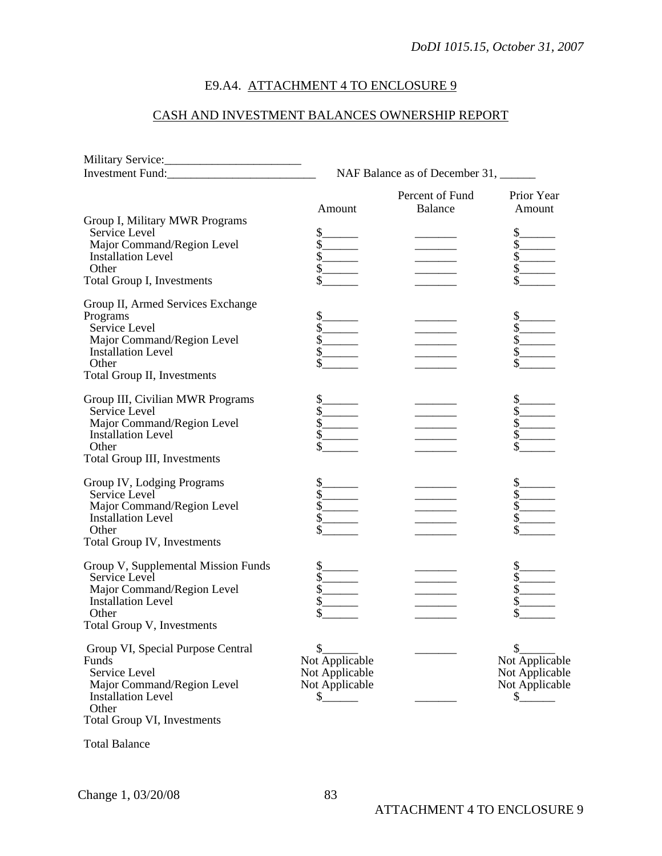# E9.A4. ATTACHMENT 4 TO ENCLOSURE 9

# CASH AND INVESTMENT BALANCES OWNERSHIP REPORT

| Investment Fund:                                                                                                                                                  | NAF Balance as of December 31, ______                                                                          |                                   |                                                                                                                                                                                                                                                                                                                                                                                               |  |
|-------------------------------------------------------------------------------------------------------------------------------------------------------------------|----------------------------------------------------------------------------------------------------------------|-----------------------------------|-----------------------------------------------------------------------------------------------------------------------------------------------------------------------------------------------------------------------------------------------------------------------------------------------------------------------------------------------------------------------------------------------|--|
|                                                                                                                                                                   | Amount                                                                                                         | Percent of Fund<br><b>Balance</b> | Prior Year<br>Amount                                                                                                                                                                                                                                                                                                                                                                          |  |
| Group I, Military MWR Programs<br>Service Level<br>Major Command/Region Level<br><b>Installation Level</b><br>Other                                               | \$.<br>\$<br>\$<br>\$                                                                                          |                                   | \$.<br>$\sqrt{s}$                                                                                                                                                                                                                                                                                                                                                                             |  |
| Total Group I, Investments                                                                                                                                        | \$                                                                                                             |                                   |                                                                                                                                                                                                                                                                                                                                                                                               |  |
| Group II, Armed Services Exchange<br>Programs<br>Service Level<br>Major Command/Region Level<br><b>Installation Level</b><br>Other<br>Total Group II, Investments | \$<br>\$<br>\$<br>\$                                                                                           |                                   | \$.<br>s<br>$\mathsf{s}\_$<br>\$                                                                                                                                                                                                                                                                                                                                                              |  |
| Group III, Civilian MWR Programs<br>Service Level<br>Major Command/Region Level<br><b>Installation Level</b><br>Other<br>Total Group III, Investments             | \$<br>\$                                                                                                       |                                   | \$_                                                                                                                                                                                                                                                                                                                                                                                           |  |
| Group IV, Lodging Programs<br>Service Level<br>Major Command/Region Level<br><b>Installation Level</b><br>Other<br>Total Group IV, Investments                    | \$<br>\$<br>\$<br>\$                                                                                           |                                   | $\frac{\sqrt{2}}{2}$                                                                                                                                                                                                                                                                                                                                                                          |  |
| Group V, Supplemental Mission Funds<br>Service Level<br>Major Command/Region Level<br><b>Installation Level</b><br>Other<br>Total Group V, Investments            | \$<br>\$<br>\$                                                                                                 |                                   | $\frac{\S_{\frac{1}{2}}}{\S_{\frac{1}{2}}}{\S_{\frac{1}{2}}}{\S_{\frac{1}{2}}}{\S_{\frac{1}{2}}}{\S_{\frac{1}{2}}}{\S_{\frac{1}{2}}}{\S_{\frac{1}{2}}}{\S_{\frac{1}{2}}}{\S_{\frac{1}{2}}}{\S_{\frac{1}{2}}}{\S_{\frac{1}{2}}}{\S_{\frac{1}{2}}}{\S_{\frac{1}{2}}}{\S_{\frac{1}{2}}}{\S_{\frac{1}{2}}}{\S_{\frac{1}{2}}}{\S_{\frac{1}{2}}}{\S_{\frac{1}{2}}}{\S_{\frac{1}{2$<br>$\mathsf{\$}$ |  |
| Group VI, Special Purpose Central<br>Funds<br>Service Level<br>Major Command/Region Level<br><b>Installation Level</b><br>Other<br>Total Group VI, Investments    | $\boldsymbol{\mathsf{S}}$<br>Not Applicable<br>Not Applicable<br>Not Applicable<br>$\mathcal{L}_{\mathcal{L}}$ |                                   | \$.<br>Not Applicable<br>Not Applicable<br>Not Applicable<br>\$_                                                                                                                                                                                                                                                                                                                              |  |

<span id="page-82-1"></span><span id="page-82-0"></span>Total Balance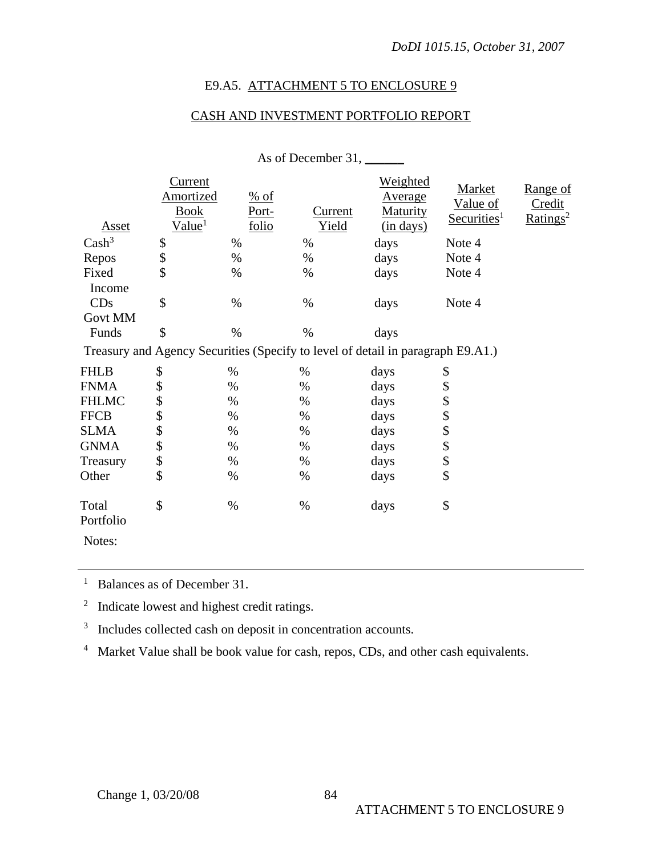### E9.A5. ATTACHMENT 5 TO ENCLOSURE 9

### CASH AND INVESTMENT PORTFOLIO REPORT

|                    |                                                                  |                                      | As of December 31, ______ |                                                                                 |                                               |                                   |
|--------------------|------------------------------------------------------------------|--------------------------------------|---------------------------|---------------------------------------------------------------------------------|-----------------------------------------------|-----------------------------------|
| Asset              | <u>Current</u><br>Amortized<br><b>Book</b><br>Value <sup>1</sup> | $\frac{\%}{\%}$ of<br>Port-<br>folio | Current<br>Yield          | <b>Weighted</b><br>Average<br><b>Maturity</b><br>$(in$ days)                    | Market<br>Value of<br>Securities <sup>1</sup> | Range of<br>Credit<br>$Ratings^2$ |
| Cash <sup>3</sup>  | $\frac{1}{2}$                                                    | $\%$                                 | $\%$                      | days                                                                            | Note 4                                        |                                   |
| Repos              |                                                                  | $\%$                                 | $\%$                      | days                                                                            | Note 4                                        |                                   |
| Fixed              | \$                                                               | $\%$                                 | $\%$                      | days                                                                            | Note 4                                        |                                   |
| Income             |                                                                  |                                      |                           |                                                                                 |                                               |                                   |
| CDs                | \$                                                               | $\%$                                 | $\%$                      | days                                                                            | Note 4                                        |                                   |
| <b>Govt MM</b>     |                                                                  |                                      |                           |                                                                                 |                                               |                                   |
| Funds              | \$                                                               | $\%$                                 | $\%$                      | days                                                                            |                                               |                                   |
|                    |                                                                  |                                      |                           | Treasury and Agency Securities (Specify to level of detail in paragraph E9.A1.) |                                               |                                   |
| <b>FHLB</b>        | \$                                                               | $\%$                                 | $\%$                      | days                                                                            | \$                                            |                                   |
| <b>FNMA</b>        | \$                                                               | $\%$                                 | $\%$                      | days                                                                            | \$                                            |                                   |
| <b>FHLMC</b>       | $\frac{1}{2}$                                                    | $\%$                                 | $\%$                      | days                                                                            | \$                                            |                                   |
| <b>FFCB</b>        |                                                                  | $\%$                                 | $\%$                      | days                                                                            | \$                                            |                                   |
| <b>SLMA</b>        | 888                                                              | $\%$                                 | $\%$                      | days                                                                            | \$                                            |                                   |
| <b>GNMA</b>        |                                                                  | $\%$                                 | $\%$                      | days                                                                            | \$                                            |                                   |
| Treasury           |                                                                  | $\%$                                 | $\%$                      | days                                                                            | \$                                            |                                   |
| Other              | $\hat{S}$                                                        | $\%$                                 | $\%$                      | days                                                                            | \$                                            |                                   |
| Total<br>Portfolio | \$                                                               | $\%$                                 | $\%$                      | days                                                                            | \$                                            |                                   |
| Notes:             |                                                                  |                                      |                           |                                                                                 |                                               |                                   |

<sup>1</sup> Balances as of December 31.

<sup>2</sup> Indicate lowest and highest credit ratings.

<sup>3</sup> Includes collected cash on deposit in concentration accounts.

<sup>4</sup> Market Value shall be book value for cash, repos, CDs, and other cash equivalents.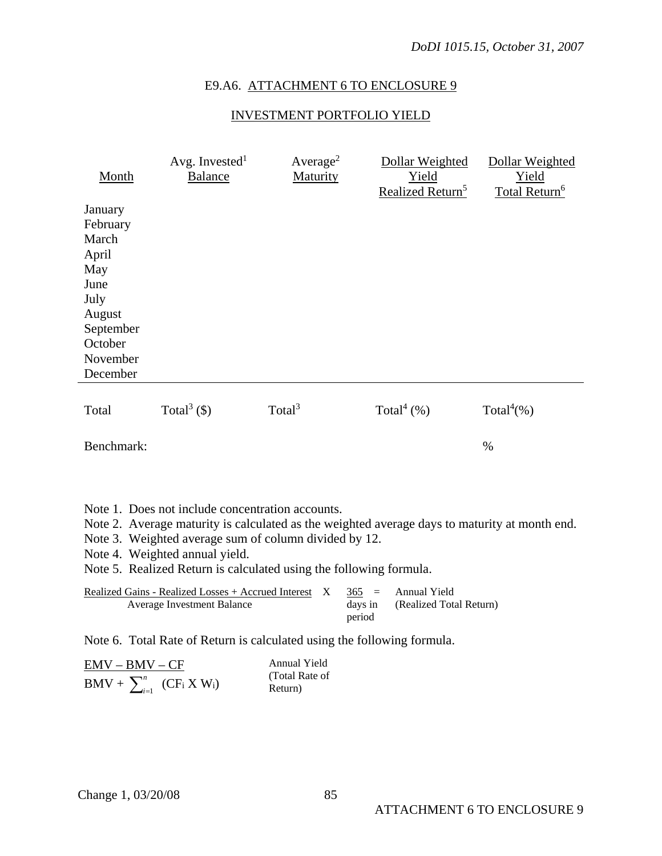# E9.A6. ATTACHMENT 6 TO ENCLOSURE 9

# INVESTMENT PORTFOLIO YIELD

| Month                                                                                                                                                                                                                                                                                                              | Avg. Invested <sup>1</sup><br><b>Balance</b>                                      | Average <sup>2</sup><br>Maturity | Dollar Weighted<br>Yield<br>Realized Return <sup>5</sup>                   | Dollar Weighted<br>Yield<br>Total Return <sup>6</sup> |  |  |
|--------------------------------------------------------------------------------------------------------------------------------------------------------------------------------------------------------------------------------------------------------------------------------------------------------------------|-----------------------------------------------------------------------------------|----------------------------------|----------------------------------------------------------------------------|-------------------------------------------------------|--|--|
| January<br>February<br>March<br>April<br>May<br>June<br>July<br>August<br>September<br>October<br>November                                                                                                                                                                                                         |                                                                                   |                                  |                                                                            |                                                       |  |  |
| December                                                                                                                                                                                                                                                                                                           |                                                                                   |                                  |                                                                            |                                                       |  |  |
| Total                                                                                                                                                                                                                                                                                                              | Total <sup>3</sup> $($ \$)                                                        | Total $3$                        | Total <sup>4</sup> $(\%)$                                                  | Total <sup>4</sup> $(\%)$                             |  |  |
| Benchmark:                                                                                                                                                                                                                                                                                                         |                                                                                   |                                  |                                                                            | $\%$                                                  |  |  |
|                                                                                                                                                                                                                                                                                                                    |                                                                                   |                                  |                                                                            |                                                       |  |  |
| Note 1. Does not include concentration accounts.<br>Note 2. Average maturity is calculated as the weighted average days to maturity at month end.<br>Note 3. Weighted average sum of column divided by 12.<br>Note 4. Weighted annual yield.<br>Note 5. Realized Return is calculated using the following formula. |                                                                                   |                                  |                                                                            |                                                       |  |  |
|                                                                                                                                                                                                                                                                                                                    | Realized Gains - Realized Losses + Accrued Interest<br>Average Investment Balance | $\mathbf{X}$                     | Annual Yield<br>365<br>$=$<br>days in<br>(Realized Total Return)<br>period |                                                       |  |  |
|                                                                                                                                                                                                                                                                                                                    | Note 6. Total Rate of Return is calculated using the following formula.           |                                  |                                                                            |                                                       |  |  |

| $EMV - BMV - CF$                    | Annual Yield   |
|-------------------------------------|----------------|
|                                     | (Total Rate of |
| $BMV + \sum_{i=1}^{n} (CF_i X W_i)$ | Return)        |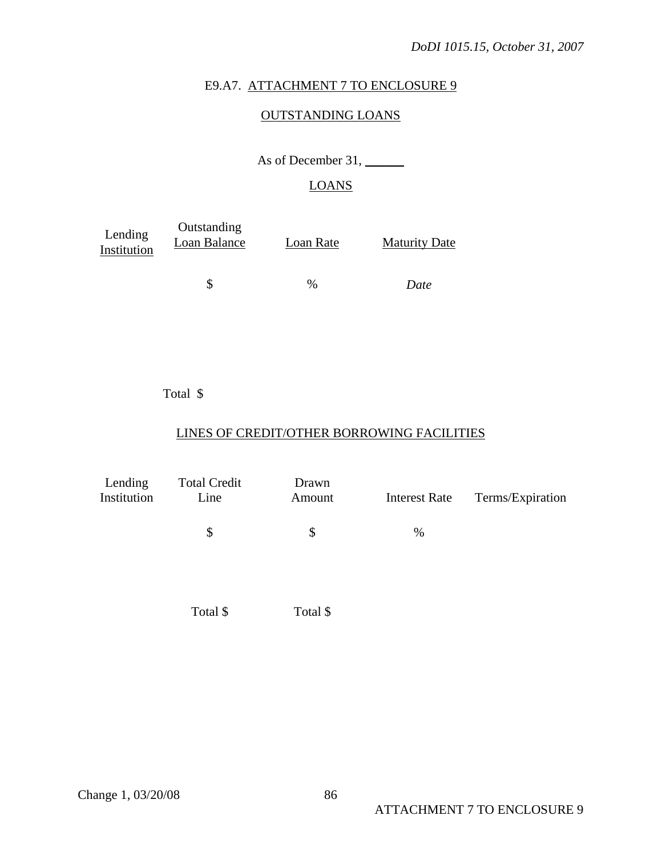#### E9.A7. ATTACHMENT 7 TO ENCLOSURE 9

### OUTSTANDING LOANS

As of December 31, \_\_\_\_\_\_\_

# LOANS

| Lending<br>Institution | Outstanding<br>Loan Balance | Loan Rate | <b>Maturity Date</b> |
|------------------------|-----------------------------|-----------|----------------------|
|                        |                             | $\%$      | Date                 |

### Total \$

# LINES OF CREDIT/OTHER BORROWING FACILITIES

| Lending<br>Institution | <b>Total Credit</b><br>Line | Drawn<br>Amount | <b>Interest Rate</b> | Terms/Expiration |
|------------------------|-----------------------------|-----------------|----------------------|------------------|
|                        | \$                          | \$              | %                    |                  |
|                        |                             |                 |                      |                  |

Total \$ Total \$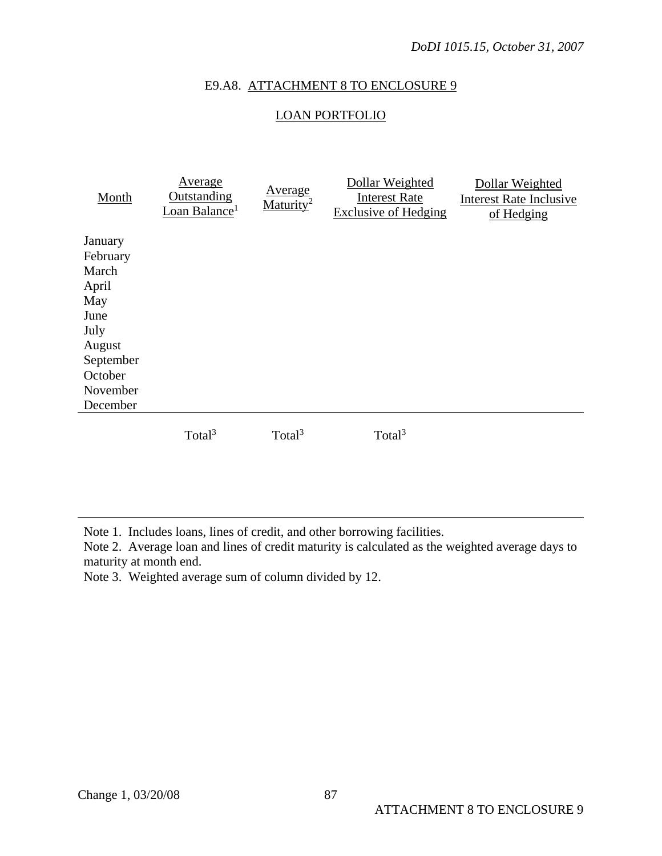### E9.A8. ATTACHMENT 8 TO ENCLOSURE 9

## LOAN PORTFOLIO

| Month                                                                                          | <u>Average</u><br><b>Outstanding</b><br>Loan Balance <sup>1</sup> | Average<br>Maturity <sup>2</sup> | Dollar Weighted<br><b>Interest Rate</b><br><b>Exclusive of Hedging</b> | Dollar Weighted<br><b>Interest Rate Inclusive</b><br>of Hedging |
|------------------------------------------------------------------------------------------------|-------------------------------------------------------------------|----------------------------------|------------------------------------------------------------------------|-----------------------------------------------------------------|
| January<br>February<br>March<br>April<br>May<br>June<br>July<br>August<br>September<br>October |                                                                   |                                  |                                                                        |                                                                 |
| November<br>December                                                                           |                                                                   |                                  |                                                                        |                                                                 |
|                                                                                                | Total <sup>3</sup>                                                | Total <sup>3</sup>               | Total <sup>3</sup>                                                     |                                                                 |

Note 1. Includes loans, lines of credit, and other borrowing facilities.

Note 2. Average loan and lines of credit maturity is calculated as the weighted average days to maturity at month end.

Note 3. Weighted average sum of column divided by 12.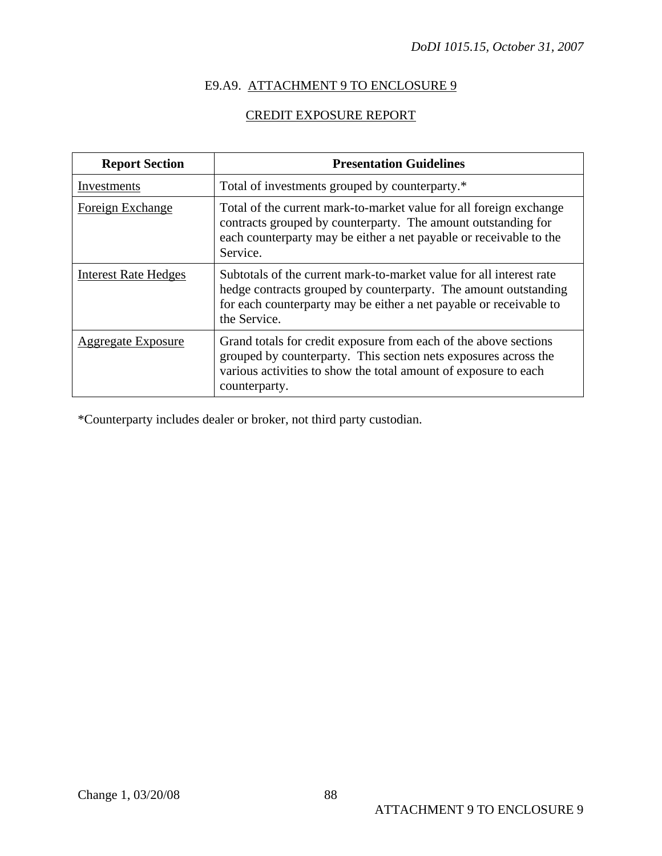# E9.A9. ATTACHMENT 9 TO ENCLOSURE 9

# CREDIT EXPOSURE REPORT

| <b>Report Section</b>       | <b>Presentation Guidelines</b>                                                                                                                                                                                               |  |  |
|-----------------------------|------------------------------------------------------------------------------------------------------------------------------------------------------------------------------------------------------------------------------|--|--|
| Investments                 | Total of investments grouped by counterparty.*                                                                                                                                                                               |  |  |
| Foreign Exchange            | Total of the current mark-to-market value for all foreign exchange<br>contracts grouped by counterparty. The amount outstanding for<br>each counterparty may be either a net payable or receivable to the<br>Service.        |  |  |
| <b>Interest Rate Hedges</b> | Subtotals of the current mark-to-market value for all interest rate<br>hedge contracts grouped by counterparty. The amount outstanding<br>for each counterparty may be either a net payable or receivable to<br>the Service. |  |  |
| <b>Aggregate Exposure</b>   | Grand totals for credit exposure from each of the above sections<br>grouped by counterparty. This section nets exposures across the<br>various activities to show the total amount of exposure to each<br>counterparty.      |  |  |

\*Counterparty includes dealer or broker, not third party custodian.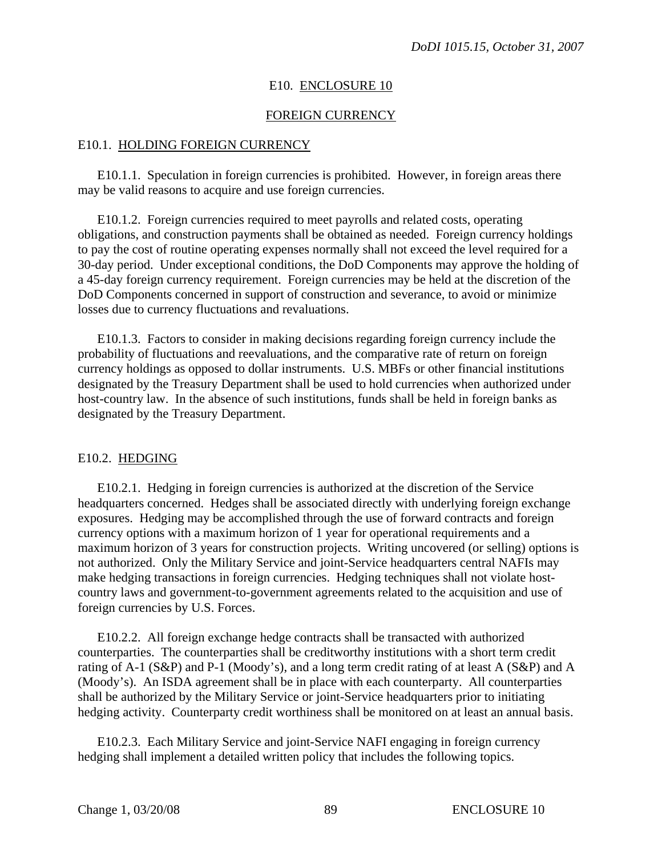#### E10. ENCLOSURE 10

#### FOREIGN CURRENCY

#### E10.1. HOLDING FOREIGN CURRENCY

E10.1.1. Speculation in foreign currencies is prohibited. However, in foreign areas there may be valid reasons to acquire and use foreign currencies.

E10.1.2. Foreign currencies required to meet payrolls and related costs, operating obligations, and construction payments shall be obtained as needed. Foreign currency holdings to pay the cost of routine operating expenses normally shall not exceed the level required for a 30-day period. Under exceptional conditions, the DoD Components may approve the holding of a 45-day foreign currency requirement. Foreign currencies may be held at the discretion of the DoD Components concerned in support of construction and severance, to avoid or minimize losses due to currency fluctuations and revaluations.

E10.1.3. Factors to consider in making decisions regarding foreign currency include the probability of fluctuations and reevaluations, and the comparative rate of return on foreign currency holdings as opposed to dollar instruments. U.S. MBFs or other financial institutions designated by the Treasury Department shall be used to hold currencies when authorized under host-country law. In the absence of such institutions, funds shall be held in foreign banks as designated by the Treasury Department.

#### E10.2. HEDGING

E10.2.1. Hedging in foreign currencies is authorized at the discretion of the Service headquarters concerned. Hedges shall be associated directly with underlying foreign exchange exposures. Hedging may be accomplished through the use of forward contracts and foreign currency options with a maximum horizon of 1 year for operational requirements and a maximum horizon of 3 years for construction projects. Writing uncovered (or selling) options is not authorized. Only the Military Service and joint-Service headquarters central NAFIs may make hedging transactions in foreign currencies. Hedging techniques shall not violate hostcountry laws and government-to-government agreements related to the acquisition and use of foreign currencies by U.S. Forces.

E10.2.2. All foreign exchange hedge contracts shall be transacted with authorized counterparties. The counterparties shall be creditworthy institutions with a short term credit rating of A-1 (S&P) and P-1 (Moody's), and a long term credit rating of at least A (S&P) and A (Moody's). An ISDA agreement shall be in place with each counterparty. All counterparties shall be authorized by the Military Service or joint-Service headquarters prior to initiating hedging activity. Counterparty credit worthiness shall be monitored on at least an annual basis.

E10.2.3. Each Military Service and joint-Service NAFI engaging in foreign currency hedging shall implement a detailed written policy that includes the following topics.